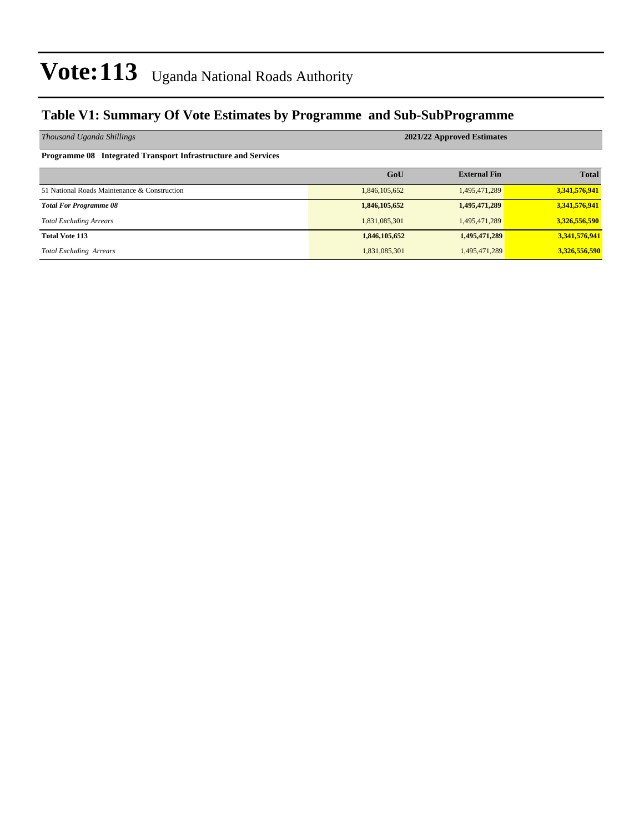### **Table V1: Summary Of Vote Estimates by Programme and Sub-SubProgramme**

| Thousand Uganda Shillings                                     | 2021/22 Approved Estimates |                     |               |  |  |  |  |  |
|---------------------------------------------------------------|----------------------------|---------------------|---------------|--|--|--|--|--|
| Programme 08 Integrated Transport Infrastructure and Services |                            |                     |               |  |  |  |  |  |
|                                                               | GoU                        | <b>External Fin</b> | <b>Total</b>  |  |  |  |  |  |
| 51 National Roads Maintenance & Construction                  | 1,846,105,652              | 1,495,471,289       | 3,341,576,941 |  |  |  |  |  |
| <b>Total For Programme 08</b>                                 | 1,846,105,652              | 1,495,471,289       | 3,341,576,941 |  |  |  |  |  |
| <b>Total Excluding Arrears</b>                                | 1,831,085,301              | 1,495,471,289       | 3,326,556,590 |  |  |  |  |  |
| <b>Total Vote 113</b>                                         | 1,846,105,652              | 1,495,471,289       | 3,341,576,941 |  |  |  |  |  |
| <b>Total Excluding Arrears</b>                                | 1,831,085,301              | 1,495,471,289       | 3,326,556,590 |  |  |  |  |  |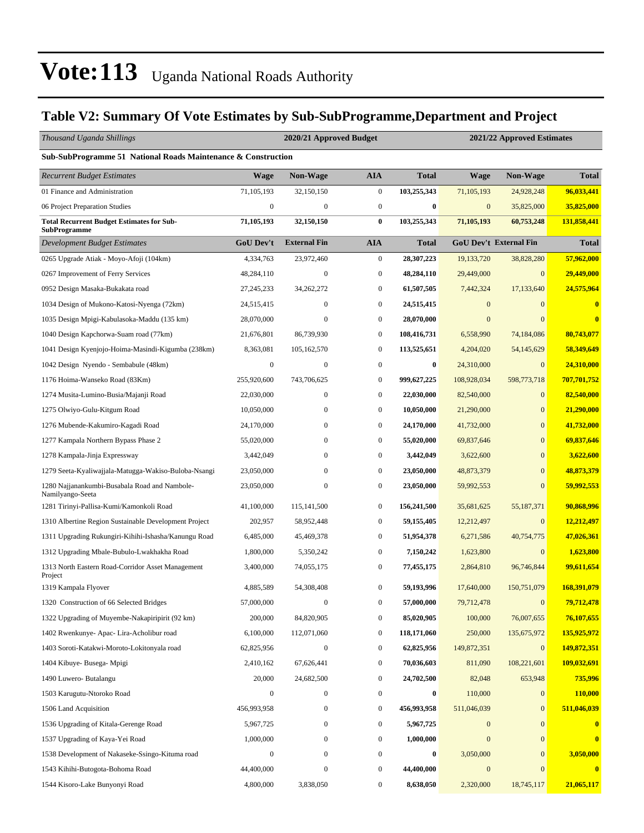### **Table V2: Summary Of Vote Estimates by Sub-SubProgramme,Department and Project**

| Thousand Uganda Shillings                                               |                  | 2020/21 Approved Budget |                  | 2021/22 Approved Estimates |                  |                               |                  |  |
|-------------------------------------------------------------------------|------------------|-------------------------|------------------|----------------------------|------------------|-------------------------------|------------------|--|
| Sub-SubProgramme 51 National Roads Maintenance & Construction           |                  |                         |                  |                            |                  |                               |                  |  |
| <b>Recurrent Budget Estimates</b>                                       | <b>Wage</b>      | Non-Wage                | <b>AIA</b>       | <b>Total</b>               | Wage             | Non-Wage                      | <b>Total</b>     |  |
| 01 Finance and Administration                                           | 71,105,193       | 32,150,150              | $\mathbf{0}$     | 103,255,343                | 71,105,193       | 24,928,248                    | 96,033,441       |  |
| 06 Project Preparation Studies                                          | $\boldsymbol{0}$ | $\boldsymbol{0}$        | $\mathbf{0}$     | $\bf{0}$                   | $\boldsymbol{0}$ | 35,825,000                    | 35,825,000       |  |
| <b>Total Recurrent Budget Estimates for Sub-</b><br><b>SubProgramme</b> | 71,105,193       | 32,150,150              | $\bf{0}$         | 103,255,343                | 71,105,193       | 60,753,248                    | 131,858,441      |  |
| Development Budget Estimates                                            | <b>GoU Dev't</b> | <b>External Fin</b>     | <b>AIA</b>       | <b>Total</b>               |                  | <b>GoU Dev't External Fin</b> | <b>Total</b>     |  |
| 0265 Upgrade Atiak - Moyo-Afoji (104km)                                 | 4,334,763        | 23,972,460              | $\boldsymbol{0}$ | 28,307,223                 | 19,133,720       | 38,828,280                    | 57,962,000       |  |
| 0267 Improvement of Ferry Services                                      | 48,284,110       | $\boldsymbol{0}$        | $\mathbf{0}$     | 48,284,110                 | 29,449,000       | $\mathbf{0}$                  | 29,449,000       |  |
| 0952 Design Masaka-Bukakata road                                        | 27, 245, 233     | 34,262,272              | $\bf{0}$         | 61,507,505                 | 7,442,324        | 17,133,640                    | 24,575,964       |  |
| 1034 Design of Mukono-Katosi-Nyenga (72km)                              | 24,515,415       | $\boldsymbol{0}$        | $\mathbf{0}$     | 24,515,415                 | $\mathbf{0}$     | $\mathbf{0}$                  | $\bf{0}$         |  |
| 1035 Design Mpigi-Kabulasoka-Maddu (135 km)                             | 28,070,000       | $\boldsymbol{0}$        | $\boldsymbol{0}$ | 28,070,000                 | $\mathbf{0}$     | $\Omega$                      | $\bf{0}$         |  |
| 1040 Design Kapchorwa-Suam road (77km)                                  | 21,676,801       | 86,739,930              | $\mathbf{0}$     | 108,416,731                | 6,558,990        | 74,184,086                    | 80,743,077       |  |
| 1041 Design Kyenjojo-Hoima-Masindi-Kigumba (238km)                      | 8,363,081        | 105,162,570             | $\mathbf{0}$     | 113,525,651                | 4,204,020        | 54,145,629                    | 58,349,649       |  |
| 1042 Design Nyendo - Sembabule (48km)                                   | $\boldsymbol{0}$ | $\boldsymbol{0}$        | $\boldsymbol{0}$ | $\bf{0}$                   | 24,310,000       | $\mathbf{0}$                  | 24,310,000       |  |
| 1176 Hoima-Wanseko Road (83Km)                                          | 255,920,600      | 743,706,625             | $\mathbf{0}$     | 999,627,225                | 108,928,034      | 598,773,718                   | 707,701,752      |  |
| 1274 Musita-Lumino-Busia/Majanji Road                                   | 22,030,000       | $\boldsymbol{0}$        | $\boldsymbol{0}$ | 22,030,000                 | 82,540,000       | $\mathbf{0}$                  | 82,540,000       |  |
| 1275 Olwiyo-Gulu-Kitgum Road                                            | 10,050,000       | $\boldsymbol{0}$        | $\mathbf{0}$     | 10,050,000                 | 21,290,000       | $\mathbf{0}$                  | 21,290,000       |  |
| 1276 Mubende-Kakumiro-Kagadi Road                                       | 24,170,000       | 0                       | $\mathbf{0}$     | 24,170,000                 | 41,732,000       | $\mathbf{0}$                  | 41,732,000       |  |
| 1277 Kampala Northern Bypass Phase 2                                    | 55,020,000       | 0                       | $\bf{0}$         | 55,020,000                 | 69,837,646       | $\mathbf{0}$                  | 69,837,646       |  |
| 1278 Kampala-Jinja Expressway                                           | 3,442,049        | $\boldsymbol{0}$        | $\mathbf{0}$     | 3,442,049                  | 3,622,600        | $\mathbf{0}$                  | 3,622,600        |  |
| 1279 Seeta-Kyaliwajjala-Matugga-Wakiso-Buloba-Nsangi                    | 23,050,000       | 0                       | $\boldsymbol{0}$ | 23,050,000                 | 48,873,379       | $\mathbf{0}$                  | 48,873,379       |  |
| 1280 Najjanankumbi-Busabala Road and Nambole-<br>Namilyango-Seeta       | 23,050,000       | $\mathbf{0}$            | $\boldsymbol{0}$ | 23,050,000                 | 59,992,553       | $\mathbf{0}$                  | 59,992,553       |  |
| 1281 Tirinyi-Pallisa-Kumi/Kamonkoli Road                                | 41,100,000       | 115, 141, 500           | $\mathbf{0}$     | 156,241,500                | 35,681,625       | 55,187,371                    | 90,868,996       |  |
| 1310 Albertine Region Sustainable Development Project                   | 202,957          | 58,952,448              | $\boldsymbol{0}$ | 59,155,405                 | 12,212,497       | $\mathbf{0}$                  | 12,212,497       |  |
| 1311 Upgrading Rukungiri-Kihihi-Ishasha/Kanungu Road                    | 6,485,000        | 45,469,378              | $\boldsymbol{0}$ | 51,954,378                 | 6,271,586        | 40,754,775                    | 47,026,361       |  |
| 1312 Upgrading Mbale-Bubulo-Lwakhakha Road                              | 1,800,000        | 5,350,242               | $\boldsymbol{0}$ | 7,150,242                  | 1,623,800        | $\mathbf{0}$                  | 1,623,800        |  |
| 1313 North Eastern Road-Corridor Asset Management<br>Project            | 3,400,000        | 74,055,175              | $\boldsymbol{0}$ | 77,455,175                 | 2,864,810        | 96,746,844                    | 99,611,654       |  |
| 1319 Kampala Flyover                                                    | 4,885,589        | 54,308,408              | $\boldsymbol{0}$ | 59,193,996                 | 17,640,000       | 150,751,079                   | 168,391,079      |  |
| 1320 Construction of 66 Selected Bridges                                | 57,000,000       | $\boldsymbol{0}$        | $\boldsymbol{0}$ | 57,000,000                 | 79,712,478       | $\boldsymbol{0}$              | 79,712,478       |  |
| 1322 Upgrading of Muyembe-Nakapiripirit (92 km)                         | 200,000          | 84,820,905              | $\boldsymbol{0}$ | 85,020,905                 | 100,000          | 76,007,655                    | 76,107,655       |  |
| 1402 Rwenkunye- Apac- Lira-Acholibur road                               | 6,100,000        | 112,071,060             | $\boldsymbol{0}$ | 118,171,060                | 250,000          | 135,675,972                   | 135,925,972      |  |
| 1403 Soroti-Katakwi-Moroto-Lokitonyala road                             | 62,825,956       | $\boldsymbol{0}$        | $\boldsymbol{0}$ | 62,825,956                 | 149,872,351      | $\mathbf{0}$                  | 149,872,351      |  |
| 1404 Kibuye- Busega- Mpigi                                              | 2,410,162        | 67,626,441              | $\boldsymbol{0}$ | 70,036,603                 | 811,090          | 108,221,601                   | 109,032,691      |  |
| 1490 Luwero- Butalangu                                                  | 20,000           | 24,682,500              | $\boldsymbol{0}$ | 24,702,500                 | 82,048           | 653,948                       | 735,996          |  |
| 1503 Karugutu-Ntoroko Road                                              | $\boldsymbol{0}$ | $\boldsymbol{0}$        | $\boldsymbol{0}$ | $\boldsymbol{0}$           | 110,000          | $\mathbf{0}$                  | 110,000          |  |
| 1506 Land Acquisition                                                   | 456,993,958      | $\boldsymbol{0}$        | $\boldsymbol{0}$ | 456,993,958                | 511,046,039      | $\mathbf{0}$                  | 511,046,039      |  |
| 1536 Upgrading of Kitala-Gerenge Road                                   | 5,967,725        | $\boldsymbol{0}$        | $\boldsymbol{0}$ | 5,967,725                  | $\mathbf{0}$     | $\mathbf{0}$                  |                  |  |
| 1537 Upgrading of Kaya-Yei Road                                         | 1,000,000        | $\boldsymbol{0}$        | $\boldsymbol{0}$ | 1,000,000                  | $\boldsymbol{0}$ | $\mathbf{0}$                  | $\bf{0}$         |  |
| 1538 Development of Nakaseke-Ssingo-Kituma road                         | $\boldsymbol{0}$ | $\boldsymbol{0}$        | $\boldsymbol{0}$ | $\bf{0}$                   | 3,050,000        | $\mathbf{0}$                  | 3,050,000        |  |
| 1543 Kihihi-Butogota-Bohoma Road                                        | 44,400,000       | $\boldsymbol{0}$        | $\boldsymbol{0}$ | 44,400,000                 | $\boldsymbol{0}$ | $\mathbf{0}$                  | $\boldsymbol{0}$ |  |
| 1544 Kisoro-Lake Bunyonyi Road                                          | 4,800,000        | 3,838,050               | $\boldsymbol{0}$ | 8,638,050                  | 2,320,000        | 18,745,117                    | 21,065,117       |  |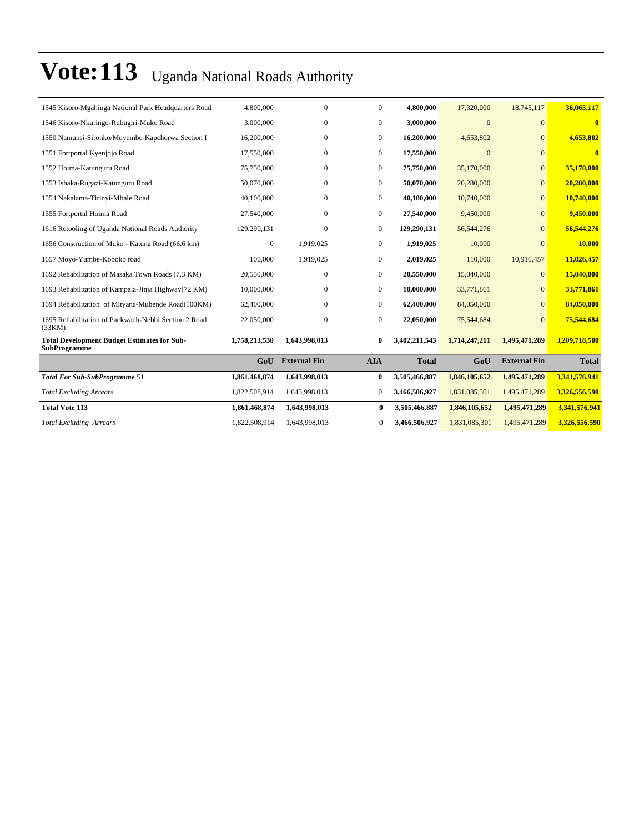| 1545 Kisoro-Mgahinga National Park Headquarters Road                      | 4,800,000     | 0                   | $\overline{0}$   | 4,800,000     | 17,320,000    | 18,745,117          | 36,065,117    |
|---------------------------------------------------------------------------|---------------|---------------------|------------------|---------------|---------------|---------------------|---------------|
| 1546 Kisoro-Nkuringo-Rubugiri-Muko Road                                   | 3,000,000     | 0                   | $\mathbf{0}$     | 3,000,000     | $\Omega$      | $\Omega$            | $\mathbf{0}$  |
| 1550 Namunsi-Sironko/Muyembe-Kapchorwa Section I                          | 16,200,000    | $\mathbf{0}$        | $\overline{0}$   | 16,200,000    | 4,653,802     | $\mathbf{0}$        | 4,653,802     |
| 1551 Fortportal Kyenjojo Road                                             | 17,550,000    | $\mathbf{0}$        | $\mathbf{0}$     | 17,550,000    | $\mathbf{0}$  | $\Omega$            | $\bf{0}$      |
| 1552 Hoima-Katunguru Road                                                 | 75,750,000    | $\mathbf{0}$        | $\overline{0}$   | 75,750,000    | 35,170,000    | $\overline{0}$      | 35,170,000    |
| 1553 Ishaka-Rugazi-Katunguru Road                                         | 50,070,000    | 0                   | $\boldsymbol{0}$ | 50,070,000    | 20,280,000    | $\Omega$            | 20,280,000    |
| 1554 Nakalama-Tirinyi-Mbale Road                                          | 40,100,000    | 0                   | $\overline{0}$   | 40,100,000    | 10,740,000    | $\overline{0}$      | 10,740,000    |
| 1555 Fortportal Hoima Road                                                | 27,540,000    | $\mathbf{0}$        | $\boldsymbol{0}$ | 27,540,000    | 9,450,000     | $\Omega$            | 9,450,000     |
| 1616 Retooling of Uganda National Roads Authority                         | 129,290,131   | $\Omega$            | $\mathbf{0}$     | 129,290,131   | 56, 544, 276  | $\Omega$            | 56,544,276    |
| 1656 Construction of Muko - Katuna Road (66.6 km)                         | $\mathbf{0}$  | 1,919,025           | $\overline{0}$   | 1,919,025     | 10,000        | $\Omega$            | 10,000        |
| 1657 Moyo-Yumbe-Koboko road                                               | 100,000       | 1,919,025           | $\boldsymbol{0}$ | 2,019,025     | 110,000       | 10,916,457          | 11,026,457    |
| 1692 Rehabilitation of Masaka Town Roads (7.3 KM)                         | 20,550,000    | $\mathbf{0}$        | $\overline{0}$   | 20,550,000    | 15,040,000    | $\Omega$            | 15,040,000    |
| 1693 Rehabilitation of Kampala-Jinja Highway(72 KM)                       | 10,000,000    | $\Omega$            | $\overline{0}$   | 10,000,000    | 33,771,861    | $\Omega$            | 33,771,861    |
| 1694 Rehabilitation of Mityana-Mubende Road(100KM)                        | 62,400,000    | $\mathbf{0}$        | $\mathbf{0}$     | 62,400,000    | 84,050,000    | $\overline{0}$      | 84,050,000    |
| 1695 Rehabilitation of Packwach-Nebbi Section 2 Road<br>(33KM)            | 22,050,000    | $\boldsymbol{0}$    | $\mathbf{0}$     | 22,050,000    | 75,544,684    | $\Omega$            | 75,544,684    |
| <b>Total Development Budget Estimates for Sub-</b><br><b>SubProgramme</b> | 1,758,213,530 | 1,643,998,013       | $\bf{0}$         | 3,402,211,543 | 1,714,247,211 | 1,495,471,289       | 3,209,718,500 |
|                                                                           | GoU           | <b>External Fin</b> | <b>AIA</b>       | <b>Total</b>  | GoU           | <b>External Fin</b> | <b>Total</b>  |
| <b>Total For Sub-SubProgramme 51</b>                                      | 1,861,468,874 | 1,643,998,013       | $\bf{0}$         | 3,505,466,887 | 1,846,105,652 | 1,495,471,289       | 3,341,576,941 |
| <b>Total Excluding Arrears</b>                                            | 1,822,508,914 | 1,643,998,013       | $\boldsymbol{0}$ | 3,466,506,927 | 1,831,085,301 | 1,495,471,289       | 3,326,556,590 |
| <b>Total Vote 113</b>                                                     | 1,861,468,874 | 1,643,998,013       | 0                | 3,505,466,887 | 1,846,105,652 | 1,495,471,289       | 3,341,576,941 |
| <b>Total Excluding Arrears</b>                                            | 1,822,508,914 | 1,643,998,013       | 0                | 3,466,506,927 | 1,831,085,301 | 1,495,471,289       | 3,326,556,590 |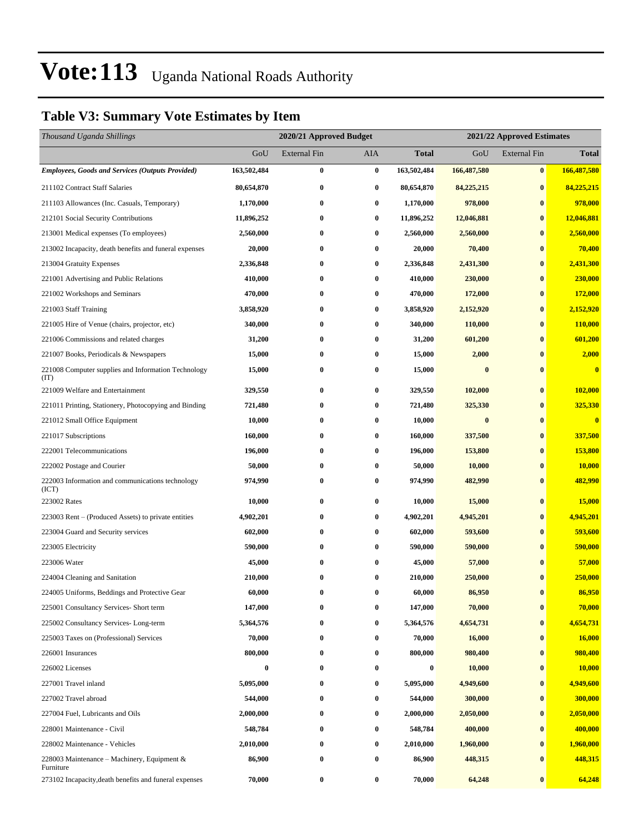### **Table V3: Summary Vote Estimates by Item**

| Thousand Uganda Shillings                                   |             | 2020/21 Approved Budget |          |              | 2021/22 Approved Estimates |                     |                         |  |
|-------------------------------------------------------------|-------------|-------------------------|----------|--------------|----------------------------|---------------------|-------------------------|--|
|                                                             | GoU         | External Fin            | AIA      | <b>Total</b> | GoU                        | <b>External Fin</b> | <b>Total</b>            |  |
| <b>Employees, Goods and Services (Outputs Provided)</b>     | 163,502,484 | $\bf{0}$                | $\bf{0}$ | 163,502,484  | 166,487,580                | $\vert 0 \vert$     | 166,487,580             |  |
| 211102 Contract Staff Salaries                              | 80,654,870  | $\bf{0}$                | $\bf{0}$ | 80,654,870   | 84,225,215                 | $\bf{0}$            | 84,225,215              |  |
| 211103 Allowances (Inc. Casuals, Temporary)                 | 1,170,000   | $\bf{0}$                | $\bf{0}$ | 1,170,000    | 978,000                    | $\bf{0}$            | 978,000                 |  |
| 212101 Social Security Contributions                        | 11,896,252  | $\bf{0}$                | $\bf{0}$ | 11,896,252   | 12,046,881                 | $\bf{0}$            | 12,046,881              |  |
| 213001 Medical expenses (To employees)                      | 2,560,000   | $\bf{0}$                | $\bf{0}$ | 2,560,000    | 2,560,000                  | $\bf{0}$            | 2,560,000               |  |
| 213002 Incapacity, death benefits and funeral expenses      | 20,000      | $\bf{0}$                | $\bf{0}$ | 20,000       | 70,400                     | $\bf{0}$            | 70,400                  |  |
| 213004 Gratuity Expenses                                    | 2,336,848   | $\bf{0}$                | $\bf{0}$ | 2,336,848    | 2,431,300                  | $\bf{0}$            | 2,431,300               |  |
| 221001 Advertising and Public Relations                     | 410,000     | $\bf{0}$                | $\bf{0}$ | 410,000      | 230,000                    | $\bf{0}$            | 230,000                 |  |
| 221002 Workshops and Seminars                               | 470,000     | $\bf{0}$                | $\bf{0}$ | 470,000      | 172,000                    | $\bf{0}$            | 172,000                 |  |
| 221003 Staff Training                                       | 3,858,920   | $\bf{0}$                | $\bf{0}$ | 3,858,920    | 2,152,920                  | $\bf{0}$            | 2,152,920               |  |
| 221005 Hire of Venue (chairs, projector, etc)               | 340,000     | $\bf{0}$                | $\bf{0}$ | 340,000      | 110,000                    | $\bf{0}$            | 110,000                 |  |
| 221006 Commissions and related charges                      | 31,200      | 0                       | $\bf{0}$ | 31,200       | 601,200                    | $\bf{0}$            | 601,200                 |  |
| 221007 Books, Periodicals & Newspapers                      | 15,000      | $\bf{0}$                | $\bf{0}$ | 15,000       | 2,000                      | $\bf{0}$            | 2,000                   |  |
| 221008 Computer supplies and Information Technology<br>(TT) | 15,000      | $\bf{0}$                | $\bf{0}$ | 15,000       | $\bf{0}$                   | $\bf{0}$            | $\overline{\mathbf{0}}$ |  |
| 221009 Welfare and Entertainment                            | 329,550     | $\bf{0}$                | $\bf{0}$ | 329,550      | 102,000                    | $\bf{0}$            | 102,000                 |  |
| 221011 Printing, Stationery, Photocopying and Binding       | 721,480     | $\bf{0}$                | $\bf{0}$ | 721,480      | 325,330                    | $\bf{0}$            | 325,330                 |  |
| 221012 Small Office Equipment                               | 10,000      | $\bf{0}$                | $\bf{0}$ | 10,000       | $\bf{0}$                   | $\bf{0}$            | $\bf{0}$                |  |
| 221017 Subscriptions                                        | 160,000     | $\bf{0}$                | $\bf{0}$ | 160,000      | 337,500                    | $\bf{0}$            | 337,500                 |  |
| 222001 Telecommunications                                   | 196,000     | $\bf{0}$                | $\bf{0}$ | 196,000      | 153,800                    | $\bf{0}$            | 153,800                 |  |
| 222002 Postage and Courier                                  | 50,000      | $\bf{0}$                | $\bf{0}$ | 50,000       | 10,000                     | $\bf{0}$            | 10,000                  |  |
| 222003 Information and communications technology<br>(ICT)   | 974,990     | $\bf{0}$                | $\bf{0}$ | 974,990      | 482,990                    | $\bf{0}$            | 482,990                 |  |
| 223002 Rates                                                | 10,000      | $\bf{0}$                | $\bf{0}$ | 10,000       | 15,000                     | $\bf{0}$            | 15,000                  |  |
| 223003 Rent - (Produced Assets) to private entities         | 4,902,201   | $\bf{0}$                | $\bf{0}$ | 4,902,201    | 4,945,201                  | $\bf{0}$            | 4,945,201               |  |
| 223004 Guard and Security services                          | 602,000     | 0                       | $\bf{0}$ | 602,000      | 593,600                    | $\bf{0}$            | 593,600                 |  |
| 223005 Electricity                                          | 590,000     | $\bf{0}$                | $\bf{0}$ | 590,000      | 590,000                    | $\bf{0}$            | 590,000                 |  |
| 223006 Water                                                | 45,000      | $\bf{0}$                | $\bf{0}$ | 45,000       | 57,000                     | $\bf{0}$            | 57,000                  |  |
| 224004 Cleaning and Sanitation                              | 210,000     | $\bf{0}$                | $\bf{0}$ | 210,000      | 250,000                    | $\bf{0}$            | 250,000                 |  |
| 224005 Uniforms, Beddings and Protective Gear               | 60,000      | $\bf{0}$                | $\bf{0}$ | 60,000       | 86,950                     | $\bf{0}$            | 86,950                  |  |
| 225001 Consultancy Services- Short term                     | 147,000     | 0                       | $\bf{0}$ | 147,000      | 70,000                     | $\bf{0}$            | 70,000                  |  |
| 225002 Consultancy Services-Long-term                       | 5,364,576   | $\bf{0}$                | $\bf{0}$ | 5,364,576    | 4,654,731                  | $\bf{0}$            | 4,654,731               |  |
| 225003 Taxes on (Professional) Services                     | 70,000      | $\bf{0}$                | $\bf{0}$ | 70,000       | 16,000                     | $\bf{0}$            | 16,000                  |  |
| 226001 Insurances                                           | 800,000     | $\bf{0}$                | $\bf{0}$ | 800,000      | 980,400                    | $\bf{0}$            | 980,400                 |  |
| 226002 Licenses                                             | $\bf{0}$    | $\bf{0}$                | $\bf{0}$ | $\bf{0}$     | 10,000                     | $\bf{0}$            | 10,000                  |  |
| 227001 Travel inland                                        | 5,095,000   | 0                       | $\bf{0}$ | 5,095,000    | 4,949,600                  | $\bf{0}$            | 4,949,600               |  |
| 227002 Travel abroad                                        | 544,000     | $\bf{0}$                | $\bf{0}$ | 544,000      | 300,000                    | $\bf{0}$            | 300,000                 |  |
| 227004 Fuel, Lubricants and Oils                            | 2,000,000   | $\bf{0}$                | $\bf{0}$ | 2,000,000    | 2,050,000                  | $\bf{0}$            | 2,050,000               |  |
| 228001 Maintenance - Civil                                  | 548,784     | 0                       | $\bf{0}$ | 548,784      | 400,000                    | $\bf{0}$            | 400,000                 |  |
| 228002 Maintenance - Vehicles                               | 2,010,000   | $\bf{0}$                | $\bf{0}$ | 2,010,000    | 1,960,000                  | $\bf{0}$            | 1,960,000               |  |
| 228003 Maintenance - Machinery, Equipment &<br>Furniture    | 86,900      | $\bf{0}$                | $\bf{0}$ | 86,900       | 448,315                    | $\bf{0}$            | 448,315                 |  |
| 273102 Incapacity, death benefits and funeral expenses      | 70,000      | $\bf{0}$                | $\bf{0}$ | 70,000       | 64,248                     | $\bf{0}$            | 64,248                  |  |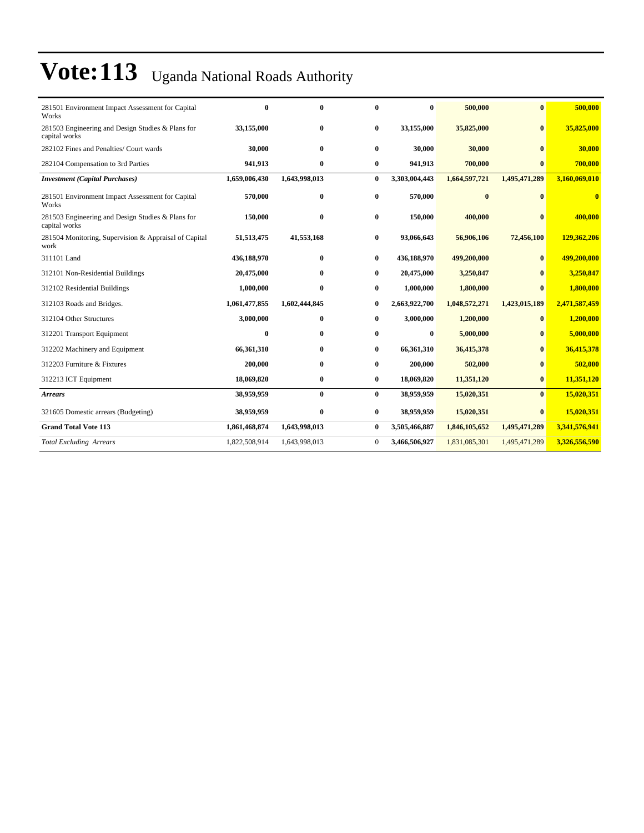| 281501 Environment Impact Assessment for Capital<br>Works          | $\bf{0}$      | $\bf{0}$      | 0            | $\bf{0}$      | 500,000       | $\bf{0}$      | 500,000       |
|--------------------------------------------------------------------|---------------|---------------|--------------|---------------|---------------|---------------|---------------|
| 281503 Engineering and Design Studies & Plans for<br>capital works | 33,155,000    | $\bf{0}$      | $\bf{0}$     | 33,155,000    | 35,825,000    | $\mathbf{0}$  | 35,825,000    |
| 282102 Fines and Penalties/ Court wards                            | 30,000        | $\mathbf{0}$  | $\bf{0}$     | 30,000        | 30,000        | $\mathbf{0}$  | 30,000        |
| 282104 Compensation to 3rd Parties                                 | 941,913       | $\bf{0}$      | $\bf{0}$     | 941,913       | 700,000       | $\bf{0}$      | 700,000       |
| <b>Investment</b> (Capital Purchases)                              | 1,659,006,430 | 1,643,998,013 | $\bf{0}$     | 3,303,004,443 | 1,664,597,721 | 1,495,471,289 | 3,160,069,010 |
| 281501 Environment Impact Assessment for Capital<br>Works          | 570,000       | $\bf{0}$      | $\bf{0}$     | 570,000       | $\bf{0}$      | $\bf{0}$      | $\bf{0}$      |
| 281503 Engineering and Design Studies & Plans for<br>capital works | 150,000       | $\mathbf{0}$  | $\bf{0}$     | 150,000       | 400,000       | $\mathbf{0}$  | 400,000       |
| 281504 Monitoring, Supervision & Appraisal of Capital<br>work      | 51,513,475    | 41,553,168    | 0            | 93,066,643    | 56,906,106    | 72,456,100    | 129,362,206   |
| 311101 Land                                                        | 436,188,970   | $\bf{0}$      | $\bf{0}$     | 436,188,970   | 499,200,000   | $\bf{0}$      | 499,200,000   |
| 312101 Non-Residential Buildings                                   | 20,475,000    | $\mathbf{0}$  | 0            | 20,475,000    | 3,250,847     | $\mathbf{0}$  | 3,250,847     |
| 312102 Residential Buildings                                       | 1,000,000     | $\mathbf{0}$  | 0            | 1,000,000     | 1,800,000     | $\mathbf{0}$  | 1,800,000     |
| 312103 Roads and Bridges.                                          | 1,061,477,855 | 1,602,444,845 | 0            | 2,663,922,700 | 1,048,572,271 | 1,423,015,189 | 2,471,587,459 |
| 312104 Other Structures                                            | 3,000,000     | $\bf{0}$      | $\bf{0}$     | 3,000,000     | 1,200,000     | $\bf{0}$      | 1,200,000     |
| 312201 Transport Equipment                                         | $\bf{0}$      | $\mathbf{0}$  | 0            | $\bf{0}$      | 5,000,000     | $\mathbf{0}$  | 5,000,000     |
| 312202 Machinery and Equipment                                     | 66,361,310    | $\mathbf{0}$  | 0            | 66,361,310    | 36,415,378    | $\mathbf{0}$  | 36,415,378    |
| 312203 Furniture & Fixtures                                        | 200,000       | $\bf{0}$      | 0            | 200,000       | 502,000       | $\mathbf{0}$  | 502,000       |
| 312213 ICT Equipment                                               | 18,069,820    | $\bf{0}$      | $\bf{0}$     | 18,069,820    | 11,351,120    | $\bf{0}$      | 11,351,120    |
| <b>Arrears</b>                                                     | 38,959,959    | $\bf{0}$      | $\bf{0}$     | 38,959,959    | 15,020,351    | $\mathbf{0}$  | 15,020,351    |
| 321605 Domestic arrears (Budgeting)                                | 38,959,959    | $\bf{0}$      | $\bf{0}$     | 38,959,959    | 15,020,351    | $\mathbf{0}$  | 15,020,351    |
| <b>Grand Total Vote 113</b>                                        | 1,861,468,874 | 1,643,998,013 | $\bf{0}$     | 3,505,466,887 | 1,846,105,652 | 1,495,471,289 | 3,341,576,941 |
| <b>Total Excluding Arrears</b>                                     | 1,822,508,914 | 1,643,998,013 | $\mathbf{0}$ | 3,466,506,927 | 1,831,085,301 | 1,495,471,289 | 3,326,556,590 |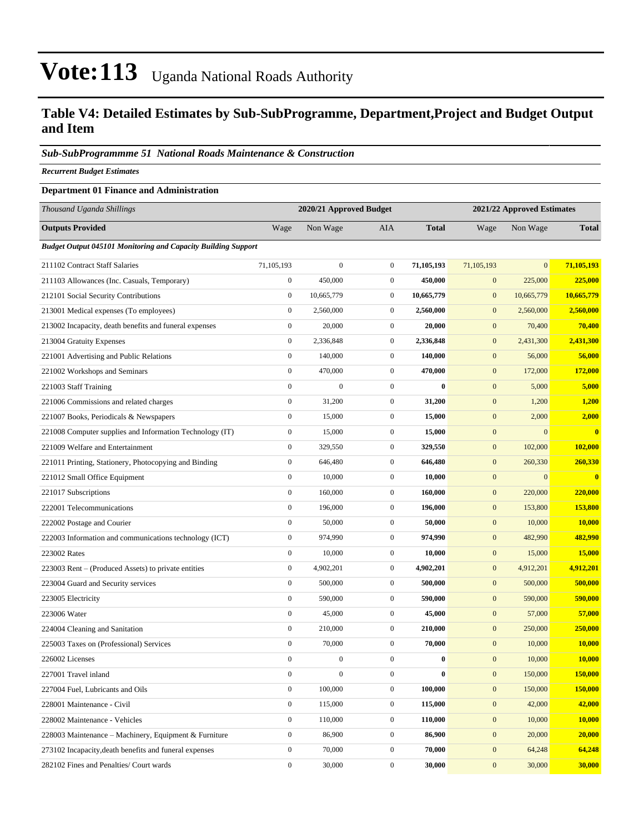### **Table V4: Detailed Estimates by Sub-SubProgramme, Department,Project and Budget Output and Item**

#### *Sub-SubProgrammme 51 National Roads Maintenance & Construction*

*Recurrent Budget Estimates*

#### **Department 01 Finance and Administration**

| Thousand Uganda Shillings                                            |                  | 2020/21 Approved Budget |                  | 2021/22 Approved Estimates |                  |                  |               |  |  |
|----------------------------------------------------------------------|------------------|-------------------------|------------------|----------------------------|------------------|------------------|---------------|--|--|
| <b>Outputs Provided</b>                                              | Wage             | Non Wage                | <b>AIA</b>       | <b>Total</b>               | Wage             | Non Wage         | <b>Total</b>  |  |  |
| <b>Budget Output 045101 Monitoring and Capacity Building Support</b> |                  |                         |                  |                            |                  |                  |               |  |  |
| 211102 Contract Staff Salaries                                       | 71,105,193       | $\boldsymbol{0}$        | $\overline{0}$   | 71,105,193                 | 71,105,193       | $\mathbf{0}$     | 71,105,193    |  |  |
| 211103 Allowances (Inc. Casuals, Temporary)                          | $\boldsymbol{0}$ | 450,000                 | $\mathbf{0}$     | 450,000                    | $\boldsymbol{0}$ | 225,000          | 225,000       |  |  |
| 212101 Social Security Contributions                                 | $\boldsymbol{0}$ | 10,665,779              | $\mathbf{0}$     | 10,665,779                 | $\boldsymbol{0}$ | 10,665,779       | 10,665,779    |  |  |
| 213001 Medical expenses (To employees)                               | $\boldsymbol{0}$ | 2,560,000               | $\boldsymbol{0}$ | 2,560,000                  | $\mathbf{0}$     | 2,560,000        | 2,560,000     |  |  |
| 213002 Incapacity, death benefits and funeral expenses               | $\boldsymbol{0}$ | 20,000                  | $\mathbf{0}$     | 20,000                     | $\mathbf{0}$     | 70,400           | 70,400        |  |  |
| 213004 Gratuity Expenses                                             | $\mathbf{0}$     | 2,336,848               | $\mathbf{0}$     | 2,336,848                  | $\mathbf{0}$     | 2,431,300        | 2,431,300     |  |  |
| 221001 Advertising and Public Relations                              | $\boldsymbol{0}$ | 140,000                 | $\mathbf{0}$     | 140,000                    | $\mathbf{0}$     | 56,000           | 56,000        |  |  |
| 221002 Workshops and Seminars                                        | $\boldsymbol{0}$ | 470,000                 | $\mathbf{0}$     | 470,000                    | $\boldsymbol{0}$ | 172,000          | 172,000       |  |  |
| 221003 Staff Training                                                | $\mathbf{0}$     | $\boldsymbol{0}$        | $\boldsymbol{0}$ | $\bf{0}$                   | $\mathbf{0}$     | 5,000            | 5,000         |  |  |
| 221006 Commissions and related charges                               | $\boldsymbol{0}$ | 31,200                  | $\mathbf{0}$     | 31,200                     | $\mathbf{0}$     | 1,200            | 1,200         |  |  |
| 221007 Books, Periodicals & Newspapers                               | $\boldsymbol{0}$ | 15,000                  | $\overline{0}$   | 15,000                     | $\mathbf{0}$     | 2,000            | 2,000         |  |  |
| 221008 Computer supplies and Information Technology (IT)             | $\boldsymbol{0}$ | 15,000                  | $\mathbf{0}$     | 15,000                     | $\boldsymbol{0}$ | $\boldsymbol{0}$ | $\bf{0}$      |  |  |
| 221009 Welfare and Entertainment                                     | $\mathbf{0}$     | 329,550                 | $\mathbf{0}$     | 329,550                    | $\boldsymbol{0}$ | 102,000          | 102,000       |  |  |
| 221011 Printing, Stationery, Photocopying and Binding                | $\boldsymbol{0}$ | 646,480                 | $\boldsymbol{0}$ | 646,480                    | $\mathbf{0}$     | 260,330          | 260,330       |  |  |
| 221012 Small Office Equipment                                        | $\boldsymbol{0}$ | 10,000                  | $\mathbf{0}$     | 10,000                     | $\mathbf{0}$     | $\mathbf{0}$     | $\bf{0}$      |  |  |
| 221017 Subscriptions                                                 | $\boldsymbol{0}$ | 160,000                 | $\overline{0}$   | 160,000                    | $\mathbf{0}$     | 220,000          | 220,000       |  |  |
| 222001 Telecommunications                                            | $\mathbf{0}$     | 196,000                 | $\mathbf{0}$     | 196,000                    | $\mathbf{0}$     | 153,800          | 153,800       |  |  |
| 222002 Postage and Courier                                           | $\mathbf{0}$     | 50,000                  | $\mathbf{0}$     | 50,000                     | $\boldsymbol{0}$ | 10,000           | 10,000        |  |  |
| 222003 Information and communications technology (ICT)               | $\mathbf{0}$     | 974,990                 | $\boldsymbol{0}$ | 974,990                    | $\mathbf{0}$     | 482,990          | 482,990       |  |  |
| 223002 Rates                                                         | $\boldsymbol{0}$ | 10,000                  | $\mathbf{0}$     | 10,000                     | $\mathbf{0}$     | 15,000           | <b>15,000</b> |  |  |
| 223003 Rent – (Produced Assets) to private entities                  | $\boldsymbol{0}$ | 4,902,201               | $\mathbf{0}$     | 4,902,201                  | $\boldsymbol{0}$ | 4,912,201        | 4,912,201     |  |  |
| 223004 Guard and Security services                                   | $\boldsymbol{0}$ | 500,000                 | $\mathbf{0}$     | 500,000                    | $\mathbf{0}$     | 500,000          | 500,000       |  |  |
| 223005 Electricity                                                   | $\mathbf{0}$     | 590,000                 | $\mathbf{0}$     | 590,000                    | $\mathbf{0}$     | 590,000          | 590,000       |  |  |
| 223006 Water                                                         | $\boldsymbol{0}$ | 45,000                  | $\overline{0}$   | 45,000                     | $\mathbf{0}$     | 57,000           | 57,000        |  |  |
| 224004 Cleaning and Sanitation                                       | $\boldsymbol{0}$ | 210,000                 | $\mathbf{0}$     | 210,000                    | $\mathbf{0}$     | 250,000          | 250,000       |  |  |
| 225003 Taxes on (Professional) Services                              | $\boldsymbol{0}$ | 70,000                  | $\boldsymbol{0}$ | 70,000                     | $\mathbf{0}$     | 10,000           | 10,000        |  |  |
| 226002 Licenses                                                      | $\boldsymbol{0}$ | $\boldsymbol{0}$        | $\mathbf{0}$     | $\bf{0}$                   | $\mathbf{0}$     | 10,000           | <b>10,000</b> |  |  |
| 227001 Travel inland                                                 | $\boldsymbol{0}$ | $\boldsymbol{0}$        | $\boldsymbol{0}$ | $\pmb{0}$                  | $\boldsymbol{0}$ | 150,000          | 150,000       |  |  |
| 227004 Fuel, Lubricants and Oils                                     | $\boldsymbol{0}$ | 100,000                 | $\overline{0}$   | 100,000                    | $\mathbf{0}$     | 150,000          | 150,000       |  |  |
| 228001 Maintenance - Civil                                           | $\boldsymbol{0}$ | 115,000                 | $\boldsymbol{0}$ | 115,000                    | $\mathbf{0}$     | 42,000           | 42,000        |  |  |
| 228002 Maintenance - Vehicles                                        | $\boldsymbol{0}$ | 110,000                 | $\boldsymbol{0}$ | 110,000                    | $\mathbf{0}$     | 10,000           | 10,000        |  |  |
| 228003 Maintenance – Machinery, Equipment & Furniture                | $\boldsymbol{0}$ | 86,900                  | $\boldsymbol{0}$ | 86,900                     | $\mathbf{0}$     | 20,000           | 20,000        |  |  |
| 273102 Incapacity, death benefits and funeral expenses               | $\boldsymbol{0}$ | 70,000                  | $\boldsymbol{0}$ | 70,000                     | $\mathbf{0}$     | 64,248           | 64,248        |  |  |
| 282102 Fines and Penalties/ Court wards                              | $\boldsymbol{0}$ | 30,000                  | $\boldsymbol{0}$ | 30,000                     | $\mathbf{0}$     | 30,000           | 30,000        |  |  |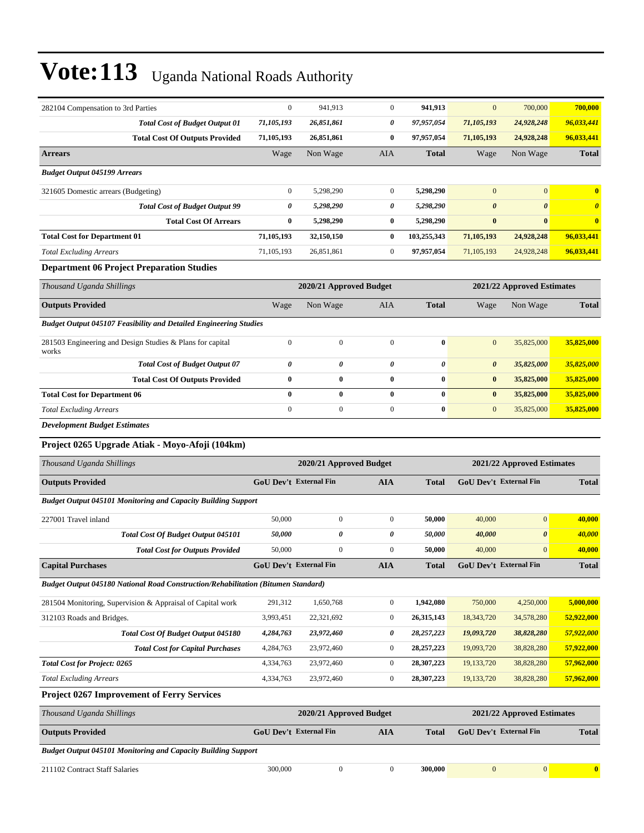| 282104 Compensation to 3rd Parties                                       | $\Omega$                      | 941,913                 | $\mathbf{0}$          | 941,913        | $\mathbf{0}$                  | 700,000                    | 700,000               |
|--------------------------------------------------------------------------|-------------------------------|-------------------------|-----------------------|----------------|-------------------------------|----------------------------|-----------------------|
| <b>Total Cost of Budget Output 01</b>                                    | 71,105,193                    | 26,851,861              | $\boldsymbol{\theta}$ | 97,957,054     | 71,105,193                    | 24,928,248                 | 96,033,441            |
| <b>Total Cost Of Outputs Provided</b>                                    | 71,105,193                    | 26,851,861              | $\bf{0}$              | 97,957,054     | 71,105,193                    | 24,928,248                 | 96,033,441            |
| <b>Arrears</b>                                                           | Wage                          | Non Wage                | <b>AIA</b>            | <b>Total</b>   | Wage                          | Non Wage                   | <b>Total</b>          |
| <b>Budget Output 045199 Arrears</b>                                      |                               |                         |                       |                |                               |                            |                       |
| 321605 Domestic arrears (Budgeting)                                      | $\mathbf{0}$                  | 5,298,290               | $\mathbf{0}$          | 5,298,290      | $\overline{0}$                | $\mathbf{0}$               | $\bf{0}$              |
| <b>Total Cost of Budget Output 99</b>                                    | 0                             | 5,298,290               | $\boldsymbol{\theta}$ | 5,298,290      | $\boldsymbol{\theta}$         | $\boldsymbol{\theta}$      | $\boldsymbol{\theta}$ |
| <b>Total Cost Of Arrears</b>                                             | $\bf{0}$                      | 5,298,290               | $\bf{0}$              | 5,298,290      | $\bf{0}$                      | $\bf{0}$                   | $\bf{0}$              |
| <b>Total Cost for Department 01</b>                                      | 71,105,193                    | 32,150,150              | $\bf{0}$              | 103,255,343    | 71,105,193                    | 24,928,248                 | 96,033,441            |
| <b>Total Excluding Arrears</b>                                           | 71,105,193                    | 26,851,861              | $\mathbf{0}$          | 97,957,054     | 71,105,193                    | 24,928,248                 | 96,033,441            |
| <b>Department 06 Project Preparation Studies</b>                         |                               |                         |                       |                |                               |                            |                       |
| Thousand Uganda Shillings                                                |                               | 2020/21 Approved Budget |                       |                |                               | 2021/22 Approved Estimates |                       |
| <b>Outputs Provided</b>                                                  | Wage                          | Non Wage                | <b>AIA</b>            | <b>Total</b>   | Wage                          | Non Wage                   | <b>Total</b>          |
| <b>Budget Output 045107 Feasibility and Detailed Engineering Studies</b> |                               |                         |                       |                |                               |                            |                       |
| 281503 Engineering and Design Studies & Plans for capital<br>works       | $\boldsymbol{0}$              | $\boldsymbol{0}$        | $\mathbf{0}$          | $\bf{0}$       | $\overline{0}$                | 35,825,000                 | 35,825,000            |
| <b>Total Cost of Budget Output 07</b>                                    | $\boldsymbol{\theta}$         | $\boldsymbol{\theta}$   | $\boldsymbol{\theta}$ | $\pmb{\theta}$ | $\boldsymbol{\theta}$         | 35,825,000                 | 35,825,000            |
| <b>Total Cost Of Outputs Provided</b>                                    | $\bf{0}$                      | $\bf{0}$                | $\bf{0}$              | $\bf{0}$       | $\bf{0}$                      | 35,825,000                 | 35,825,000            |
| <b>Total Cost for Department 06</b>                                      | $\bf{0}$                      | $\bf{0}$                | $\bf{0}$              | $\bf{0}$       | $\bf{0}$                      | 35,825,000                 | 35,825,000            |
| <b>Total Excluding Arrears</b>                                           | $\overline{0}$                | $\boldsymbol{0}$        | $\boldsymbol{0}$      | $\bf{0}$       | $\overline{0}$                | 35,825,000                 | 35,825,000            |
| <b>Development Budget Estimates</b>                                      |                               |                         |                       |                |                               |                            |                       |
| Project 0265 Upgrade Atiak - Moyo-Afoji (104km)                          |                               |                         |                       |                |                               |                            |                       |
| Thousand Uganda Shillings                                                |                               | 2020/21 Approved Budget |                       |                |                               | 2021/22 Approved Estimates |                       |
| <b>Outputs Provided</b>                                                  | <b>GoU Dev't External Fin</b> |                         | <b>AIA</b>            | <b>Total</b>   | <b>GoU Dev't External Fin</b> |                            | <b>Total</b>          |
| <b>Budget Output 045101 Monitoring and Capacity Building Support</b>     |                               |                         |                       |                |                               |                            |                       |
| 227001 Travel inland                                                     | 50,000                        | $\boldsymbol{0}$        | $\boldsymbol{0}$      | 50,000         | 40,000                        | $\overline{0}$             | 40,000                |
| Total Cost Of Budget Output 045101                                       | 50,000                        | $\boldsymbol{\theta}$   | $\boldsymbol{\theta}$ | 50,000         | 40,000                        | $\boldsymbol{\theta}$      | 40,000                |
| <b>Total Cost for Outputs Provided</b>                                   | 50,000                        | $\mathbf{0}$            | $\mathbf{0}$          | 50,000         | 40,000                        | $\overline{0}$             | 40,000                |
| <b>Capital Purchases</b>                                                 | <b>GoU Dev't External Fin</b> |                         | <b>AIA</b>            | <b>Total</b>   | GoU Dev't External Fin        |                            | <b>Total</b>          |

*Budget Output 045180 National Road Construction/Rehabilitation (Bitumen Standard)*

| 281504 Monitoring, Supervision & Appraisal of Capital work    | 291,312   | 1,650,768  |   | 1,942,080    | 750,000    | 4,250,000  | 5,000,000  |
|---------------------------------------------------------------|-----------|------------|---|--------------|------------|------------|------------|
| 312103 Roads and Bridges.                                     | 3,993,451 | 22,321,692 |   | 26, 315, 143 | 18,343,720 | 34,578,280 | 52,922,000 |
| Total Cost Of Budget Output 045180                            | 4,284,763 | 23,972,460 | 0 | 28,257,223   | 19.093.720 | 38,828,280 | 57,922,000 |
| <b>Total Cost for Capital Purchases</b>                       | 4.284.763 | 23,972,460 |   | 28,257,223   | 19,093,720 | 38,828,280 | 57,922,000 |
| <b>Total Cost for Project: 0265</b>                           | 4,334,763 | 23,972,460 |   | 28.307.223   | 19,133,720 | 38,828,280 | 57,962,000 |
| <b>Total Excluding Arrears</b>                                | 4,334,763 | 23,972,460 |   | 28.307.223   | 19,133,720 | 38,828,280 | 57,962,000 |
| $\mathbf{r}$ . $\mathbf{r}$<br>$\sim$ $\sim$ $\sim$<br>$\sim$ |           |            |   |              |            |            |            |

#### **Project 0267 Improvement of Ferry Services**

| Thousand Uganda Shillings                                            |                        | 2020/21 Approved Budget |     | 2021/22 Approved Estimates |                               |                          |  |  |  |  |
|----------------------------------------------------------------------|------------------------|-------------------------|-----|----------------------------|-------------------------------|--------------------------|--|--|--|--|
| <b>Outputs Provided</b>                                              | GoU Dev't External Fin |                         | AIA | <b>Total</b>               | <b>GoU</b> Dev't External Fin | <b>Total</b>             |  |  |  |  |
| <b>Budget Output 045101 Monitoring and Capacity Building Support</b> |                        |                         |     |                            |                               |                          |  |  |  |  |
| 211102 Contract Staff Salaries                                       | 300,000                |                         |     | 300,000                    | $\overline{0}$                | $\Omega$<br>$\mathbf{0}$ |  |  |  |  |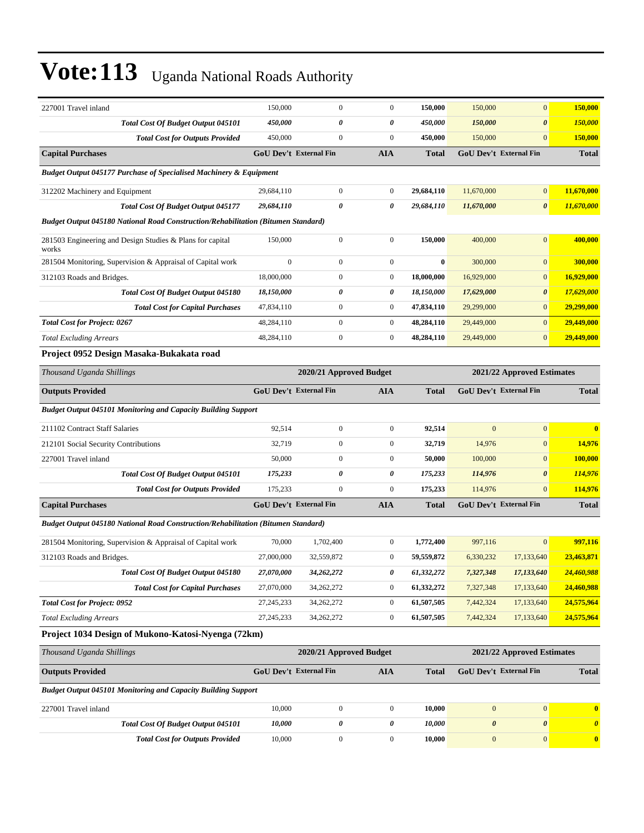| 227001 Travel inland                                                              | 150,000                       | $\mathbf{0}$            | $\overline{0}$   | 150,000                    | 150,000               | $\mathbf{0}$                  | 150,000               |
|-----------------------------------------------------------------------------------|-------------------------------|-------------------------|------------------|----------------------------|-----------------------|-------------------------------|-----------------------|
| Total Cost Of Budget Output 045101                                                | 450,000                       | 0                       | 0                | 450,000                    | 150,000               | $\boldsymbol{\theta}$         | 150,000               |
| <b>Total Cost for Outputs Provided</b>                                            | 450,000                       | $\boldsymbol{0}$        | $\boldsymbol{0}$ | 450,000                    | 150,000               | $\mathbf{0}$                  | <b>150,000</b>        |
| <b>Capital Purchases</b>                                                          | <b>GoU Dev't External Fin</b> |                         | <b>AIA</b>       | <b>Total</b>               |                       | GoU Dev't External Fin        | <b>Total</b>          |
| <b>Budget Output 045177 Purchase of Specialised Machinery &amp; Equipment</b>     |                               |                         |                  |                            |                       |                               |                       |
| 312202 Machinery and Equipment                                                    | 29,684,110                    | $\boldsymbol{0}$        | $\boldsymbol{0}$ | 29,684,110                 | 11,670,000            | $\mathbf{0}$                  | 11,670,000            |
| <b>Total Cost Of Budget Output 045177</b>                                         | 29,684,110                    | 0                       | 0                | 29,684,110                 | 11,670,000            | $\boldsymbol{\theta}$         | 11,670,000            |
| Budget Output 045180 National Road Construction/Rehabilitation (Bitumen Standard) |                               |                         |                  |                            |                       |                               |                       |
| 281503 Engineering and Design Studies & Plans for capital<br>works                | 150,000                       | $\boldsymbol{0}$        | $\mathbf{0}$     | 150,000                    | 400,000               | $\mathbf{0}$                  | 400,000               |
| 281504 Monitoring, Supervision & Appraisal of Capital work                        | $\boldsymbol{0}$              | $\boldsymbol{0}$        | $\boldsymbol{0}$ | $\bf{0}$                   | 300,000               | $\mathbf{0}$                  | 300,000               |
| 312103 Roads and Bridges.                                                         | 18,000,000                    | $\mathbf{0}$            | $\boldsymbol{0}$ | 18,000,000                 | 16,929,000            | $\mathbf{0}$                  | 16,929,000            |
| Total Cost Of Budget Output 045180                                                | 18,150,000                    | 0                       | 0                | 18,150,000                 | 17,629,000            | $\boldsymbol{\theta}$         | 17,629,000            |
| <b>Total Cost for Capital Purchases</b>                                           | 47,834,110                    | $\mathbf{0}$            | $\boldsymbol{0}$ | 47,834,110                 | 29,299,000            | $\mathbf{0}$                  | 29,299,000            |
| <b>Total Cost for Project: 0267</b>                                               | 48,284,110                    | $\boldsymbol{0}$        | $\boldsymbol{0}$ | 48,284,110                 | 29,449,000            | $\mathbf{0}$                  | 29,449,000            |
| <b>Total Excluding Arrears</b>                                                    | 48,284,110                    | $\boldsymbol{0}$        | $\boldsymbol{0}$ | 48,284,110                 | 29,449,000            | $\mathbf{0}$                  | 29,449,000            |
| Project 0952 Design Masaka-Bukakata road                                          |                               |                         |                  |                            |                       |                               |                       |
| Thousand Uganda Shillings                                                         | 2020/21 Approved Budget       |                         |                  | 2021/22 Approved Estimates |                       |                               |                       |
| <b>Outputs Provided</b>                                                           | <b>GoU Dev't External Fin</b> |                         | <b>AIA</b>       | <b>Total</b>               |                       | <b>GoU Dev't External Fin</b> | <b>Total</b>          |
| <b>Budget Output 045101 Monitoring and Capacity Building Support</b>              |                               |                         |                  |                            |                       |                               |                       |
| 211102 Contract Staff Salaries                                                    | 92,514                        | $\mathbf{0}$            | $\boldsymbol{0}$ | 92,514                     | $\mathbf{0}$          | $\boldsymbol{0}$              | $\bf{0}$              |
| 212101 Social Security Contributions                                              | 32,719                        | $\boldsymbol{0}$        | $\boldsymbol{0}$ | 32,719                     | 14,976                | $\mathbf{0}$                  | 14,976                |
| 227001 Travel inland                                                              | 50,000                        | $\mathbf{0}$            | $\boldsymbol{0}$ | 50,000                     | 100,000               | $\mathbf{0}$                  | 100,000               |
| <b>Total Cost Of Budget Output 045101</b>                                         | 175,233                       | 0                       | 0                | 175,233                    | 114,976               | $\boldsymbol{\theta}$         | 114,976               |
| <b>Total Cost for Outputs Provided</b>                                            | 175,233                       | $\boldsymbol{0}$        | $\boldsymbol{0}$ | 175,233                    | 114,976               | $\mathbf{0}$                  | 114,976               |
| <b>Capital Purchases</b>                                                          | <b>GoU Dev't External Fin</b> |                         | <b>AIA</b>       | <b>Total</b>               |                       | <b>GoU Dev't External Fin</b> | <b>Total</b>          |
| Budget Output 045180 National Road Construction/Rehabilitation (Bitumen Standard) |                               |                         |                  |                            |                       |                               |                       |
| 281504 Monitoring, Supervision & Appraisal of Capital work                        | 70,000                        | 1,702,400               | $\boldsymbol{0}$ | 1,772,400                  | 997,116               | $\mathbf{0}$                  | 997,116               |
| 312103 Roads and Bridges.                                                         | 27,000,000                    | 32,559,872              | $\boldsymbol{0}$ | 59,559,872                 | 6,330,232             | 17,133,640                    | 23,463,871            |
| Total Cost Of Budget Output 045180                                                | 27,070,000                    | 34,262,272              | 0                | 61,332,272                 | 7,327,348             | 17,133,640                    | 24,460,988            |
| <b>Total Cost for Capital Purchases</b>                                           | 27,070,000                    | 34,262,272              | $\boldsymbol{0}$ | 61,332,272                 | 7,327,348             | 17,133,640                    | 24,460,988            |
| <b>Total Cost for Project: 0952</b>                                               | 27, 245, 233                  | 34,262,272              | $\boldsymbol{0}$ | 61,507,505                 | 7,442,324             | 17,133,640                    | 24,575,964            |
| <b>Total Excluding Arrears</b>                                                    | 27, 245, 233                  | 34,262,272              | $\boldsymbol{0}$ | 61,507,505                 | 7,442,324             | 17,133,640                    | 24,575,964            |
| Project 1034 Design of Mukono-Katosi-Nyenga (72km)                                |                               |                         |                  |                            |                       |                               |                       |
| Thousand Uganda Shillings                                                         |                               | 2020/21 Approved Budget |                  |                            |                       | 2021/22 Approved Estimates    |                       |
| <b>Outputs Provided</b>                                                           | GoU Dev't External Fin        |                         | <b>AIA</b>       | <b>Total</b>               |                       | GoU Dev't External Fin        | <b>Total</b>          |
| <b>Budget Output 045101 Monitoring and Capacity Building Support</b>              |                               |                         |                  |                            |                       |                               |                       |
| 227001 Travel inland                                                              | 10,000                        | $\boldsymbol{0}$        | $\boldsymbol{0}$ | 10,000                     | $\boldsymbol{0}$      | $\boldsymbol{0}$              | $\bf{0}$              |
| <b>Total Cost Of Budget Output 045101</b>                                         | 10,000                        | 0                       | 0                | 10,000                     | $\boldsymbol{\theta}$ | $\pmb{\theta}$                | $\boldsymbol{\theta}$ |
| <b>Total Cost for Outputs Provided</b>                                            | 10,000                        | $\boldsymbol{0}$        | $\boldsymbol{0}$ | 10,000                     | $\boldsymbol{0}$      | $\mathbf{0}$                  | $\bf{0}$              |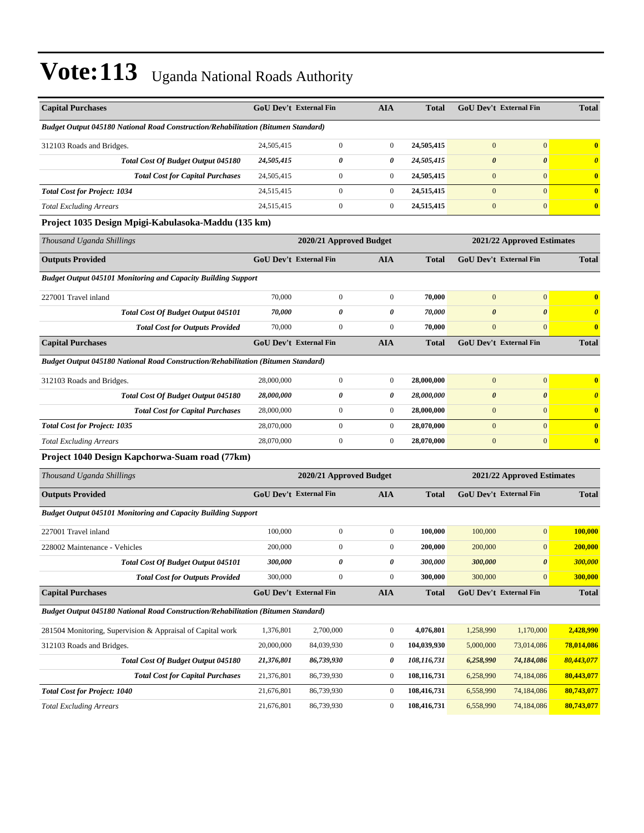| <b>Capital Purchases</b>                                                                 |                               | <b>GoU Dev't External Fin</b> | <b>AIA</b>       | <b>Total</b>               |                       | GoU Dev't External Fin        | <b>Total</b>          |
|------------------------------------------------------------------------------------------|-------------------------------|-------------------------------|------------------|----------------------------|-----------------------|-------------------------------|-----------------------|
| <b>Budget Output 045180 National Road Construction/Rehabilitation (Bitumen Standard)</b> |                               |                               |                  |                            |                       |                               |                       |
| 312103 Roads and Bridges.                                                                | 24,505,415                    | $\boldsymbol{0}$              | $\boldsymbol{0}$ | 24,505,415                 | $\mathbf{0}$          | $\mathbf{0}$                  | $\bf{0}$              |
| <b>Total Cost Of Budget Output 045180</b>                                                | 24,505,415                    | 0                             | 0                | 24,505,415                 | $\boldsymbol{\theta}$ | $\boldsymbol{\theta}$         | $\boldsymbol{\theta}$ |
| <b>Total Cost for Capital Purchases</b>                                                  | 24,505,415                    | $\boldsymbol{0}$              | $\boldsymbol{0}$ | 24,505,415                 | $\boldsymbol{0}$      | $\mathbf{0}$                  | $\bf{0}$              |
| <b>Total Cost for Project: 1034</b>                                                      | 24,515,415                    | $\overline{0}$                | $\boldsymbol{0}$ | 24,515,415                 | $\mathbf{0}$          | $\overline{0}$                | $\bf{0}$              |
| <b>Total Excluding Arrears</b>                                                           | 24,515,415                    | $\boldsymbol{0}$              | $\boldsymbol{0}$ | 24,515,415                 | $\mathbf{0}$          | $\mathbf{0}$                  | $\bf{0}$              |
| Project 1035 Design Mpigi-Kabulasoka-Maddu (135 km)                                      |                               |                               |                  |                            |                       |                               |                       |
| Thousand Uganda Shillings                                                                |                               | 2020/21 Approved Budget       |                  |                            |                       | 2021/22 Approved Estimates    |                       |
| <b>Outputs Provided</b>                                                                  | GoU Dev't External Fin        |                               | <b>AIA</b>       | <b>Total</b>               |                       | GoU Dev't External Fin        | <b>Total</b>          |
| <b>Budget Output 045101 Monitoring and Capacity Building Support</b>                     |                               |                               |                  |                            |                       |                               |                       |
| 227001 Travel inland                                                                     | 70,000                        | $\boldsymbol{0}$              | $\boldsymbol{0}$ | 70,000                     | $\mathbf{0}$          | $\mathbf{0}$                  | $\bf{0}$              |
| Total Cost Of Budget Output 045101                                                       | 70,000                        | $\boldsymbol{\theta}$         | $\pmb{\theta}$   | 70,000                     | $\boldsymbol{\theta}$ | 0                             | $\boldsymbol{\theta}$ |
| <b>Total Cost for Outputs Provided</b>                                                   | 70,000                        | $\boldsymbol{0}$              | $\boldsymbol{0}$ | 70,000                     | $\mathbf{0}$          | $\overline{0}$                | $\bf{0}$              |
| <b>Capital Purchases</b>                                                                 | GoU Dev't External Fin        |                               | <b>AIA</b>       | <b>Total</b>               |                       | <b>GoU Dev't External Fin</b> | <b>Total</b>          |
| Budget Output 045180 National Road Construction/Rehabilitation (Bitumen Standard)        |                               |                               |                  |                            |                       |                               |                       |
| 312103 Roads and Bridges.                                                                | 28,000,000                    | $\boldsymbol{0}$              | $\boldsymbol{0}$ | 28,000,000                 | $\mathbf{0}$          | $\mathbf{0}$                  | $\bf{0}$              |
| Total Cost Of Budget Output 045180                                                       | 28,000,000                    | 0                             | 0                | 28,000,000                 | $\boldsymbol{\theta}$ | $\boldsymbol{\theta}$         | $\boldsymbol{\theta}$ |
| <b>Total Cost for Capital Purchases</b>                                                  | 28,000,000                    | $\boldsymbol{0}$              | $\boldsymbol{0}$ | 28,000,000                 | $\mathbf{0}$          | $\mathbf{0}$                  | $\bf{0}$              |
| <b>Total Cost for Project: 1035</b>                                                      | 28,070,000                    | $\boldsymbol{0}$              | $\boldsymbol{0}$ | 28,070,000                 | $\mathbf{0}$          | $\overline{0}$                | $\bf{0}$              |
| <b>Total Excluding Arrears</b>                                                           | 28,070,000                    | $\boldsymbol{0}$              | $\boldsymbol{0}$ | 28,070,000                 | $\boldsymbol{0}$      | $\mathbf{0}$                  | $\bf{0}$              |
| Project 1040 Design Kapchorwa-Suam road (77km)                                           |                               |                               |                  |                            |                       |                               |                       |
| Thousand Uganda Shillings                                                                |                               | 2020/21 Approved Budget       |                  | 2021/22 Approved Estimates |                       |                               |                       |
| <b>Outputs Provided</b>                                                                  | <b>GoU Dev't External Fin</b> |                               | <b>AIA</b>       | <b>Total</b>               |                       | <b>GoU Dev't External Fin</b> | <b>Total</b>          |
| <b>Budget Output 045101 Monitoring and Capacity Building Support</b>                     |                               |                               |                  |                            |                       |                               |                       |
| 227001 Travel inland                                                                     | 100,000                       | $\boldsymbol{0}$              | $\boldsymbol{0}$ | 100,000                    | 100,000               | $\overline{0}$                | 100,000               |
| 228002 Maintenance - Vehicles                                                            | 200,000                       | $\boldsymbol{0}$              | $\boldsymbol{0}$ | 200,000                    | 200,000               | $\boldsymbol{0}$              | 200,000               |
| Total Cost Of Budget Output 045101                                                       | 300,000                       | 0                             | 0                | 300,000                    | 300,000               | $\boldsymbol{\theta}$         | 300,000               |
| <b>Total Cost for Outputs Provided</b>                                                   | 300,000                       | $\boldsymbol{0}$              | $\boldsymbol{0}$ | 300,000                    | 300,000               | $\vert 0 \vert$               | 300,000               |
| <b>Capital Purchases</b>                                                                 |                               | GoU Dev't External Fin        | <b>AIA</b>       | <b>Total</b>               |                       | GoU Dev't External Fin        | <b>Total</b>          |
| <b>Budget Output 045180 National Road Construction/Rehabilitation (Bitumen Standard)</b> |                               |                               |                  |                            |                       |                               |                       |
| 281504 Monitoring, Supervision & Appraisal of Capital work                               | 1,376,801                     | 2,700,000                     | $\boldsymbol{0}$ | 4,076,801                  | 1,258,990             | 1,170,000                     | 2,428,990             |
| 312103 Roads and Bridges.                                                                | 20,000,000                    | 84,039,930                    | $\boldsymbol{0}$ | 104,039,930                | 5,000,000             | 73,014,086                    | 78,014,086            |
| Total Cost Of Budget Output 045180                                                       | 21,376,801                    | 86,739,930                    | 0                | 108,116,731                | 6,258,990             | 74,184,086                    | 80,443,077            |
| <b>Total Cost for Capital Purchases</b>                                                  | 21,376,801                    | 86,739,930                    | $\boldsymbol{0}$ | 108,116,731                | 6,258,990             | 74,184,086                    | 80,443,077            |
| <b>Total Cost for Project: 1040</b>                                                      | 21,676,801                    | 86,739,930                    | $\boldsymbol{0}$ | 108,416,731                | 6,558,990             | 74,184,086                    | 80,743,077            |
| <b>Total Excluding Arrears</b>                                                           | 21,676,801                    | 86,739,930                    | $\boldsymbol{0}$ | 108,416,731                | 6,558,990             | 74,184,086                    | 80,743,077            |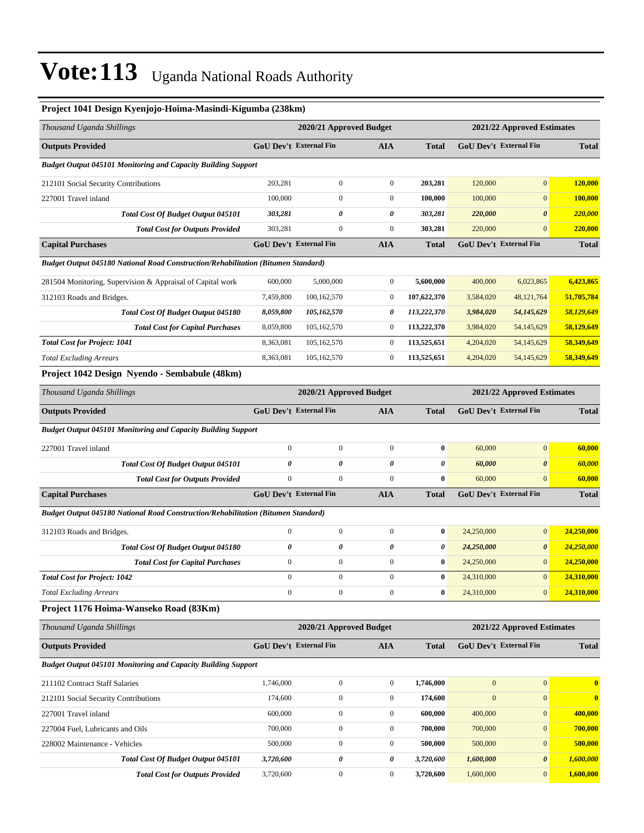#### **Project 1041 Design Kyenjojo-Hoima-Masindi-Kigumba (238km)**

| Thousand Uganda Shillings                                                                |                  | 2020/21 Approved Budget       |                  |              |                  | 2021/22 Approved Estimates    |              |
|------------------------------------------------------------------------------------------|------------------|-------------------------------|------------------|--------------|------------------|-------------------------------|--------------|
| <b>Outputs Provided</b>                                                                  |                  | <b>GoU Dev't External Fin</b> | <b>AIA</b>       | Total        |                  | GoU Dev't External Fin        | <b>Total</b> |
| Budget Output 045101 Monitoring and Capacity Building Support                            |                  |                               |                  |              |                  |                               |              |
| 212101 Social Security Contributions                                                     | 203,281          | $\boldsymbol{0}$              | $\boldsymbol{0}$ | 203,281      | 120,000          | $\mathbf{0}$                  | 120,000      |
| 227001 Travel inland                                                                     | 100,000          | $\overline{0}$                | $\boldsymbol{0}$ | 100,000      | 100,000          | $\boldsymbol{0}$              | 100,000      |
| Total Cost Of Budget Output 045101                                                       | 303,281          | 0                             | 0                | 303,281      | 220,000          | $\boldsymbol{\theta}$         | 220,000      |
| <b>Total Cost for Outputs Provided</b>                                                   | 303,281          | $\mathbf{0}$                  | $\boldsymbol{0}$ | 303,281      | 220,000          | $\mathbf{0}$                  | 220,000      |
| <b>Capital Purchases</b>                                                                 |                  | GoU Dev't External Fin        | <b>AIA</b>       | <b>Total</b> |                  | GoU Dev't External Fin        | <b>Total</b> |
| <b>Budget Output 045180 National Road Construction/Rehabilitation (Bitumen Standard)</b> |                  |                               |                  |              |                  |                               |              |
| 281504 Monitoring, Supervision & Appraisal of Capital work                               | 600,000          | 5,000,000                     | $\boldsymbol{0}$ | 5,600,000    | 400,000          | 6,023,865                     | 6,423,865    |
| 312103 Roads and Bridges.                                                                | 7,459,800        | 100,162,570                   | $\mathbf{0}$     | 107,622,370  | 3,584,020        | 48, 121, 764                  | 51,705,784   |
| <b>Total Cost Of Budget Output 045180</b>                                                | 8,059,800        | 105,162,570                   | 0                | 113,222,370  | 3,984,020        | 54,145,629                    | 58,129,649   |
| <b>Total Cost for Capital Purchases</b>                                                  | 8,059,800        | 105,162,570                   | $\boldsymbol{0}$ | 113,222,370  | 3,984,020        | 54,145,629                    | 58,129,649   |
| <b>Total Cost for Project: 1041</b>                                                      | 8,363,081        | 105,162,570                   | $\boldsymbol{0}$ | 113,525,651  | 4,204,020        | 54,145,629                    | 58,349,649   |
| <b>Total Excluding Arrears</b>                                                           | 8,363,081        | 105,162,570                   | $\boldsymbol{0}$ | 113,525,651  | 4,204,020        | 54,145,629                    | 58,349,649   |
| Project 1042 Design Nyendo - Sembabule (48km)                                            |                  |                               |                  |              |                  |                               |              |
| Thousand Uganda Shillings                                                                |                  | 2020/21 Approved Budget       |                  |              |                  | 2021/22 Approved Estimates    |              |
| <b>Outputs Provided</b>                                                                  |                  | <b>GoU Dev't External Fin</b> | <b>AIA</b>       | Total        |                  | GoU Dev't External Fin        | <b>Total</b> |
| <b>Budget Output 045101 Monitoring and Capacity Building Support</b>                     |                  |                               |                  |              |                  |                               |              |
| 227001 Travel inland                                                                     | $\mathbf{0}$     | $\boldsymbol{0}$              | $\boldsymbol{0}$ | $\bf{0}$     | 60,000           | $\mathbf{0}$                  | 60,000       |
| Total Cost Of Budget Output 045101                                                       | 0                | 0                             | 0                | 0            | 60,000           | $\boldsymbol{\theta}$         | 60,000       |
| <b>Total Cost for Outputs Provided</b>                                                   | $\mathbf{0}$     | $\boldsymbol{0}$              | $\overline{0}$   | $\bf{0}$     | 60,000           | $\mathbf{0}$                  | 60,000       |
| <b>Capital Purchases</b>                                                                 |                  | <b>GoU Dev't External Fin</b> | <b>AIA</b>       | Total        |                  | GoU Dev't External Fin        | <b>Total</b> |
| Budget Output 045180 National Road Construction/Rehabilitation (Bitumen Standard)        |                  |                               |                  |              |                  |                               |              |
| 312103 Roads and Bridges.                                                                | $\mathbf{0}$     | $\boldsymbol{0}$              | $\boldsymbol{0}$ | $\bf{0}$     | 24,250,000       | $\boldsymbol{0}$              | 24,250,000   |
| Total Cost Of Budget Output 045180                                                       | 0                | 0                             | 0                | 0            | 24,250,000       | $\pmb{\theta}$                | 24,250,000   |
| <b>Total Cost for Capital Purchases</b>                                                  | $\mathbf{0}$     | $\boldsymbol{0}$              | $\boldsymbol{0}$ | $\bf{0}$     | 24,250,000       | $\mathbf{0}$                  | 24,250,000   |
| <b>Total Cost for Project: 1042</b>                                                      | $\mathbf{0}$     | $\boldsymbol{0}$              | $\boldsymbol{0}$ | $\bf{0}$     | 24,310,000       | $\mathbf{0}$                  | 24,310,000   |
| <b>Total Excluding Arrears</b>                                                           | $\boldsymbol{0}$ | $\boldsymbol{0}$              | $\boldsymbol{0}$ | $\bf{0}$     | 24,310,000       | $\boldsymbol{0}$              | 24,310,000   |
| Project 1176 Hoima-Wanseko Road (83Km)                                                   |                  |                               |                  |              |                  |                               |              |
| Thousand Uganda Shillings                                                                |                  | 2020/21 Approved Budget       |                  |              |                  | 2021/22 Approved Estimates    |              |
| <b>Outputs Provided</b>                                                                  |                  | <b>GoU Dev't External Fin</b> | <b>AIA</b>       | Total        |                  | <b>GoU Dev't External Fin</b> | <b>Total</b> |
| <b>Budget Output 045101 Monitoring and Capacity Building Support</b>                     |                  |                               |                  |              |                  |                               |              |
| 211102 Contract Staff Salaries                                                           | 1,746,000        | $\mathbf{0}$                  | $\boldsymbol{0}$ | 1,746,000    | $\boldsymbol{0}$ | $\boldsymbol{0}$              | $\bf{0}$     |
| 212101 Social Security Contributions                                                     | 174,600          | $\boldsymbol{0}$              | $\boldsymbol{0}$ | 174,600      | $\overline{0}$   | $\boldsymbol{0}$              | $\bf{0}$     |
| 227001 Travel inland                                                                     | 600,000          | $\boldsymbol{0}$              | $\boldsymbol{0}$ | 600,000      | 400,000          | $\boldsymbol{0}$              | 400,000      |
| 227004 Fuel, Lubricants and Oils                                                         | 700,000          | $\boldsymbol{0}$              | $\boldsymbol{0}$ | 700,000      | 700,000          | $\boldsymbol{0}$              | 700,000      |
| 228002 Maintenance - Vehicles                                                            | 500,000          | $\boldsymbol{0}$              | $\boldsymbol{0}$ | 500,000      | 500,000          | $\boldsymbol{0}$              | 500,000      |
| Total Cost Of Budget Output 045101                                                       | 3,720,600        | $\pmb{\theta}$                | 0                | 3,720,600    | 1,600,000        | $\pmb{\theta}$                | 1,600,000    |
| <b>Total Cost for Outputs Provided</b>                                                   | 3,720,600        | $\boldsymbol{0}$              | $\boldsymbol{0}$ | 3,720,600    | 1,600,000        | $\mathbf{0}$                  | 1,600,000    |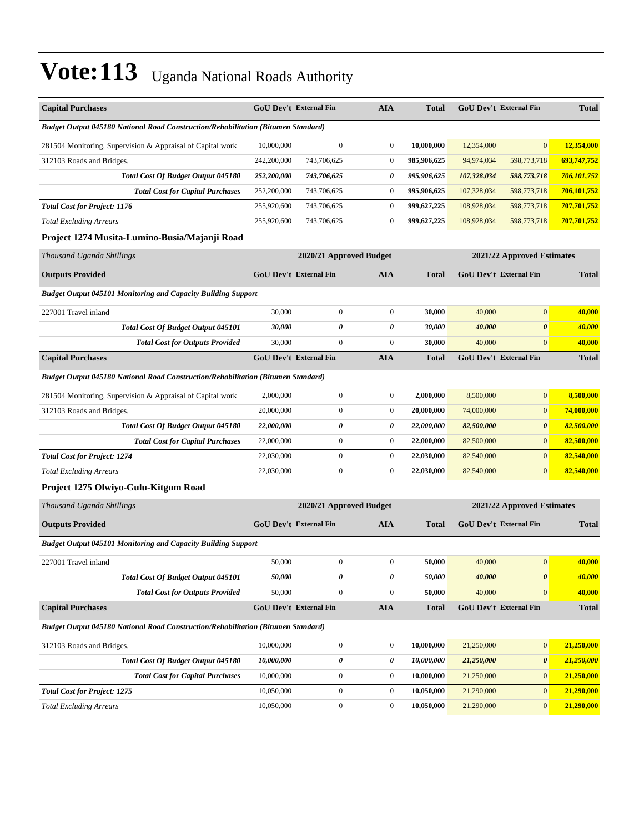| <b>Capital Purchases</b>                                                                 |             | <b>GoU Dev't External Fin</b> | <b>AIA</b>       | <b>Total</b> |                        | GoU Dev't External Fin        | <b>Total</b> |
|------------------------------------------------------------------------------------------|-------------|-------------------------------|------------------|--------------|------------------------|-------------------------------|--------------|
| <b>Budget Output 045180 National Road Construction/Rehabilitation (Bitumen Standard)</b> |             |                               |                  |              |                        |                               |              |
| 281504 Monitoring, Supervision & Appraisal of Capital work                               | 10,000,000  | $\boldsymbol{0}$              | $\boldsymbol{0}$ | 10,000,000   | 12,354,000             | $\mathbf{0}$                  | 12,354,000   |
| 312103 Roads and Bridges.                                                                | 242,200,000 | 743,706,625                   | $\boldsymbol{0}$ | 985,906,625  | 94,974,034             | 598,773,718                   | 693,747,752  |
| Total Cost Of Budget Output 045180                                                       | 252,200,000 | 743,706,625                   | 0                | 995,906,625  | 107,328,034            | 598,773,718                   | 706,101,752  |
| <b>Total Cost for Capital Purchases</b>                                                  | 252,200,000 | 743,706,625                   | $\boldsymbol{0}$ | 995,906,625  | 107,328,034            | 598,773,718                   | 706,101,752  |
| <b>Total Cost for Project: 1176</b>                                                      | 255,920,600 | 743,706,625                   | $\boldsymbol{0}$ | 999,627,225  | 108,928,034            | 598,773,718                   | 707,701,752  |
| <b>Total Excluding Arrears</b>                                                           | 255,920,600 | 743,706,625                   | $\boldsymbol{0}$ | 999,627,225  | 108,928,034            | 598,773,718                   | 707,701,752  |
| Project 1274 Musita-Lumino-Busia/Majanji Road                                            |             |                               |                  |              |                        |                               |              |
| Thousand Uganda Shillings                                                                |             | 2020/21 Approved Budget       |                  |              |                        | 2021/22 Approved Estimates    |              |
| <b>Outputs Provided</b>                                                                  |             | GoU Dev't External Fin        | <b>AIA</b>       | Total        |                        | GoU Dev't External Fin        | <b>Total</b> |
| <b>Budget Output 045101 Monitoring and Capacity Building Support</b>                     |             |                               |                  |              |                        |                               |              |
| 227001 Travel inland                                                                     | 30,000      | 0                             | $\boldsymbol{0}$ | 30,000       | 40,000                 | $\boldsymbol{0}$              | 40,000       |
| Total Cost Of Budget Output 045101                                                       | 30,000      | 0                             | 0                | 30,000       | 40,000                 | $\boldsymbol{\theta}$         | 40,000       |
| <b>Total Cost for Outputs Provided</b>                                                   | 30,000      | $\mathbf{0}$                  | $\boldsymbol{0}$ | 30,000       | 40,000                 | $\mathbf{0}$                  | 40,000       |
| <b>Capital Purchases</b>                                                                 |             | <b>GoU Dev't External Fin</b> | <b>AIA</b>       | Total        |                        | <b>GoU Dev't External Fin</b> | <b>Total</b> |
| <b>Budget Output 045180 National Road Construction/Rehabilitation (Bitumen Standard)</b> |             |                               |                  |              |                        |                               |              |
| 281504 Monitoring, Supervision & Appraisal of Capital work                               | 2,000,000   | $\boldsymbol{0}$              | $\boldsymbol{0}$ | 2,000,000    | 8,500,000              | $\mathbf{0}$                  | 8.500.000    |
| 312103 Roads and Bridges.                                                                | 20,000,000  | 0                             | $\boldsymbol{0}$ | 20,000,000   | 74,000,000             | $\mathbf{0}$                  | 74,000,000   |
| <b>Total Cost Of Budget Output 045180</b>                                                | 22,000,000  | 0                             | 0                | 22,000,000   | 82,500,000             | $\boldsymbol{\theta}$         | 82,500,000   |
| <b>Total Cost for Capital Purchases</b>                                                  | 22,000,000  | $\boldsymbol{0}$              | $\boldsymbol{0}$ | 22,000,000   | 82,500,000             | $\mathbf{0}$                  | 82,500,000   |
| <b>Total Cost for Project: 1274</b>                                                      | 22,030,000  | $\boldsymbol{0}$              | $\boldsymbol{0}$ | 22,030,000   | 82,540,000             | $\mathbf{0}$                  | 82,540,000   |
| <b>Total Excluding Arrears</b>                                                           | 22,030,000  | $\boldsymbol{0}$              | $\boldsymbol{0}$ | 22,030,000   | 82,540,000             | $\mathbf{0}$                  | 82,540,000   |
| Project 1275 Olwiyo-Gulu-Kitgum Road                                                     |             |                               |                  |              |                        |                               |              |
| Thousand Uganda Shillings                                                                |             | 2020/21 Approved Budget       |                  |              |                        | 2021/22 Approved Estimates    |              |
| <b>Outputs Provided</b>                                                                  |             | GoU Dev't External Fin        | AIA              | <b>Total</b> |                        | GoU Dev't External Fin        | <b>Total</b> |
| <b>Budget Output 045101 Monitoring and Capacity Building Support</b>                     |             |                               |                  |              |                        |                               |              |
| 227001 Travel inland                                                                     | 50,000      | 0                             | $\boldsymbol{0}$ | 50,000       | 40,000                 | $\mathbf{0}$                  | 40,000       |
| Total Cost Of Budget Output 045101                                                       | 50,000      | 0                             | 0                | 50,000       | 40,000                 | $\pmb{\theta}$                | 40,000       |
| <b>Total Cost for Outputs Provided</b>                                                   | 50,000      | $\mathbf{0}$                  | $\boldsymbol{0}$ | 50,000       | 40,000                 | $\mathbf{0}$                  | 40,000       |
| <b>Capital Purchases</b>                                                                 |             | <b>GoU Dev't External Fin</b> | <b>AIA</b>       | <b>Total</b> | GoU Dev't External Fin |                               | <b>Total</b> |
| Budget Output 045180 National Road Construction/Rehabilitation (Bitumen Standard)        |             |                               |                  |              |                        |                               |              |
| 312103 Roads and Bridges.                                                                | 10,000,000  | $\boldsymbol{0}$              | $\boldsymbol{0}$ | 10,000,000   | 21,250,000             | $\mathbf{0}$                  | 21,250,000   |
| Total Cost Of Budget Output 045180                                                       | 10,000,000  | $\pmb{\theta}$                | 0                | 10,000,000   | 21,250,000             | $\boldsymbol{\theta}$         | 21,250,000   |
| <b>Total Cost for Capital Purchases</b>                                                  | 10,000,000  | $\boldsymbol{0}$              | $\boldsymbol{0}$ | 10,000,000   | 21,250,000             | $\mathbf{0}$                  | 21,250,000   |
| <b>Total Cost for Project: 1275</b>                                                      | 10,050,000  | $\boldsymbol{0}$              | $\boldsymbol{0}$ | 10,050,000   | 21,290,000             | $\mathbf{0}$                  | 21,290,000   |
| <b>Total Excluding Arrears</b>                                                           | 10,050,000  | $\boldsymbol{0}$              | $\boldsymbol{0}$ | 10,050,000   | 21,290,000             | $\mathbf{0}$                  | 21,290,000   |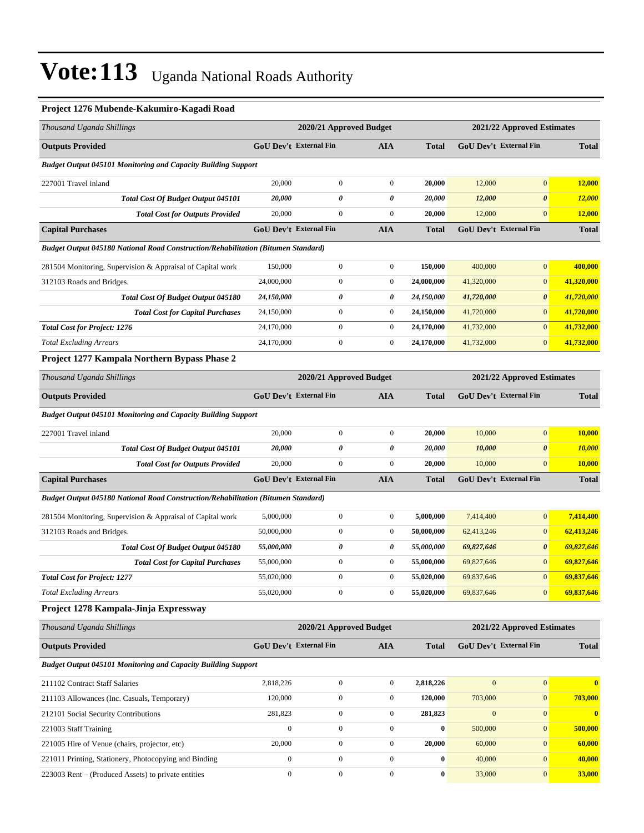### **Project 1276 Mubende-Kakumiro-Kagadi Road**

| Thousand Uganda Shillings                                                         |                               | 2020/21 Approved Budget |                  |              |                  | 2021/22 Approved Estimates    |                  |
|-----------------------------------------------------------------------------------|-------------------------------|-------------------------|------------------|--------------|------------------|-------------------------------|------------------|
| <b>Outputs Provided</b>                                                           | <b>GoU Dev't External Fin</b> |                         | <b>AIA</b>       | <b>Total</b> |                  | <b>GoU Dev't External Fin</b> | <b>Total</b>     |
| <b>Budget Output 045101 Monitoring and Capacity Building Support</b>              |                               |                         |                  |              |                  |                               |                  |
| 227001 Travel inland                                                              | 20,000                        | $\boldsymbol{0}$        | $\boldsymbol{0}$ | 20,000       | 12,000           | $\mathbf{0}$                  | 12,000           |
| <b>Total Cost Of Budget Output 045101</b>                                         | 20,000                        | 0                       | 0                | 20,000       | 12,000           | $\boldsymbol{\theta}$         | 12,000           |
| <b>Total Cost for Outputs Provided</b>                                            | 20,000                        | $\boldsymbol{0}$        | $\boldsymbol{0}$ | 20,000       | 12,000           | $\mathbf{0}$                  | 12,000           |
| <b>Capital Purchases</b>                                                          | <b>GoU Dev't External Fin</b> |                         | <b>AIA</b>       | Total        |                  | <b>GoU Dev't External Fin</b> | <b>Total</b>     |
| Budget Output 045180 National Road Construction/Rehabilitation (Bitumen Standard) |                               |                         |                  |              |                  |                               |                  |
| 281504 Monitoring, Supervision & Appraisal of Capital work                        | 150,000                       | $\boldsymbol{0}$        | $\boldsymbol{0}$ | 150,000      | 400,000          | $\mathbf{0}$                  | 400,000          |
| 312103 Roads and Bridges.                                                         | 24,000,000                    | $\boldsymbol{0}$        | $\boldsymbol{0}$ | 24,000,000   | 41,320,000       | $\mathbf{0}$                  | 41,320,000       |
| Total Cost Of Budget Output 045180                                                | 24,150,000                    | 0                       | 0                | 24,150,000   | 41,720,000       | $\boldsymbol{\theta}$         | 41,720,000       |
| <b>Total Cost for Capital Purchases</b>                                           | 24,150,000                    | $\boldsymbol{0}$        | $\boldsymbol{0}$ | 24,150,000   | 41,720,000       | $\mathbf{0}$                  | 41,720,000       |
| <b>Total Cost for Project: 1276</b>                                               | 24,170,000                    | $\boldsymbol{0}$        | $\boldsymbol{0}$ | 24,170,000   | 41,732,000       | $\mathbf{0}$                  | 41,732,000       |
| <b>Total Excluding Arrears</b>                                                    | 24,170,000                    | $\boldsymbol{0}$        | $\boldsymbol{0}$ | 24,170,000   | 41,732,000       | $\mathbf{0}$                  | 41,732,000       |
| Project 1277 Kampala Northern Bypass Phase 2                                      |                               |                         |                  |              |                  |                               |                  |
| Thousand Uganda Shillings                                                         |                               | 2020/21 Approved Budget |                  |              |                  | 2021/22 Approved Estimates    |                  |
| <b>Outputs Provided</b>                                                           | GoU Dev't External Fin        |                         | <b>AIA</b>       | <b>Total</b> |                  | GoU Dev't External Fin        | <b>Total</b>     |
| <b>Budget Output 045101 Monitoring and Capacity Building Support</b>              |                               |                         |                  |              |                  |                               |                  |
| 227001 Travel inland                                                              | 20,000                        | $\boldsymbol{0}$        | $\boldsymbol{0}$ | 20,000       | 10,000           | $\mathbf{0}$                  | 10,000           |
| Total Cost Of Budget Output 045101                                                | 20,000                        | 0                       | 0                | 20,000       | 10,000           | $\boldsymbol{\theta}$         | 10,000           |
| <b>Total Cost for Outputs Provided</b>                                            | 20,000                        | $\mathbf{0}$            | $\boldsymbol{0}$ | 20,000       | 10,000           | $\mathbf{0}$                  | 10,000           |
| <b>Capital Purchases</b>                                                          | GoU Dev't External Fin        |                         | <b>AIA</b>       | <b>Total</b> |                  | GoU Dev't External Fin        | <b>Total</b>     |
| Budget Output 045180 National Road Construction/Rehabilitation (Bitumen Standard) |                               |                         |                  |              |                  |                               |                  |
| 281504 Monitoring, Supervision & Appraisal of Capital work                        | 5,000,000                     | $\boldsymbol{0}$        | $\boldsymbol{0}$ | 5,000,000    | 7,414,400        | $\mathbf{0}$                  | 7,414,400        |
| 312103 Roads and Bridges.                                                         | 50,000,000                    | $\boldsymbol{0}$        | $\boldsymbol{0}$ | 50,000,000   | 62,413,246       | $\mathbf{0}$                  | 62,413,246       |
| <b>Total Cost Of Budget Output 045180</b>                                         | 55,000,000                    | 0                       | 0                | 55,000,000   | 69,827,646       | $\boldsymbol{\theta}$         | 69,827,646       |
| <b>Total Cost for Capital Purchases</b>                                           | 55,000,000                    | $\boldsymbol{0}$        | $\boldsymbol{0}$ | 55,000,000   | 69,827,646       | $\mathbf{0}$                  | 69,827,646       |
| <b>Total Cost for Project: 1277</b>                                               | 55,020,000                    | $\boldsymbol{0}$        | $\boldsymbol{0}$ | 55,020,000   | 69,837,646       | $\mathbf{0}$                  | 69,837,646       |
| <b>Total Excluding Arrears</b>                                                    | 55,020,000                    | $\boldsymbol{0}$        | $\boldsymbol{0}$ | 55,020,000   | 69,837,646       | $\mathbf{0}$                  | 69,837,646       |
| Project 1278 Kampala-Jinja Expressway                                             |                               |                         |                  |              |                  |                               |                  |
| Thousand Uganda Shillings                                                         |                               | 2020/21 Approved Budget |                  |              |                  | 2021/22 Approved Estimates    |                  |
| <b>Outputs Provided</b>                                                           | <b>GoU Dev't External Fin</b> |                         | <b>AIA</b>       | <b>Total</b> |                  | GoU Dev't External Fin        | <b>Total</b>     |
| Budget Output 045101 Monitoring and Capacity Building Support                     |                               |                         |                  |              |                  |                               |                  |
| 211102 Contract Staff Salaries                                                    | 2,818,226                     | $\boldsymbol{0}$        | $\boldsymbol{0}$ | 2,818,226    | $\mathbf{0}$     | $\mathbf{0}$                  | $\bf{0}$         |
| 211103 Allowances (Inc. Casuals, Temporary)                                       | 120,000                       | $\mathbf{0}$            | $\boldsymbol{0}$ | 120,000      | 703,000          | $\mathbf{0}$                  | 703,000          |
| 212101 Social Security Contributions                                              | 281,823                       | $\boldsymbol{0}$        | $\boldsymbol{0}$ | 281,823      | $\boldsymbol{0}$ | $\mathbf{0}$                  | $\boldsymbol{0}$ |
| 221003 Staff Training                                                             | $\boldsymbol{0}$              | $\boldsymbol{0}$        | $\boldsymbol{0}$ | 0            | 500,000          | $\mathbf{0}$                  | 500,000          |
| 221005 Hire of Venue (chairs, projector, etc)                                     | 20,000                        | $\boldsymbol{0}$        | $\boldsymbol{0}$ | 20,000       | 60,000           | $\mathbf{0}$                  | 60,000           |
| 221011 Printing, Stationery, Photocopying and Binding                             | $\mathbf{0}$                  | $\boldsymbol{0}$        | $\boldsymbol{0}$ | 0            | 40,000           | $\mathbf{0}$                  | 40,000           |
| 223003 Rent – (Produced Assets) to private entities                               | $\boldsymbol{0}$              | $\boldsymbol{0}$        | $\boldsymbol{0}$ | 0            | 33,000           | $\mathbf{0}$                  | 33,000           |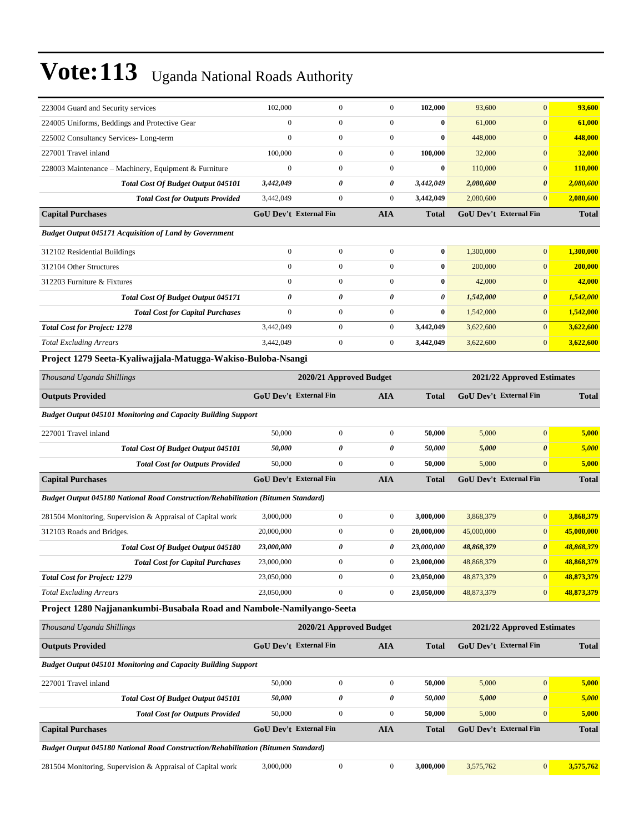| 223004 Guard and Security services                                                | 102,000                       | $\boldsymbol{0}$        | $\boldsymbol{0}$        | 102,000      | 93,600     | $\mathbf{0}$                  | 93,600       |
|-----------------------------------------------------------------------------------|-------------------------------|-------------------------|-------------------------|--------------|------------|-------------------------------|--------------|
| 224005 Uniforms, Beddings and Protective Gear                                     | $\boldsymbol{0}$              | $\boldsymbol{0}$        | $\boldsymbol{0}$        | $\bf{0}$     | 61,000     | $\mathbf{0}$                  | 61,000       |
| 225002 Consultancy Services-Long-term                                             | $\boldsymbol{0}$              | $\boldsymbol{0}$        | $\boldsymbol{0}$        | $\bf{0}$     | 448,000    | $\mathbf{0}$                  | 448,000      |
| 227001 Travel inland                                                              | 100,000                       | $\boldsymbol{0}$        | $\boldsymbol{0}$        | 100,000      | 32,000     | $\mathbf{0}$                  | 32,000       |
| 228003 Maintenance – Machinery, Equipment & Furniture                             | $\boldsymbol{0}$              | $\mathbf{0}$            | $\boldsymbol{0}$        | $\bf{0}$     | 110,000    | $\mathbf{0}$                  | 110,000      |
| <b>Total Cost Of Budget Output 045101</b>                                         | 3,442,049                     | 0                       | 0                       | 3,442,049    | 2,080,600  | $\boldsymbol{\theta}$         | 2,080,600    |
| <b>Total Cost for Outputs Provided</b>                                            | 3,442,049                     | $\boldsymbol{0}$        | $\boldsymbol{0}$        | 3,442,049    | 2,080,600  | $\mathbf{0}$                  | 2,080,600    |
| <b>Capital Purchases</b>                                                          | <b>GoU Dev't External Fin</b> |                         | <b>AIA</b>              | <b>Total</b> |            | <b>GoU Dev't External Fin</b> | <b>Total</b> |
| <b>Budget Output 045171 Acquisition of Land by Government</b>                     |                               |                         |                         |              |            |                               |              |
| 312102 Residential Buildings                                                      | $\boldsymbol{0}$              | $\boldsymbol{0}$        | $\boldsymbol{0}$        | $\bf{0}$     | 1,300,000  | $\mathbf{0}$                  | 1,300,000    |
| 312104 Other Structures                                                           | $\mathbf{0}$                  | $\mathbf{0}$            | $\boldsymbol{0}$        | $\bf{0}$     | 200,000    | $\mathbf{0}$                  | 200,000      |
| 312203 Furniture & Fixtures                                                       | $\boldsymbol{0}$              | $\boldsymbol{0}$        | $\boldsymbol{0}$        | $\bf{0}$     | 42,000     | $\mathbf{0}$                  | 42,000       |
| <b>Total Cost Of Budget Output 045171</b>                                         | $\pmb{\theta}$                | 0                       | 0                       | 0            | 1,542,000  | $\boldsymbol{\theta}$         | 1,542,000    |
| <b>Total Cost for Capital Purchases</b>                                           | $\boldsymbol{0}$              | $\boldsymbol{0}$        | $\boldsymbol{0}$        | $\bf{0}$     | 1,542,000  | $\mathbf{0}$                  | 1,542,000    |
| <b>Total Cost for Project: 1278</b>                                               | 3,442,049                     | $\boldsymbol{0}$        | $\boldsymbol{0}$        | 3,442,049    | 3,622,600  | $\mathbf{0}$                  | 3,622,600    |
| <b>Total Excluding Arrears</b>                                                    | 3,442,049                     | $\boldsymbol{0}$        | $\boldsymbol{0}$        | 3,442,049    | 3,622,600  | $\mathbf{0}$                  | 3,622,600    |
| Project 1279 Seeta-Kyaliwajjala-Matugga-Wakiso-Buloba-Nsangi                      |                               |                         |                         |              |            |                               |              |
| Thousand Uganda Shillings                                                         |                               | 2020/21 Approved Budget |                         |              |            | 2021/22 Approved Estimates    |              |
| <b>Outputs Provided</b>                                                           | <b>GoU Dev't External Fin</b> |                         | <b>AIA</b>              | <b>Total</b> |            | GoU Dev't External Fin        | <b>Total</b> |
| <b>Budget Output 045101 Monitoring and Capacity Building Support</b>              |                               |                         |                         |              |            |                               |              |
| 227001 Travel inland                                                              | 50,000                        | $\boldsymbol{0}$        | $\boldsymbol{0}$        | 50,000       | 5,000      | $\mathbf{0}$                  | 5,000        |
| Total Cost Of Budget Output 045101                                                | 50,000                        | 0                       | 0                       | 50,000       | 5,000      | $\boldsymbol{\theta}$         | 5,000        |
| <b>Total Cost for Outputs Provided</b>                                            | 50,000                        | $\boldsymbol{0}$        | $\boldsymbol{0}$        | 50,000       | 5,000      | $\mathbf{0}$                  | 5,000        |
| <b>Capital Purchases</b>                                                          | <b>GoU Dev't External Fin</b> |                         | <b>AIA</b>              | <b>Total</b> |            | GoU Dev't External Fin        | <b>Total</b> |
| Budget Output 045180 National Road Construction/Rehabilitation (Bitumen Standard) |                               |                         |                         |              |            |                               |              |
| 281504 Monitoring, Supervision & Appraisal of Capital work                        | 3,000,000                     | $\boldsymbol{0}$        | $\boldsymbol{0}$        | 3,000,000    | 3,868,379  | $\mathbf{0}$                  | 3,868,379    |
| 312103 Roads and Bridges.                                                         | 20,000,000                    | $\boldsymbol{0}$        | $\boldsymbol{0}$        | 20,000,000   | 45,000,000 | $\mathbf{0}$                  | 45,000,000   |
| <b>Total Cost Of Budget Output 045180</b>                                         | 23,000,000                    | 0                       | 0                       | 23,000,000   | 48,868,379 | $\boldsymbol{\theta}$         | 48,868,379   |
| <b>Total Cost for Capital Purchases</b>                                           | 23,000,000                    | $\boldsymbol{0}$        | $\boldsymbol{0}$        | 23,000,000   | 48,868,379 | $\mathbf{0}$                  | 48,868,379   |
| <b>Total Cost for Project: 1279</b>                                               | 23,050,000                    | $\boldsymbol{0}$        | $\boldsymbol{0}$        | 23,050,000   | 48,873,379 | $\mathbf{0}$                  | 48,873,379   |
| <b>Total Excluding Arrears</b>                                                    | 23,050,000                    | $\mathbf{0}$            | $\boldsymbol{0}$        | 23,050,000   | 48,873,379 | $\mathbf{0}$                  | 48,873,379   |
| Project 1280 Najjanankumbi-Busabala Road and Nambole-Namilyango-Seeta             |                               |                         |                         |              |            |                               |              |
| Thousand Uganda Shillings                                                         |                               |                         | 2020/21 Approved Budget |              |            | 2021/22 Approved Estimates    |              |
| <b>Outputs Provided</b>                                                           | <b>GoU Dev't External Fin</b> |                         | <b>AIA</b>              | <b>Total</b> |            | GoU Dev't External Fin        | <b>Total</b> |
| <b>Budget Output 045101 Monitoring and Capacity Building Support</b>              |                               |                         |                         |              |            |                               |              |
| 227001 Travel inland                                                              | 50,000                        | $\boldsymbol{0}$        | $\boldsymbol{0}$        | 50,000       | 5,000      | $\boldsymbol{0}$              | 5,000        |
| Total Cost Of Budget Output 045101                                                | 50,000                        | $\pmb{\theta}$          | 0                       | 50,000       | 5,000      | $\boldsymbol{\theta}$         | 5,000        |
| <b>Total Cost for Outputs Provided</b>                                            | 50,000                        | $\boldsymbol{0}$        | $\boldsymbol{0}$        | 50,000       | 5,000      | $\mathbf{0}$                  | 5,000        |
| <b>Capital Purchases</b>                                                          | GoU Dev't External Fin        |                         | <b>AIA</b>              | Total        |            | GoU Dev't External Fin        | <b>Total</b> |
| Budget Output 045180 National Road Construction/Rehabilitation (Bitumen Standard) |                               |                         |                         |              |            |                               |              |

281504 Monitoring, Supervision & Appraisal of Capital work 3,000,000 0 0 0 3,000,000 3,575,762 0 3,575,762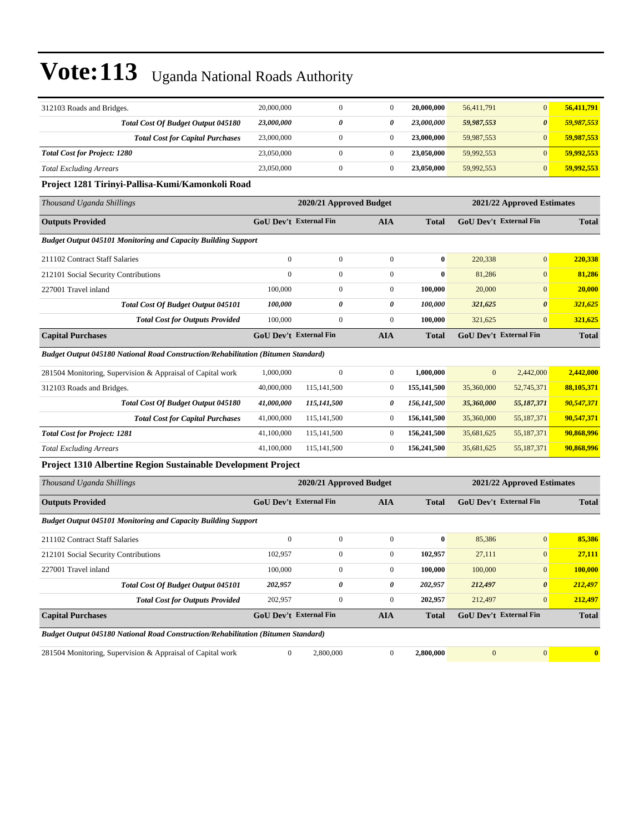| 312103 Roads and Bridges.                                                                | 20,000,000       | $\mathbf{0}$                  | $\boldsymbol{0}$ | 20,000,000   | 56,411,791     | $\mathbf{0}$                  | 56,411,791              |
|------------------------------------------------------------------------------------------|------------------|-------------------------------|------------------|--------------|----------------|-------------------------------|-------------------------|
| Total Cost Of Budget Output 045180                                                       | 23,000,000       | 0                             | 0                | 23,000,000   | 59,987,553     | $\boldsymbol{\theta}$         | 59,987,553              |
| <b>Total Cost for Capital Purchases</b>                                                  | 23,000,000       | $\boldsymbol{0}$              | $\boldsymbol{0}$ | 23,000,000   | 59,987,553     | $\mathbf{0}$                  | 59,987,553              |
| <b>Total Cost for Project: 1280</b>                                                      | 23,050,000       | $\boldsymbol{0}$              | $\boldsymbol{0}$ | 23,050,000   | 59,992,553     | $\overline{0}$                | 59,992,553              |
| <b>Total Excluding Arrears</b>                                                           | 23,050,000       | $\boldsymbol{0}$              | $\boldsymbol{0}$ | 23,050,000   | 59,992,553     | $\mathbf{0}$                  | 59,992,553              |
| Project 1281 Tirinyi-Pallisa-Kumi/Kamonkoli Road                                         |                  |                               |                  |              |                |                               |                         |
| Thousand Uganda Shillings                                                                |                  | 2020/21 Approved Budget       |                  |              |                | 2021/22 Approved Estimates    |                         |
| <b>Outputs Provided</b>                                                                  |                  | GoU Dev't External Fin        | <b>AIA</b>       | <b>Total</b> |                | <b>GoU Dev't External Fin</b> | <b>Total</b>            |
| Budget Output 045101 Monitoring and Capacity Building Support                            |                  |                               |                  |              |                |                               |                         |
| 211102 Contract Staff Salaries                                                           | $\boldsymbol{0}$ | $\boldsymbol{0}$              | $\boldsymbol{0}$ | $\bf{0}$     | 220,338        | $\mathbf{0}$                  | 220,338                 |
| 212101 Social Security Contributions                                                     | $\overline{0}$   | $\boldsymbol{0}$              | $\boldsymbol{0}$ | $\bf{0}$     | 81,286         | $\mathbf{0}$                  | 81,286                  |
| 227001 Travel inland                                                                     | 100,000          | $\boldsymbol{0}$              | $\boldsymbol{0}$ | 100,000      | 20,000         | $\mathbf{0}$                  | 20,000                  |
| <b>Total Cost Of Budget Output 045101</b>                                                | 100,000          | $\theta$                      | 0                | 100.000      | 321,625        | $\boldsymbol{\theta}$         | 321,625                 |
| <b>Total Cost for Outputs Provided</b>                                                   | 100,000          | $\boldsymbol{0}$              | $\boldsymbol{0}$ | 100,000      | 321,625        | $\mathbf{0}$                  | 321,625                 |
| <b>Capital Purchases</b>                                                                 |                  | GoU Dev't External Fin        | <b>AIA</b>       | <b>Total</b> |                | GoU Dev't External Fin        | <b>Total</b>            |
| <b>Budget Output 045180 National Road Construction/Rehabilitation (Bitumen Standard)</b> |                  |                               |                  |              |                |                               |                         |
| 281504 Monitoring, Supervision & Appraisal of Capital work                               | 1,000,000        | $\overline{0}$                | $\boldsymbol{0}$ | 1,000,000    | $\overline{0}$ | 2,442,000                     | 2,442,000               |
| 312103 Roads and Bridges.                                                                | 40,000,000       | 115,141,500                   | $\boldsymbol{0}$ | 155,141,500  | 35,360,000     | 52,745,371                    | 88,105,371              |
| Total Cost Of Budget Output 045180                                                       | 41,000,000       | 115,141,500                   | 0                | 156,141,500  | 35,360,000     | 55,187,371                    | 90,547,371              |
| <b>Total Cost for Capital Purchases</b>                                                  | 41,000,000       | 115, 141, 500                 | $\boldsymbol{0}$ | 156,141,500  | 35,360,000     | 55,187,371                    | 90,547,371              |
| <b>Total Cost for Project: 1281</b>                                                      | 41,100,000       | 115,141,500                   | $\boldsymbol{0}$ | 156,241,500  | 35,681,625     | 55,187,371                    | 90,868,996              |
| <b>Total Excluding Arrears</b>                                                           | 41,100,000       | 115, 141, 500                 | $\boldsymbol{0}$ | 156,241,500  | 35,681,625     | 55,187,371                    | 90,868,996              |
| Project 1310 Albertine Region Sustainable Development Project                            |                  |                               |                  |              |                |                               |                         |
| Thousand Uganda Shillings                                                                |                  | 2020/21 Approved Budget       |                  |              |                | 2021/22 Approved Estimates    |                         |
| <b>Outputs Provided</b>                                                                  |                  | GoU Dev't External Fin        | <b>AIA</b>       | <b>Total</b> |                | <b>GoU Dev't External Fin</b> | <b>Total</b>            |
| <b>Budget Output 045101 Monitoring and Capacity Building Support</b>                     |                  |                               |                  |              |                |                               |                         |
| 211102 Contract Staff Salaries                                                           | $\boldsymbol{0}$ | $\boldsymbol{0}$              | $\boldsymbol{0}$ | $\bf{0}$     | 85,386         | $\boldsymbol{0}$              | 85,386                  |
| 212101 Social Security Contributions                                                     | 102,957          | $\boldsymbol{0}$              | $\boldsymbol{0}$ | 102,957      | 27,111         | $\mathbf{0}$                  | 27,111                  |
| 227001 Travel inland                                                                     | 100,000          | $\boldsymbol{0}$              | $\boldsymbol{0}$ | 100,000      | 100,000        | $\boldsymbol{0}$              | 100,000                 |
| <b>Total Cost Of Budget Output 045101</b>                                                | 202,957          | 0                             | 0                | 202,957      | 212,497        | $\boldsymbol{\theta}$         | 212,497                 |
| <b>Total Cost for Outputs Provided</b>                                                   | 202,957          | $\boldsymbol{0}$              | $\boldsymbol{0}$ | 202,957      | 212,497        | $\overline{0}$                | 212,497                 |
| <b>Capital Purchases</b>                                                                 |                  | <b>GoU Dev't External Fin</b> | <b>AIA</b>       | <b>Total</b> |                | GoU Dev't External Fin        | <b>Total</b>            |
| <b>Budget Output 045180 National Road Construction/Rehabilitation (Bitumen Standard)</b> |                  |                               |                  |              |                |                               |                         |
| 281504 Monitoring, Supervision & Appraisal of Capital work                               | $\overline{0}$   | 2,800,000                     | $\boldsymbol{0}$ | 2,800,000    | $\mathbf{0}$   | $\vert 0 \vert$               | $\overline{\mathbf{0}}$ |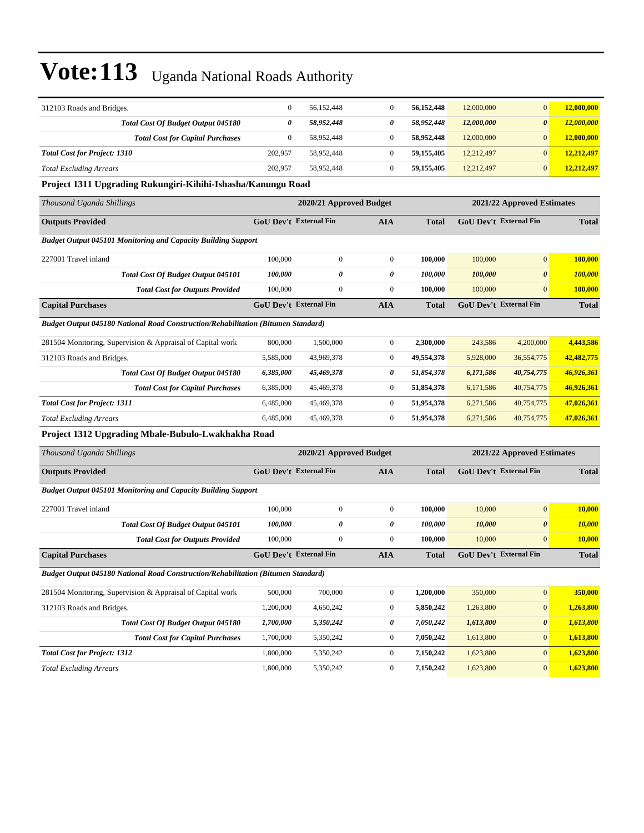| 312103 Roads and Bridges.                                                                | $\mathbf{0}$     | 56,152,448                    | $\boldsymbol{0}$ | 56,152,448   | 12,000,000 | $\mathbf{0}$                  | 12,000,000    |
|------------------------------------------------------------------------------------------|------------------|-------------------------------|------------------|--------------|------------|-------------------------------|---------------|
| <b>Total Cost Of Budget Output 045180</b>                                                | 0                | 58,952,448                    | 0                | 58,952,448   | 12,000,000 | $\boldsymbol{\theta}$         | 12,000,000    |
| <b>Total Cost for Capital Purchases</b>                                                  | $\boldsymbol{0}$ | 58,952,448                    | $\boldsymbol{0}$ | 58,952,448   | 12,000,000 | $\mathbf{0}$                  | 12,000,000    |
| <b>Total Cost for Project: 1310</b>                                                      | 202,957          | 58,952,448                    | $\overline{0}$   | 59,155,405   | 12,212,497 | $\mathbf{0}$                  | 12,212,497    |
| <b>Total Excluding Arrears</b>                                                           | 202,957          | 58,952,448                    | $\mathbf{0}$     | 59,155,405   | 12,212,497 | $\mathbf{0}$                  | 12,212,497    |
| Project 1311 Upgrading Rukungiri-Kihihi-Ishasha/Kanungu Road                             |                  |                               |                  |              |            |                               |               |
| Thousand Uganda Shillings                                                                |                  | 2020/21 Approved Budget       |                  |              |            | 2021/22 Approved Estimates    |               |
| <b>Outputs Provided</b>                                                                  |                  | <b>GoU Dev't External Fin</b> | <b>AIA</b>       | <b>Total</b> |            | <b>GoU Dev't External Fin</b> | <b>Total</b>  |
| Budget Output 045101 Monitoring and Capacity Building Support                            |                  |                               |                  |              |            |                               |               |
| 227001 Travel inland                                                                     | 100,000          | $\boldsymbol{0}$              | $\boldsymbol{0}$ | 100,000      | 100,000    | $\mathbf{0}$                  | 100,000       |
| <b>Total Cost Of Budget Output 045101</b>                                                | 100,000          | 0                             | 0                | 100,000      | 100,000    | $\boldsymbol{\theta}$         | 100,000       |
| <b>Total Cost for Outputs Provided</b>                                                   | 100,000          | $\boldsymbol{0}$              | $\boldsymbol{0}$ | 100,000      | 100,000    | $\mathbf{0}$                  | 100,000       |
| <b>Capital Purchases</b>                                                                 |                  | <b>GoU Dev't External Fin</b> | <b>AIA</b>       | <b>Total</b> |            | <b>GoU Dev't External Fin</b> | <b>Total</b>  |
| Budget Output 045180 National Road Construction/Rehabilitation (Bitumen Standard)        |                  |                               |                  |              |            |                               |               |
| 281504 Monitoring, Supervision & Appraisal of Capital work                               | 800,000          | 1,500,000                     | $\boldsymbol{0}$ | 2,300,000    | 243,586    | 4,200,000                     | 4,443,586     |
| 312103 Roads and Bridges.                                                                | 5,585,000        | 43,969,378                    | $\boldsymbol{0}$ | 49,554,378   | 5,928,000  | 36,554,775                    | 42,482,775    |
| Total Cost Of Budget Output 045180                                                       | 6,385,000        | 45,469,378                    | 0                | 51,854,378   | 6,171,586  | 40,754,775                    | 46,926,361    |
| <b>Total Cost for Capital Purchases</b>                                                  | 6,385,000        | 45,469,378                    | $\boldsymbol{0}$ | 51,854,378   | 6,171,586  | 40,754,775                    | 46,926,361    |
| <b>Total Cost for Project: 1311</b>                                                      | 6,485,000        | 45,469,378                    | $\boldsymbol{0}$ | 51,954,378   | 6,271,586  | 40,754,775                    | 47,026,361    |
| <b>Total Excluding Arrears</b>                                                           | 6,485,000        | 45,469,378                    | $\boldsymbol{0}$ | 51,954,378   | 6,271,586  | 40,754,775                    | 47,026,361    |
| Project 1312 Upgrading Mbale-Bubulo-Lwakhakha Road                                       |                  |                               |                  |              |            |                               |               |
| Thousand Uganda Shillings                                                                |                  | 2020/21 Approved Budget       |                  |              |            | 2021/22 Approved Estimates    |               |
| <b>Outputs Provided</b>                                                                  |                  | GoU Dev't External Fin        | <b>AIA</b>       | Total        |            | GoU Dev't External Fin        | <b>Total</b>  |
| <b>Budget Output 045101 Monitoring and Capacity Building Support</b>                     |                  |                               |                  |              |            |                               |               |
| 227001 Travel inland                                                                     | 100,000          | $\boldsymbol{0}$              | $\boldsymbol{0}$ | 100,000      | 10,000     | $\mathbf{0}$                  | 10,000        |
| Total Cost Of Budget Output 045101                                                       | 100,000          | 0                             | 0                | 100,000      | 10,000     | $\boldsymbol{\theta}$         | 10,000        |
| <b>Total Cost for Outputs Provided</b>                                                   | 100,000          | $\mathbf{0}$                  | $\boldsymbol{0}$ | 100,000      | 10,000     | $\mathbf{0}$                  | <b>10,000</b> |
| <b>Capital Purchases</b>                                                                 |                  | <b>GoU Dev't External Fin</b> | <b>AIA</b>       | Total        |            | GoU Dev't External Fin        | <b>Total</b>  |
| <b>Budget Output 045180 National Road Construction/Rehabilitation (Bitumen Standard)</b> |                  |                               |                  |              |            |                               |               |
| 281504 Monitoring, Supervision & Appraisal of Capital work                               | 500,000          | 700,000                       | $\overline{0}$   | 1,200,000    | 350,000    | $\boldsymbol{0}$              | 350,000       |
| 312103 Roads and Bridges.                                                                | 1,200,000        | 4,650,242                     | $\boldsymbol{0}$ | 5,850,242    | 1,263,800  | $\boldsymbol{0}$              | 1,263,800     |
| Total Cost Of Budget Output 045180                                                       | 1,700,000        | 5,350,242                     | 0                | 7,050,242    | 1,613,800  | $\boldsymbol{\theta}$         | 1,613,800     |
| <b>Total Cost for Capital Purchases</b>                                                  | 1,700,000        | 5,350,242                     | $\boldsymbol{0}$ | 7,050,242    | 1,613,800  | $\mathbf{0}$                  | 1,613,800     |
| <b>Total Cost for Project: 1312</b>                                                      | 1,800,000        | 5,350,242                     | $\boldsymbol{0}$ | 7,150,242    | 1,623,800  | $\mathbf{0}$                  | 1,623,800     |
| <b>Total Excluding Arrears</b>                                                           | 1,800,000        | 5,350,242                     | $\boldsymbol{0}$ | 7,150,242    | 1,623,800  | $\mathbf{0}$                  | 1,623,800     |
|                                                                                          |                  |                               |                  |              |            |                               |               |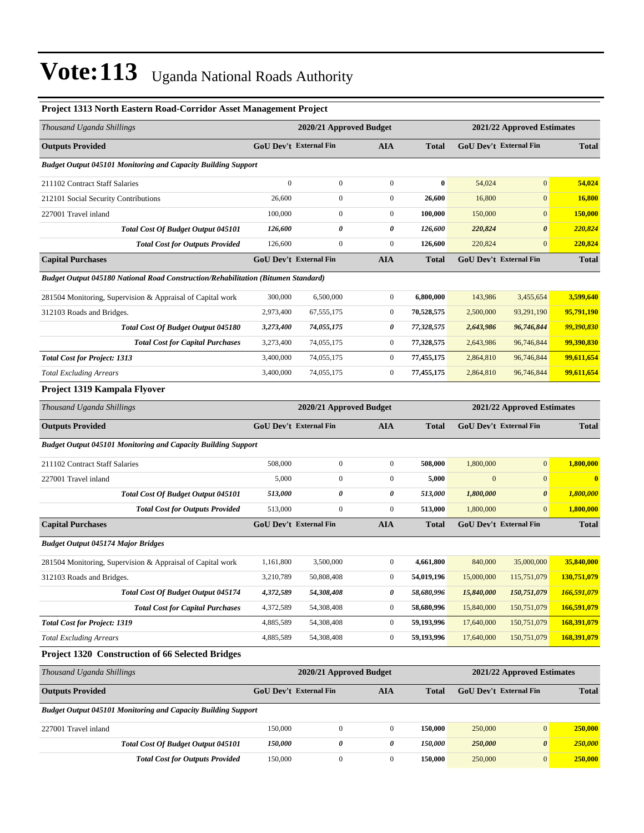| <b>Project 1313 North Eastern Road-Corridor Asset Management Project</b>                 |                               |                         |                  |              |                               |                            |                         |
|------------------------------------------------------------------------------------------|-------------------------------|-------------------------|------------------|--------------|-------------------------------|----------------------------|-------------------------|
| Thousand Uganda Shillings                                                                |                               | 2020/21 Approved Budget |                  |              |                               | 2021/22 Approved Estimates |                         |
| <b>Outputs Provided</b>                                                                  | GoU Dev't External Fin        |                         | <b>AIA</b>       | <b>Total</b> | <b>GoU Dev't External Fin</b> |                            | Total                   |
| <b>Budget Output 045101 Monitoring and Capacity Building Support</b>                     |                               |                         |                  |              |                               |                            |                         |
| 211102 Contract Staff Salaries                                                           | $\mathbf{0}$                  | $\boldsymbol{0}$        | $\mathbf{0}$     | $\bf{0}$     | 54,024                        | $\mathbf{0}$               | 54,024                  |
| 212101 Social Security Contributions                                                     | 26,600                        | 0                       | $\boldsymbol{0}$ | 26,600       | 16,800                        | $\boldsymbol{0}$           | 16,800                  |
| 227001 Travel inland                                                                     | 100,000                       | $\boldsymbol{0}$        | $\boldsymbol{0}$ | 100,000      | 150,000                       | $\mathbf{0}$               | 150,000                 |
| Total Cost Of Budget Output 045101                                                       | 126,600                       | 0                       | 0                | 126,600      | 220,824                       | $\boldsymbol{\theta}$      | 220,824                 |
| <b>Total Cost for Outputs Provided</b>                                                   | 126,600                       | $\boldsymbol{0}$        | $\boldsymbol{0}$ | 126,600      | 220,824                       | $\overline{0}$             | 220,824                 |
| <b>Capital Purchases</b>                                                                 | GoU Dev't External Fin        |                         | <b>AIA</b>       | <b>Total</b> | GoU Dev't External Fin        |                            | <b>Total</b>            |
| <b>Budget Output 045180 National Road Construction/Rehabilitation (Bitumen Standard)</b> |                               |                         |                  |              |                               |                            |                         |
| 281504 Monitoring, Supervision & Appraisal of Capital work                               | 300,000                       | 6,500,000               | $\boldsymbol{0}$ | 6,800,000    | 143,986                       | 3,455,654                  | 3,599,640               |
| 312103 Roads and Bridges.                                                                | 2,973,400                     | 67, 555, 175            | $\boldsymbol{0}$ | 70,528,575   | 2,500,000                     | 93,291,190                 | 95,791,190              |
| Total Cost Of Budget Output 045180                                                       | 3,273,400                     | 74,055,175              | 0                | 77,328,575   | 2,643,986                     | 96,746,844                 | 99,390,830              |
| <b>Total Cost for Capital Purchases</b>                                                  | 3,273,400                     | 74,055,175              | $\boldsymbol{0}$ | 77,328,575   | 2,643,986                     | 96,746,844                 | 99,390,830              |
| <b>Total Cost for Project: 1313</b>                                                      | 3,400,000                     | 74,055,175              | $\boldsymbol{0}$ | 77,455,175   | 2,864,810                     | 96,746,844                 | 99,611,654              |
| <b>Total Excluding Arrears</b>                                                           | 3,400,000                     | 74,055,175              | $\boldsymbol{0}$ | 77,455,175   | 2,864,810                     | 96,746,844                 | 99,611,654              |
| Project 1319 Kampala Flyover                                                             |                               |                         |                  |              |                               |                            |                         |
| Thousand Uganda Shillings                                                                |                               | 2020/21 Approved Budget |                  |              |                               | 2021/22 Approved Estimates |                         |
| <b>Outputs Provided</b>                                                                  | GoU Dev't External Fin        |                         | <b>AIA</b>       | <b>Total</b> | <b>GoU Dev't External Fin</b> |                            | Total                   |
| <b>Budget Output 045101 Monitoring and Capacity Building Support</b>                     |                               |                         |                  |              |                               |                            |                         |
| 211102 Contract Staff Salaries                                                           | 508,000                       | $\boldsymbol{0}$        | $\boldsymbol{0}$ | 508,000      | 1,800,000                     | $\boldsymbol{0}$           | 1,800,000               |
| 227001 Travel inland                                                                     | 5,000                         | $\boldsymbol{0}$        | $\boldsymbol{0}$ | 5,000        | $\mathbf{0}$                  | $\overline{0}$             | $\overline{\mathbf{0}}$ |
| Total Cost Of Budget Output 045101                                                       | 513,000                       | 0                       | 0                | 513,000      | 1,800,000                     | $\boldsymbol{\theta}$      | 1,800,000               |
| <b>Total Cost for Outputs Provided</b>                                                   | 513,000                       | $\boldsymbol{0}$        | $\boldsymbol{0}$ | 513,000      | 1,800,000                     | $\overline{0}$             | 1,800,000               |
| <b>Capital Purchases</b>                                                                 | GoU Dev't External Fin        |                         | <b>AIA</b>       | <b>Total</b> | GoU Dev't External Fin        |                            | <b>Total</b>            |
| <b>Budget Output 045174 Major Bridges</b>                                                |                               |                         |                  |              |                               |                            |                         |
| 281504 Monitoring, Supervision & Appraisal of Capital work                               | 1,161,800                     | 3,500,000               | $\boldsymbol{0}$ | 4,661,800    | 840,000                       | 35,000,000                 | 35,840,000              |
| 312103 Roads and Bridges.                                                                | 3,210,789                     | 50,808,408              | $\boldsymbol{0}$ | 54,019,196   | 15,000,000                    | 115,751,079                | 130,751,079             |
| <b>Total Cost Of Budget Output 045174</b>                                                | 4,372,589                     | 54,308,408              | 0                | 58,680,996   | 15,840,000                    | 150,751,079                | 166,591,079             |
| <b>Total Cost for Capital Purchases</b>                                                  | 4,372,589                     | 54,308,408              | $\boldsymbol{0}$ | 58,680,996   | 15,840,000                    | 150,751,079                | 166,591,079             |
| <b>Total Cost for Project: 1319</b>                                                      | 4,885,589                     | 54,308,408              | $\boldsymbol{0}$ | 59,193,996   | 17,640,000                    | 150,751,079                | 168,391,079             |
| <b>Total Excluding Arrears</b>                                                           | 4,885,589                     | 54,308,408              | $\boldsymbol{0}$ | 59,193,996   | 17,640,000                    | 150,751,079                | 168,391,079             |
| Project 1320 Construction of 66 Selected Bridges                                         |                               |                         |                  |              |                               |                            |                         |
| Thousand Uganda Shillings                                                                |                               | 2020/21 Approved Budget |                  |              |                               | 2021/22 Approved Estimates |                         |
| <b>Outputs Provided</b>                                                                  | <b>GoU Dev't External Fin</b> |                         | <b>AIA</b>       | <b>Total</b> | GoU Dev't External Fin        |                            | <b>Total</b>            |
| <b>Budget Output 045101 Monitoring and Capacity Building Support</b>                     |                               |                         |                  |              |                               |                            |                         |
| 227001 Travel inland                                                                     | 150,000                       | $\boldsymbol{0}$        | $\mathbf{0}$     | 150,000      | 250,000                       | $\boldsymbol{0}$           | 250,000                 |
| Total Cost Of Budget Output 045101                                                       | 150,000                       | $\pmb{\theta}$          | 0                | 150,000      | 250,000                       | 0                          | 250,000                 |
| <b>Total Cost for Outputs Provided</b>                                                   | 150,000                       | $\boldsymbol{0}$        | $\boldsymbol{0}$ | 150,000      | 250,000                       | $\boldsymbol{0}$           | 250,000                 |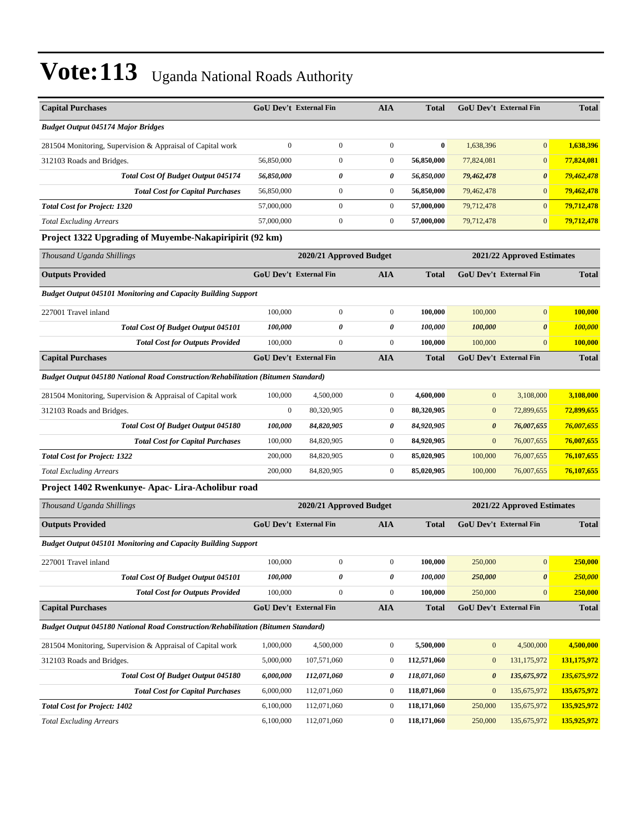| <b>Capital Purchases</b>                                                          |                  | <b>GoU Dev't External Fin</b> | <b>AIA</b>       | <b>Total</b> |                       | GoU Dev't External Fin        | <b>Total</b>   |  |
|-----------------------------------------------------------------------------------|------------------|-------------------------------|------------------|--------------|-----------------------|-------------------------------|----------------|--|
| <b>Budget Output 045174 Major Bridges</b>                                         |                  |                               |                  |              |                       |                               |                |  |
| 281504 Monitoring, Supervision & Appraisal of Capital work                        | $\mathbf{0}$     | $\boldsymbol{0}$              | $\boldsymbol{0}$ | $\bf{0}$     | 1,638,396             | $\overline{0}$                | 1,638,396      |  |
| 312103 Roads and Bridges.                                                         | 56,850,000       | $\boldsymbol{0}$              | $\boldsymbol{0}$ | 56,850,000   | 77,824,081            | $\mathbf{0}$                  | 77,824,081     |  |
| <b>Total Cost Of Budget Output 045174</b>                                         | 56,850,000       | 0                             | 0                | 56,850,000   | 79,462,478            | $\boldsymbol{\theta}$         | 79,462,478     |  |
| <b>Total Cost for Capital Purchases</b>                                           | 56,850,000       | $\boldsymbol{0}$              | $\boldsymbol{0}$ | 56,850,000   | 79,462,478            | $\mathbf{0}$                  | 79,462,478     |  |
| <b>Total Cost for Project: 1320</b>                                               | 57,000,000       | $\boldsymbol{0}$              | $\boldsymbol{0}$ | 57,000,000   | 79,712,478            | $\overline{0}$                | 79,712,478     |  |
| <b>Total Excluding Arrears</b>                                                    | 57,000,000       | $\boldsymbol{0}$              | $\boldsymbol{0}$ | 57,000,000   | 79,712,478            | $\mathbf{0}$                  | 79,712,478     |  |
| Project 1322 Upgrading of Muyembe-Nakapiripirit (92 km)                           |                  |                               |                  |              |                       |                               |                |  |
| Thousand Uganda Shillings                                                         |                  | 2020/21 Approved Budget       |                  |              |                       | 2021/22 Approved Estimates    |                |  |
| <b>Outputs Provided</b>                                                           |                  | <b>GoU Dev't External Fin</b> | <b>AIA</b>       | <b>Total</b> |                       | <b>GoU Dev't External Fin</b> | <b>Total</b>   |  |
| <b>Budget Output 045101 Monitoring and Capacity Building Support</b>              |                  |                               |                  |              |                       |                               |                |  |
| 227001 Travel inland                                                              | 100,000          | $\boldsymbol{0}$              | $\boldsymbol{0}$ | 100,000      | 100,000               | $\mathbf{0}$                  | 100,000        |  |
| Total Cost Of Budget Output 045101                                                | 100,000          | 0                             | 0                | 100,000      | 100,000               | $\boldsymbol{\theta}$         | <b>100,000</b> |  |
| <b>Total Cost for Outputs Provided</b>                                            | 100,000          | $\overline{0}$                | $\boldsymbol{0}$ | 100,000      | 100,000               | $\overline{0}$                | 100,000        |  |
| <b>Capital Purchases</b>                                                          |                  | <b>GoU Dev't External Fin</b> | <b>AIA</b>       | <b>Total</b> |                       | GoU Dev't External Fin        | <b>Total</b>   |  |
| Budget Output 045180 National Road Construction/Rehabilitation (Bitumen Standard) |                  |                               |                  |              |                       |                               |                |  |
| 281504 Monitoring, Supervision & Appraisal of Capital work                        | 100,000          | 4,500,000                     | $\boldsymbol{0}$ | 4,600,000    | $\mathbf{0}$          | 3,108,000                     | 3,108,000      |  |
| 312103 Roads and Bridges.                                                         | $\boldsymbol{0}$ | 80,320,905                    | $\boldsymbol{0}$ | 80,320,905   | $\mathbf{0}$          | 72,899,655                    | 72,899,655     |  |
| Total Cost Of Budget Output 045180                                                | 100,000          | 84,820,905                    | 0                | 84,920,905   | $\boldsymbol{\theta}$ | 76,007,655                    | 76,007,655     |  |
| <b>Total Cost for Capital Purchases</b>                                           | 100,000          | 84,820,905                    | $\boldsymbol{0}$ | 84,920,905   | $\mathbf{0}$          | 76,007,655                    | 76,007,655     |  |
| <b>Total Cost for Project: 1322</b>                                               | 200,000          | 84,820,905                    | $\boldsymbol{0}$ | 85,020,905   | 100,000               | 76,007,655                    | 76,107,655     |  |
| <b>Total Excluding Arrears</b>                                                    | 200,000          | 84,820,905                    | $\boldsymbol{0}$ | 85,020,905   | 100,000               | 76,007,655                    | 76,107,655     |  |
| Project 1402 Rwenkunye- Apac- Lira-Acholibur road                                 |                  |                               |                  |              |                       |                               |                |  |
| Thousand Uganda Shillings                                                         |                  | 2020/21 Approved Budget       |                  |              |                       | 2021/22 Approved Estimates    |                |  |
| <b>Outputs Provided</b>                                                           |                  | GoU Dev't External Fin        | <b>AIA</b>       | <b>Total</b> |                       | GoU Dev't External Fin        | <b>Total</b>   |  |
| <b>Budget Output 045101 Monitoring and Capacity Building Support</b>              |                  |                               |                  |              |                       |                               |                |  |
| 227001 Travel inland                                                              | 100,000          | $\mathbf{0}$                  | $\boldsymbol{0}$ | 100.000      | 250,000               | $\overline{0}$                | 250,000        |  |
| Total Cost Of Budget Output 045101                                                | 100,000          | 0                             | $\pmb{\theta}$   | 100,000      | 250,000               | $\pmb{\theta}$                | 250,000        |  |
| <b>Total Cost for Outputs Provided</b>                                            | 100,000          | $\boldsymbol{0}$              | $\mathbf{0}$     | 100,000      | 250,000               | $\overline{0}$                | 250,000        |  |
| <b>Capital Purchases</b>                                                          |                  | <b>GoU Dev't External Fin</b> | <b>AIA</b>       | <b>Total</b> |                       | GoU Dev't External Fin        | <b>Total</b>   |  |
| Budget Output 045180 National Road Construction/Rehabilitation (Bitumen Standard) |                  |                               |                  |              |                       |                               |                |  |
| 281504 Monitoring, Supervision & Appraisal of Capital work                        | 1,000,000        | 4,500,000                     | $\boldsymbol{0}$ | 5,500,000    | $\boldsymbol{0}$      | 4,500,000                     | 4,500,000      |  |
| 312103 Roads and Bridges.                                                         | 5,000,000        | 107,571,060                   | $\boldsymbol{0}$ | 112,571,060  | $\bf{0}$              | 131,175,972                   | 131,175,972    |  |
| Total Cost Of Budget Output 045180                                                | 6,000,000        | 112,071,060                   | 0                | 118,071,060  | $\boldsymbol{\theta}$ | 135,675,972                   | 135,675,972    |  |
| <b>Total Cost for Capital Purchases</b>                                           | 6,000,000        | 112,071,060                   | $\boldsymbol{0}$ | 118,071,060  | $\boldsymbol{0}$      | 135,675,972                   | 135,675,972    |  |
| <b>Total Cost for Project: 1402</b>                                               | 6,100,000        | 112,071,060                   | $\boldsymbol{0}$ | 118,171,060  | 250,000               | 135,675,972                   | 135,925,972    |  |
| <b>Total Excluding Arrears</b>                                                    | 6,100,000        | 112,071,060                   | $\boldsymbol{0}$ | 118,171,060  | 250,000               | 135,675,972                   | 135,925,972    |  |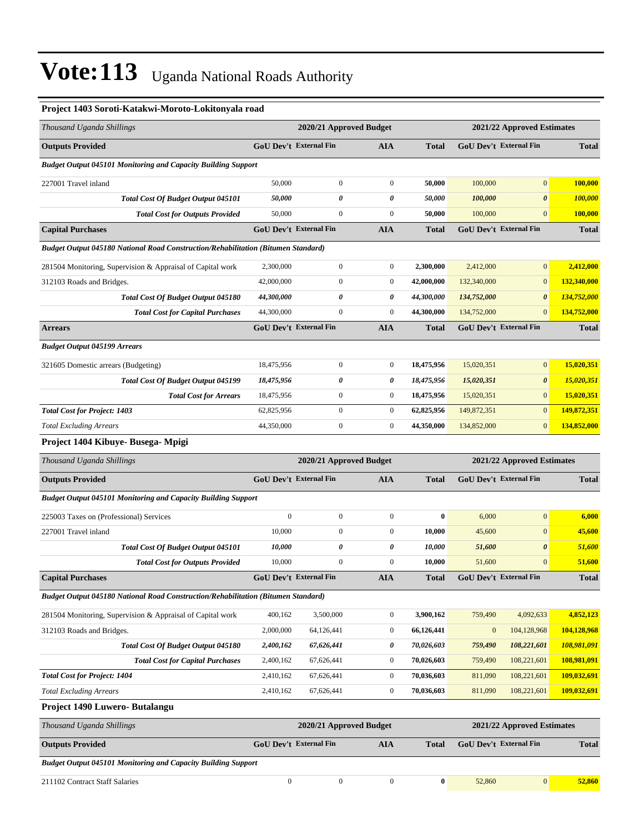| Project 1403 Soroti-Katakwi-Moroto-Lokitonyala road                               |                               |                         |                  |              |              |                               |                    |
|-----------------------------------------------------------------------------------|-------------------------------|-------------------------|------------------|--------------|--------------|-------------------------------|--------------------|
| Thousand Uganda Shillings                                                         |                               | 2020/21 Approved Budget |                  |              |              | 2021/22 Approved Estimates    |                    |
| <b>Outputs Provided</b>                                                           | GoU Dev't External Fin        |                         | AIA              | <b>Total</b> |              | GoU Dev't External Fin        | <b>Total</b>       |
| Budget Output 045101 Monitoring and Capacity Building Support                     |                               |                         |                  |              |              |                               |                    |
| 227001 Travel inland                                                              | 50,000                        | $\boldsymbol{0}$        | $\boldsymbol{0}$ | 50,000       | 100,000      | $\overline{0}$                | 100,000            |
| <b>Total Cost Of Budget Output 045101</b>                                         | 50,000                        | 0                       | 0                | 50,000       | 100,000      | $\boldsymbol{\theta}$         | 100,000            |
| <b>Total Cost for Outputs Provided</b>                                            | 50,000                        | $\boldsymbol{0}$        | $\boldsymbol{0}$ | 50,000       | 100,000      | $\mathbf{0}$                  | 100,000            |
| <b>Capital Purchases</b>                                                          | GoU Dev't External Fin        |                         | AIA              | <b>Total</b> |              | GoU Dev't External Fin        | <b>Total</b>       |
| Budget Output 045180 National Road Construction/Rehabilitation (Bitumen Standard) |                               |                         |                  |              |              |                               |                    |
| 281504 Monitoring, Supervision & Appraisal of Capital work                        | 2,300,000                     | $\boldsymbol{0}$        | $\boldsymbol{0}$ | 2,300,000    | 2,412,000    | $\mathbf{0}$                  | 2,412,000          |
| 312103 Roads and Bridges.                                                         | 42,000,000                    | $\boldsymbol{0}$        | $\boldsymbol{0}$ | 42,000,000   | 132,340,000  | $\boldsymbol{0}$              | 132,340,000        |
| <b>Total Cost Of Budget Output 045180</b>                                         | 44,300,000                    | 0                       | 0                | 44,300,000   | 134,752,000  | $\boldsymbol{\theta}$         | 134,752,000        |
| <b>Total Cost for Capital Purchases</b>                                           | 44,300,000                    | $\boldsymbol{0}$        | $\overline{0}$   | 44,300,000   | 134,752,000  | $\mathbf{0}$                  | 134,752,000        |
| <b>Arrears</b>                                                                    | <b>GoU Dev't External Fin</b> |                         | <b>AIA</b>       | <b>Total</b> |              | <b>GoU Dev't External Fin</b> | <b>Total</b>       |
| <b>Budget Output 045199 Arrears</b>                                               |                               |                         |                  |              |              |                               |                    |
| 321605 Domestic arrears (Budgeting)                                               | 18,475,956                    | $\boldsymbol{0}$        | $\boldsymbol{0}$ | 18,475,956   | 15,020,351   | $\overline{0}$                | 15,020,351         |
| <b>Total Cost Of Budget Output 045199</b>                                         | 18,475,956                    | 0                       | 0                | 18,475,956   | 15,020,351   | $\boldsymbol{\theta}$         | 15,020,351         |
| <b>Total Cost for Arrears</b>                                                     | 18,475,956                    | $\boldsymbol{0}$        | $\boldsymbol{0}$ | 18,475,956   | 15,020,351   | $\mathbf{0}$                  | 15,020,351         |
| <b>Total Cost for Project: 1403</b>                                               | 62,825,956                    | $\boldsymbol{0}$        | $\boldsymbol{0}$ | 62,825,956   | 149,872,351  | $\mathbf{0}$                  | 149,872,351        |
| <b>Total Excluding Arrears</b>                                                    | 44,350,000                    | $\boldsymbol{0}$        | $\boldsymbol{0}$ | 44,350,000   | 134,852,000  | $\boldsymbol{0}$              | 134,852,000        |
| Project 1404 Kibuye- Busega- Mpigi                                                |                               |                         |                  |              |              |                               |                    |
| Thousand Uganda Shillings                                                         |                               | 2020/21 Approved Budget |                  |              |              | 2021/22 Approved Estimates    |                    |
| <b>Outputs Provided</b>                                                           | <b>GoU Dev't External Fin</b> |                         | <b>AIA</b>       | <b>Total</b> |              | <b>GoU Dev't External Fin</b> | <b>Total</b>       |
| <b>Budget Output 045101 Monitoring and Capacity Building Support</b>              |                               |                         |                  |              |              |                               |                    |
| 225003 Taxes on (Professional) Services                                           | $\mathbf{0}$                  | $\boldsymbol{0}$        | $\boldsymbol{0}$ | $\bf{0}$     | 6,000        | $\overline{0}$                | 6,000              |
| 227001 Travel inland                                                              | 10,000                        | $\boldsymbol{0}$        | $\boldsymbol{0}$ | 10,000       | 45,600       | $\boldsymbol{0}$              | 45,600             |
| Total Cost Of Budget Output 045101                                                | 10,000                        | 0                       | 0                | 10,000       | 51,600       | 0                             | 51,600             |
| <b>Total Cost for Outputs Provided</b>                                            | 10,000                        | $\boldsymbol{0}$        | $\overline{0}$   | 10,000       | 51,600       | $\mathbf{0}$                  | 51,600             |
| <b>Capital Purchases</b>                                                          | <b>GoU Dev't External Fin</b> |                         | AIA              | <b>Total</b> |              | GoU Dev't External Fin        | <b>Total</b>       |
| Budget Output 045180 National Road Construction/Rehabilitation (Bitumen Standard) |                               |                         |                  |              |              |                               |                    |
| 281504 Monitoring, Supervision & Appraisal of Capital work                        | 400,162                       | 3,500,000               | $\boldsymbol{0}$ | 3,900,162    | 759,490      | 4,092,633                     | 4,852,123          |
| 312103 Roads and Bridges.                                                         | 2,000,000                     | 64,126,441              | $\boldsymbol{0}$ | 66,126,441   | $\mathbf{0}$ | 104,128,968                   | 104,128,968        |
| Total Cost Of Budget Output 045180                                                | 2,400,162                     | 67,626,441              | 0                | 70,026,603   | 759,490      | 108,221,601                   | 108,981,091        |
| <b>Total Cost for Capital Purchases</b>                                           | 2,400,162                     | 67,626,441              | $\boldsymbol{0}$ | 70,026,603   | 759,490      | 108,221,601                   | 108,981,091        |
| <b>Total Cost for Project: 1404</b>                                               | 2,410,162                     | 67,626,441              | $\boldsymbol{0}$ | 70,036,603   | 811,090      | 108,221,601                   | 109,032,691        |
| <b>Total Excluding Arrears</b>                                                    | 2,410,162                     | 67,626,441              | $\boldsymbol{0}$ | 70,036,603   | 811,090      | 108,221,601                   | <u>109,032,691</u> |
| Project 1490 Luwero- Butalangu                                                    |                               |                         |                  |              |              |                               |                    |
| Thousand Uganda Shillings                                                         |                               | 2020/21 Approved Budget |                  |              |              | 2021/22 Approved Estimates    |                    |
| <b>Outputs Provided</b>                                                           | <b>GoU Dev't External Fin</b> |                         | AIA              | <b>Total</b> |              | GoU Dev't External Fin        | <b>Total</b>       |
| <b>Budget Output 045101 Monitoring and Capacity Building Support</b>              |                               |                         |                  |              |              |                               |                    |

211102 Contract Staff Salaries 0 0 0 **0** 52,860 0 **52,860**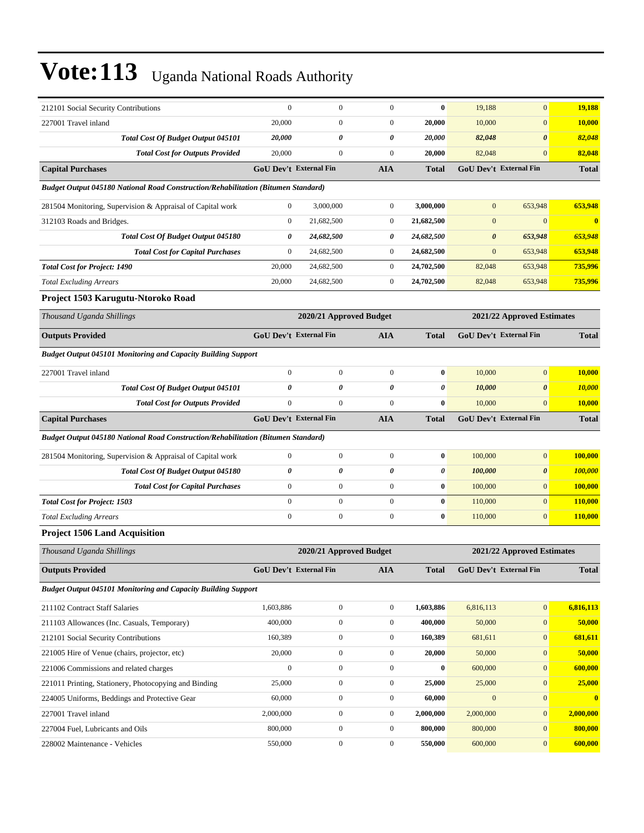| 212101 Social Security Contributions                                                     | $\boldsymbol{0}$       | $\boldsymbol{0}$        | $\mathbf{0}$     | $\bf{0}$     | 19,188                | $\overline{0}$             | 19,188           |  |
|------------------------------------------------------------------------------------------|------------------------|-------------------------|------------------|--------------|-----------------------|----------------------------|------------------|--|
| 227001 Travel inland                                                                     | 20,000                 | $\boldsymbol{0}$        | $\boldsymbol{0}$ | 20,000       | 10,000                | $\mathbf{0}$               | 10,000           |  |
| Total Cost Of Budget Output 045101                                                       | 20,000                 | 0                       | 0                | 20,000       | 82,048                | $\boldsymbol{\theta}$      | 82,048           |  |
| <b>Total Cost for Outputs Provided</b>                                                   | 20,000                 | $\boldsymbol{0}$        | $\boldsymbol{0}$ | 20,000       | 82,048                | $\mathbf{0}$               | 82,048           |  |
| <b>Capital Purchases</b>                                                                 | GoU Dev't External Fin |                         | <b>AIA</b>       | <b>Total</b> |                       | GoU Dev't External Fin     | <b>Total</b>     |  |
| Budget Output 045180 National Road Construction/Rehabilitation (Bitumen Standard)        |                        |                         |                  |              |                       |                            |                  |  |
| 281504 Monitoring, Supervision & Appraisal of Capital work                               | $\overline{0}$         | 3,000,000               | $\boldsymbol{0}$ | 3,000,000    | $\mathbf{0}$          | 653,948                    | 653.948          |  |
| 312103 Roads and Bridges.                                                                | $\overline{0}$         | 21,682,500              | $\boldsymbol{0}$ | 21,682,500   | $\mathbf{0}$          | $\Omega$                   | $\bf{0}$         |  |
| Total Cost Of Budget Output 045180                                                       | 0                      | 24,682,500              | 0                | 24,682,500   | $\boldsymbol{\theta}$ | 653,948                    | 653,948          |  |
| <b>Total Cost for Capital Purchases</b>                                                  | $\boldsymbol{0}$       | 24,682,500              | $\boldsymbol{0}$ | 24,682,500   | $\mathbf{0}$          | 653,948                    | 653,948          |  |
| <b>Total Cost for Project: 1490</b>                                                      | 20,000                 | 24,682,500              | $\boldsymbol{0}$ | 24,702,500   | 82,048                | 653,948                    | 735,996          |  |
| <b>Total Excluding Arrears</b>                                                           | 20,000                 | 24,682,500              | $\boldsymbol{0}$ | 24,702,500   | 82,048                | 653,948                    | 735,996          |  |
| Project 1503 Karugutu-Ntoroko Road                                                       |                        |                         |                  |              |                       |                            |                  |  |
| Thousand Uganda Shillings                                                                |                        | 2020/21 Approved Budget |                  |              |                       | 2021/22 Approved Estimates |                  |  |
| <b>Outputs Provided</b>                                                                  | GoU Dev't External Fin |                         | <b>AIA</b>       | <b>Total</b> |                       | GoU Dev't External Fin     | <b>Total</b>     |  |
| <b>Budget Output 045101 Monitoring and Capacity Building Support</b>                     |                        |                         |                  |              |                       |                            |                  |  |
| 227001 Travel inland                                                                     | $\boldsymbol{0}$       | $\boldsymbol{0}$        | $\boldsymbol{0}$ | $\bf{0}$     | 10,000                | $\overline{0}$             | 10,000           |  |
| Total Cost Of Budget Output 045101                                                       | $\theta$               | 0                       | 0                | 0            | 10,000                | $\boldsymbol{\theta}$      | <b>10,000</b>    |  |
| <b>Total Cost for Outputs Provided</b>                                                   | $\boldsymbol{0}$       | $\boldsymbol{0}$        | $\boldsymbol{0}$ | $\bf{0}$     | 10,000                | $\mathbf{0}$               | <b>10,000</b>    |  |
| <b>Capital Purchases</b>                                                                 | GoU Dev't External Fin |                         | <b>AIA</b>       | <b>Total</b> |                       | GoU Dev't External Fin     | <b>Total</b>     |  |
| <b>Budget Output 045180 National Road Construction/Rehabilitation (Bitumen Standard)</b> |                        |                         |                  |              |                       |                            |                  |  |
| 281504 Monitoring, Supervision & Appraisal of Capital work                               | $\boldsymbol{0}$       | $\boldsymbol{0}$        | $\boldsymbol{0}$ | $\bf{0}$     | 100,000               | $\overline{0}$             | 100,000          |  |
| Total Cost Of Budget Output 045180                                                       | 0                      | 0                       | 0                | 0            | 100,000               | $\boldsymbol{\theta}$      | 100,000          |  |
| <b>Total Cost for Capital Purchases</b>                                                  | $\boldsymbol{0}$       | $\boldsymbol{0}$        | $\boldsymbol{0}$ | $\bf{0}$     | 100,000               | $\mathbf{0}$               | 100,000          |  |
| <b>Total Cost for Project: 1503</b>                                                      | $\mathbf{0}$           | $\boldsymbol{0}$        | $\mathbf{0}$     | $\bf{0}$     | 110,000               | $\overline{0}$             | 110,000          |  |
| <b>Total Excluding Arrears</b>                                                           | $\boldsymbol{0}$       | $\boldsymbol{0}$        | $\boldsymbol{0}$ | $\bf{0}$     | 110,000               | $\overline{0}$             | 110,000          |  |
| <b>Project 1506 Land Acquisition</b>                                                     |                        |                         |                  |              |                       |                            |                  |  |
| Thousand Uganda Shillings                                                                |                        | 2020/21 Approved Budget |                  |              |                       | 2021/22 Approved Estimates |                  |  |
| <b>Outputs Provided</b>                                                                  | GoU Dev't External Fin |                         | <b>AIA</b>       | <b>Total</b> |                       | GoU Dev't External Fin     | <b>Total</b>     |  |
| <b>Budget Output 045101 Monitoring and Capacity Building Support</b>                     |                        |                         |                  |              |                       |                            |                  |  |
| 211102 Contract Staff Salaries                                                           | 1,603,886              | $\boldsymbol{0}$        | $\boldsymbol{0}$ | 1,603,886    | 6,816,113             | $\overline{0}$             | 6,816,113        |  |
| 211103 Allowances (Inc. Casuals, Temporary)                                              | 400,000                | $\boldsymbol{0}$        | $\boldsymbol{0}$ | 400,000      | 50,000                | $\mathbf{0}$               | 50,000           |  |
| 212101 Social Security Contributions                                                     | 160,389                | $\boldsymbol{0}$        | $\boldsymbol{0}$ | 160,389      | 681,611               | $\overline{0}$             | 681,611          |  |
| 221005 Hire of Venue (chairs, projector, etc)                                            | 20,000                 | $\boldsymbol{0}$        | $\boldsymbol{0}$ | 20,000       | 50,000                | $\boldsymbol{0}$           | 50,000           |  |
| 221006 Commissions and related charges                                                   | $\boldsymbol{0}$       | $\boldsymbol{0}$        | $\boldsymbol{0}$ | $\bf{0}$     | 600,000               | $\mathbf{0}$               | 600,000          |  |
| 221011 Printing, Stationery, Photocopying and Binding                                    | 25,000                 | $\boldsymbol{0}$        | $\boldsymbol{0}$ | 25,000       | 25,000                | $\mathbf{0}$               | 25,000           |  |
| 224005 Uniforms, Beddings and Protective Gear                                            | 60,000                 | $\boldsymbol{0}$        | $\boldsymbol{0}$ | 60,000       | $\boldsymbol{0}$      | $\mathbf{0}$               | $\boldsymbol{0}$ |  |
| 227001 Travel inland                                                                     | 2,000,000              | $\boldsymbol{0}$        | $\boldsymbol{0}$ | 2,000,000    | 2,000,000             | $\overline{0}$             | 2,000,000        |  |
| 227004 Fuel, Lubricants and Oils                                                         | 800,000                | $\boldsymbol{0}$        | $\boldsymbol{0}$ | 800,000      | 800,000               | $\boldsymbol{0}$           | 800,000          |  |
| 228002 Maintenance - Vehicles                                                            | 550,000                | $\boldsymbol{0}$        | $\boldsymbol{0}$ | 550,000      | 600,000               | $\mathbf{0}$               | 600,000          |  |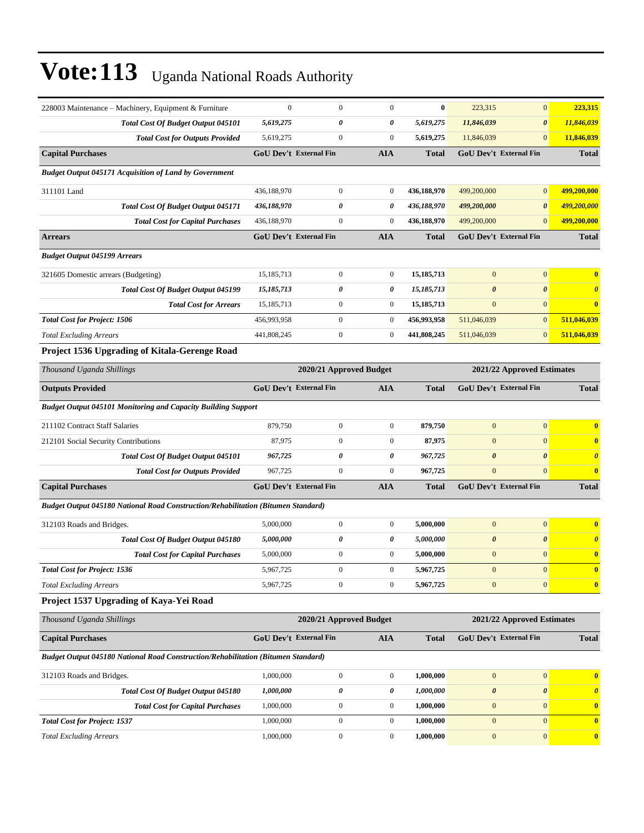| 228003 Maintenance – Machinery, Equipment & Furniture                             | $\mathbf{0}$ | $\boldsymbol{0}$              | $\boldsymbol{0}$        | $\bf{0}$     | 223,315               | $\mathbf{0}$                  | 223,315               |
|-----------------------------------------------------------------------------------|--------------|-------------------------------|-------------------------|--------------|-----------------------|-------------------------------|-----------------------|
| <b>Total Cost Of Budget Output 045101</b>                                         | 5,619,275    | 0                             | 0                       | 5,619,275    | 11,846,039            | $\boldsymbol{\theta}$         | 11,846,039            |
| <b>Total Cost for Outputs Provided</b>                                            | 5,619,275    | $\boldsymbol{0}$              | $\boldsymbol{0}$        | 5,619,275    | 11,846,039            | $\mathbf{0}$                  | 11,846,039            |
| <b>Capital Purchases</b>                                                          |              | <b>GoU Dev't External Fin</b> | <b>AIA</b>              | <b>Total</b> |                       | <b>GoU Dev't External Fin</b> | <b>Total</b>          |
| <b>Budget Output 045171 Acquisition of Land by Government</b>                     |              |                               |                         |              |                       |                               |                       |
| 311101 Land                                                                       | 436,188,970  | $\boldsymbol{0}$              | $\boldsymbol{0}$        | 436,188,970  | 499,200,000           | $\mathbf{0}$                  | 499,200,000           |
| <b>Total Cost Of Budget Output 045171</b>                                         | 436,188,970  | 0                             | 0                       | 436,188,970  | 499,200,000           | $\boldsymbol{\theta}$         | 499,200,000           |
| <b>Total Cost for Capital Purchases</b>                                           | 436,188,970  | $\overline{0}$                | $\mathbf{0}$            | 436,188,970  | 499,200,000           | $\mathbf{0}$                  | 499,200,000           |
| <b>Arrears</b>                                                                    |              | <b>GoU Dev't External Fin</b> | <b>AIA</b>              | <b>Total</b> |                       | <b>GoU Dev't External Fin</b> | <b>Total</b>          |
| <b>Budget Output 045199 Arrears</b>                                               |              |                               |                         |              |                       |                               |                       |
| 321605 Domestic arrears (Budgeting)                                               | 15,185,713   | $\boldsymbol{0}$              | $\boldsymbol{0}$        | 15, 185, 713 | $\mathbf{0}$          | $\boldsymbol{0}$              | $\boldsymbol{0}$      |
| Total Cost Of Budget Output 045199                                                | 15,185,713   | 0                             | 0                       | 15,185,713   | $\boldsymbol{\theta}$ | $\boldsymbol{\theta}$         | $\boldsymbol{\theta}$ |
| <b>Total Cost for Arrears</b>                                                     | 15, 185, 713 | $\mathbf{0}$                  | $\mathbf{0}$            | 15, 185, 713 | $\mathbf{0}$          | $\mathbf{0}$                  | $\bf{0}$              |
| <b>Total Cost for Project: 1506</b>                                               | 456,993,958  | $\boldsymbol{0}$              | $\boldsymbol{0}$        | 456,993,958  | 511,046,039           | $\mathbf{0}$                  | 511,046,039           |
| <b>Total Excluding Arrears</b>                                                    | 441,808,245  | $\mathbf{0}$                  | $\boldsymbol{0}$        | 441,808,245  | 511,046,039           | $\mathbf{0}$                  | 511,046,039           |
| Project 1536 Upgrading of Kitala-Gerenge Road                                     |              |                               |                         |              |                       |                               |                       |
| Thousand Uganda Shillings                                                         |              |                               | 2020/21 Approved Budget |              |                       | 2021/22 Approved Estimates    |                       |
| <b>Outputs Provided</b>                                                           |              | GoU Dev't External Fin        | <b>AIA</b>              | <b>Total</b> |                       | <b>GoU Dev't External Fin</b> | <b>Total</b>          |
| <b>Budget Output 045101 Monitoring and Capacity Building Support</b>              |              |                               |                         |              |                       |                               |                       |
| 211102 Contract Staff Salaries                                                    | 879,750      | $\boldsymbol{0}$              | $\boldsymbol{0}$        | 879,750      | $\mathbf{0}$          | $\boldsymbol{0}$              | $\bf{0}$              |
| 212101 Social Security Contributions                                              | 87,975       | $\mathbf{0}$                  | $\boldsymbol{0}$        | 87,975       | $\mathbf{0}$          | $\mathbf{0}$                  | $\bf{0}$              |
| <b>Total Cost Of Budget Output 045101</b>                                         | 967,725      | 0                             | $\boldsymbol{\theta}$   | 967,725      | $\boldsymbol{\theta}$ | $\boldsymbol{\theta}$         | $\boldsymbol{\theta}$ |
| <b>Total Cost for Outputs Provided</b>                                            | 967,725      | $\mathbf{0}$                  | $\mathbf{0}$            | 967,725      | $\mathbf{0}$          | $\overline{0}$                | $\bf{0}$              |
| <b>Capital Purchases</b>                                                          |              | GoU Dev't External Fin        | <b>AIA</b>              | <b>Total</b> |                       | GoU Dev't External Fin        | <b>Total</b>          |
| Budget Output 045180 National Road Construction/Rehabilitation (Bitumen Standard) |              |                               |                         |              |                       |                               |                       |
| 312103 Roads and Bridges.                                                         | 5,000,000    | $\mathbf{0}$                  | $\boldsymbol{0}$        | 5,000,000    | $\mathbf{0}$          | $\mathbf{0}$                  | $\bf{0}$              |
| Total Cost Of Budget Output 045180                                                | 5,000,000    | 0                             | 0                       | 5,000,000    | $\boldsymbol{\theta}$ | $\boldsymbol{\theta}$         | $\boldsymbol{\theta}$ |
| <b>Total Cost for Capital Purchases</b>                                           | 5,000,000    | $\mathbf{0}$                  | $\boldsymbol{0}$        | 5,000,000    | $\boldsymbol{0}$      | $\mathbf{0}$                  | $\bf{0}$              |
| <b>Total Cost for Project: 1536</b>                                               | 5,967,725    | $\boldsymbol{0}$              | $\boldsymbol{0}$        | 5,967,725    | $\mathbf{0}$          | $\boldsymbol{0}$              | $\mathbf{0}$          |
| <b>Total Excluding Arrears</b>                                                    | 5,967,725    | $\boldsymbol{0}$              | $\boldsymbol{0}$        | 5,967,725    | $\boldsymbol{0}$      | $\boldsymbol{0}$              | $\bf{0}$              |
| Project 1537 Upgrading of Kaya-Yei Road                                           |              |                               |                         |              |                       |                               |                       |
| Thousand Uganda Shillings                                                         |              |                               | 2020/21 Approved Budget |              |                       | 2021/22 Approved Estimates    |                       |
| <b>Capital Purchases</b>                                                          |              | <b>GoU Dev't External Fin</b> | <b>AIA</b>              | <b>Total</b> |                       | GoU Dev't External Fin        | <b>Total</b>          |
| Budget Output 045180 National Road Construction/Rehabilitation (Bitumen Standard) |              |                               |                         |              |                       |                               |                       |
| 312103 Roads and Bridges.                                                         | 1,000,000    | $\boldsymbol{0}$              | $\boldsymbol{0}$        | 1,000,000    | $\boldsymbol{0}$      | $\boldsymbol{0}$              | $\bf{0}$              |
| Total Cost Of Budget Output 045180                                                | 1,000,000    | 0                             | 0                       | 1,000,000    | $\pmb{\theta}$        | $\boldsymbol{\theta}$         | $\boldsymbol{\theta}$ |
| <b>Total Cost for Capital Purchases</b>                                           | 1,000,000    | $\boldsymbol{0}$              | $\mathbf{0}$            | 1,000,000    | $\boldsymbol{0}$      | $\mathbf{0}$                  | $\bf{0}$              |
| <b>Total Cost for Project: 1537</b>                                               | 1,000,000    | $\boldsymbol{0}$              | $\mathbf{0}$            | 1,000,000    | $\mathbf{0}$          | $\overline{0}$                | $\bf{0}$              |
| <b>Total Excluding Arrears</b>                                                    | 1,000,000    | $\boldsymbol{0}$              | $\boldsymbol{0}$        | 1,000,000    | $\boldsymbol{0}$      | $\boldsymbol{0}$              | $\boldsymbol{0}$      |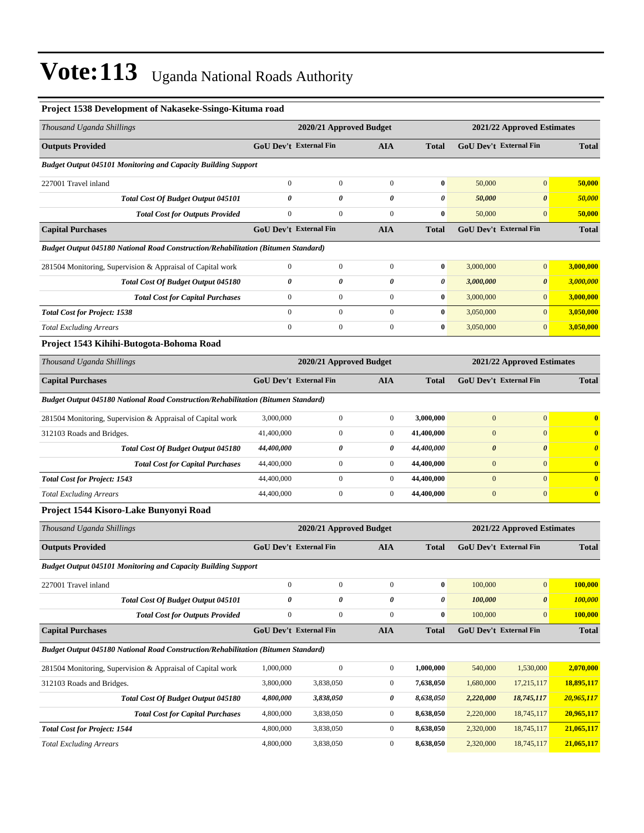| Project 1538 Development of Nakaseke-Ssingo-Kituma road                                  |                  |                               |                  |                |                       |                               |                       |
|------------------------------------------------------------------------------------------|------------------|-------------------------------|------------------|----------------|-----------------------|-------------------------------|-----------------------|
| Thousand Uganda Shillings                                                                |                  | 2020/21 Approved Budget       |                  |                |                       | 2021/22 Approved Estimates    |                       |
| <b>Outputs Provided</b>                                                                  |                  | GoU Dev't External Fin        | <b>AIA</b>       | <b>Total</b>   |                       | GoU Dev't External Fin        | <b>Total</b>          |
| <b>Budget Output 045101 Monitoring and Capacity Building Support</b>                     |                  |                               |                  |                |                       |                               |                       |
| 227001 Travel inland                                                                     | $\mathbf{0}$     | $\mathbf{0}$                  | $\boldsymbol{0}$ | $\bf{0}$       | 50,000                | $\mathbf{0}$                  | 50,000                |
| <b>Total Cost Of Budget Output 045101</b>                                                | 0                | $\boldsymbol{\theta}$         | 0                | 0              | 50,000                | $\boldsymbol{\theta}$         | 50,000                |
| <b>Total Cost for Outputs Provided</b>                                                   | $\boldsymbol{0}$ | $\boldsymbol{0}$              | $\boldsymbol{0}$ | $\bf{0}$       | 50,000                | $\mathbf{0}$                  | 50,000                |
| <b>Capital Purchases</b>                                                                 |                  | <b>GoU Dev't External Fin</b> | <b>AIA</b>       | <b>Total</b>   |                       | GoU Dev't External Fin        | <b>Total</b>          |
| <b>Budget Output 045180 National Road Construction/Rehabilitation (Bitumen Standard)</b> |                  |                               |                  |                |                       |                               |                       |
| 281504 Monitoring, Supervision & Appraisal of Capital work                               | $\mathbf{0}$     | $\boldsymbol{0}$              | $\boldsymbol{0}$ | $\bf{0}$       | 3,000,000             | $\mathbf{0}$                  | 3,000,000             |
| Total Cost Of Budget Output 045180                                                       | 0                | 0                             | 0                | 0              | 3,000,000             | $\boldsymbol{\theta}$         | 3,000,000             |
| <b>Total Cost for Capital Purchases</b>                                                  | $\mathbf{0}$     | $\boldsymbol{0}$              | $\boldsymbol{0}$ | $\bf{0}$       | 3,000,000             | $\mathbf{0}$                  | 3,000,000             |
| <b>Total Cost for Project: 1538</b>                                                      | $\boldsymbol{0}$ | $\boldsymbol{0}$              | $\boldsymbol{0}$ | $\bf{0}$       | 3,050,000             | $\overline{0}$                | 3,050,000             |
| <b>Total Excluding Arrears</b>                                                           | $\boldsymbol{0}$ | $\boldsymbol{0}$              | $\boldsymbol{0}$ | $\bf{0}$       | 3,050,000             | $\mathbf{0}$                  | 3,050,000             |
| Project 1543 Kihihi-Butogota-Bohoma Road                                                 |                  |                               |                  |                |                       |                               |                       |
| Thousand Uganda Shillings                                                                |                  | 2020/21 Approved Budget       |                  |                |                       | 2021/22 Approved Estimates    |                       |
| <b>Capital Purchases</b>                                                                 |                  | <b>GoU Dev't External Fin</b> | <b>AIA</b>       | <b>Total</b>   |                       | GoU Dev't External Fin        | <b>Total</b>          |
| Budget Output 045180 National Road Construction/Rehabilitation (Bitumen Standard)        |                  |                               |                  |                |                       |                               |                       |
| 281504 Monitoring, Supervision & Appraisal of Capital work                               | 3,000,000        | $\mathbf{0}$                  | $\boldsymbol{0}$ | 3,000,000      | $\mathbf{0}$          | $\mathbf{0}$                  | $\bf{0}$              |
| 312103 Roads and Bridges.                                                                | 41,400,000       | $\mathbf{0}$                  | $\boldsymbol{0}$ | 41,400,000     | $\mathbf{0}$          | $\mathbf{0}$                  | $\bf{0}$              |
| Total Cost Of Budget Output 045180                                                       | 44,400,000       | 0                             | 0                | 44,400,000     | $\boldsymbol{\theta}$ | $\boldsymbol{\theta}$         | $\boldsymbol{\theta}$ |
| <b>Total Cost for Capital Purchases</b>                                                  | 44,400,000       | $\boldsymbol{0}$              | $\boldsymbol{0}$ | 44,400,000     | $\boldsymbol{0}$      | $\mathbf{0}$                  | $\bf{0}$              |
| <b>Total Cost for Project: 1543</b>                                                      | 44,400,000       | $\boldsymbol{0}$              | $\boldsymbol{0}$ | 44,400,000     | $\boldsymbol{0}$      | $\mathbf{0}$                  | $\bf{0}$              |
| <b>Total Excluding Arrears</b>                                                           | 44,400,000       | $\boldsymbol{0}$              | $\boldsymbol{0}$ | 44,400,000     | $\mathbf{0}$          | $\mathbf{0}$                  | $\bf{0}$              |
| Project 1544 Kisoro-Lake Bunyonyi Road                                                   |                  |                               |                  |                |                       |                               |                       |
| Thousand Uganda Shillings                                                                |                  | 2020/21 Approved Budget       |                  |                |                       | 2021/22 Approved Estimates    |                       |
| <b>Outputs Provided</b>                                                                  |                  | <b>GoU Dev't External Fin</b> | <b>AIA</b>       | <b>Total</b>   |                       | <b>GoU Dev't External Fin</b> | <b>Total</b>          |
| <b>Budget Output 045101 Monitoring and Capacity Building Support</b>                     |                  |                               |                  |                |                       |                               |                       |
| 227001 Travel inland                                                                     | $\mathbf{0}$     | $\mathbf{0}$                  | $\boldsymbol{0}$ | $\bf{0}$       | 100,000               | $\mathbf{0}$                  | 100,000               |
| Total Cost Of Budget Output 045101                                                       | 0                | $\boldsymbol{\theta}$         | 0                | $\pmb{\theta}$ | 100,000               | $\pmb{\theta}$                | 100,000               |
| <b>Total Cost for Outputs Provided</b>                                                   | $\boldsymbol{0}$ | $\boldsymbol{0}$              | $\boldsymbol{0}$ | $\bf{0}$       | 100,000               | $\mathbf{0}$                  | 100,000               |
| <b>Capital Purchases</b>                                                                 |                  | <b>GoU Dev't External Fin</b> | <b>AIA</b>       | <b>Total</b>   |                       | <b>GoU Dev't External Fin</b> | <b>Total</b>          |
| Budget Output 045180 National Road Construction/Rehabilitation (Bitumen Standard)        |                  |                               |                  |                |                       |                               |                       |
| 281504 Monitoring, Supervision & Appraisal of Capital work                               | 1,000,000        | $\boldsymbol{0}$              | $\boldsymbol{0}$ | 1,000,000      | 540,000               | 1,530,000                     | 2,070,000             |
| 312103 Roads and Bridges.                                                                | 3,800,000        | 3,838,050                     | $\boldsymbol{0}$ | 7,638,050      | 1,680,000             | 17,215,117                    | 18,895,117            |
| Total Cost Of Budget Output 045180                                                       | 4,800,000        | 3,838,050                     | 0                | 8,638,050      | 2,220,000             | 18,745,117                    | 20,965,117            |
| <b>Total Cost for Capital Purchases</b>                                                  | 4,800,000        | 3,838,050                     | $\boldsymbol{0}$ | 8,638,050      | 2,220,000             | 18,745,117                    | 20,965,117            |
| <b>Total Cost for Project: 1544</b>                                                      | 4,800,000        | 3,838,050                     | $\boldsymbol{0}$ | 8,638,050      | 2,320,000             | 18,745,117                    | 21,065,117            |
| <b>Total Excluding Arrears</b>                                                           | 4,800,000        | 3,838,050                     | $\mathbf{0}$     | 8,638,050      | 2,320,000             | 18,745,117                    | 21,065,117            |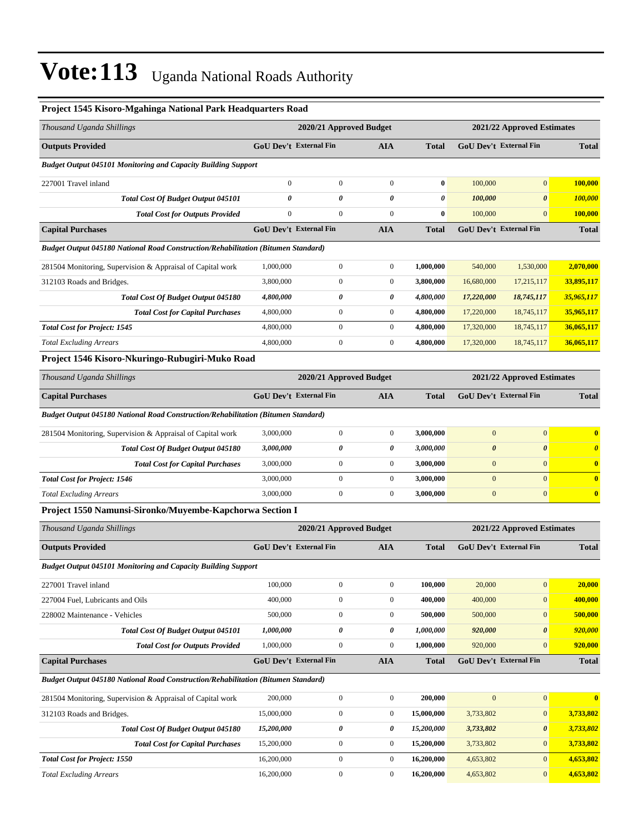| т гојест 1949 кимно-видашнда власница так педицианет коли                                |                  |                               |                  |              |                       |                               |                         |
|------------------------------------------------------------------------------------------|------------------|-------------------------------|------------------|--------------|-----------------------|-------------------------------|-------------------------|
| Thousand Uganda Shillings                                                                |                  | 2020/21 Approved Budget       |                  |              |                       | 2021/22 Approved Estimates    |                         |
| <b>Outputs Provided</b>                                                                  |                  | <b>GoU Dev't External Fin</b> | <b>AIA</b>       | <b>Total</b> |                       | <b>GoU Dev't External Fin</b> | <b>Total</b>            |
| <b>Budget Output 045101 Monitoring and Capacity Building Support</b>                     |                  |                               |                  |              |                       |                               |                         |
| 227001 Travel inland                                                                     | $\mathbf{0}$     | $\boldsymbol{0}$              | $\mathbf{0}$     | $\bf{0}$     | 100,000               | $\mathbf{0}$                  | 100,000                 |
| <b>Total Cost Of Budget Output 045101</b>                                                | 0                | $\theta$                      | 0                | 0            | 100,000               | $\boldsymbol{\theta}$         | 100,000                 |
| <b>Total Cost for Outputs Provided</b>                                                   | $\boldsymbol{0}$ | $\boldsymbol{0}$              | $\mathbf{0}$     | $\bf{0}$     | 100,000               | $\overline{0}$                | 100,000                 |
| <b>Capital Purchases</b>                                                                 |                  | <b>GoU Dev't External Fin</b> | <b>AIA</b>       | <b>Total</b> |                       | <b>GoU Dev't External Fin</b> | <b>Total</b>            |
| <b>Budget Output 045180 National Road Construction/Rehabilitation (Bitumen Standard)</b> |                  |                               |                  |              |                       |                               |                         |
| 281504 Monitoring, Supervision & Appraisal of Capital work                               | 1,000,000        | $\boldsymbol{0}$              | $\boldsymbol{0}$ | 1,000,000    | 540,000               | 1,530,000                     | 2,070,000               |
| 312103 Roads and Bridges.                                                                | 3,800,000        | $\boldsymbol{0}$              | $\overline{0}$   | 3,800,000    | 16,680,000            | 17,215,117                    | 33,895,117              |
| <b>Total Cost Of Budget Output 045180</b>                                                | 4,800,000        | 0                             | 0                | 4,800,000    | 17,220,000            | 18,745,117                    | 35,965,117              |
| <b>Total Cost for Capital Purchases</b>                                                  | 4,800,000        | $\boldsymbol{0}$              | $\overline{0}$   | 4,800,000    | 17,220,000            | 18,745,117                    | 35,965,117              |
| <b>Total Cost for Project: 1545</b>                                                      | 4,800,000        | $\overline{0}$                | $\overline{0}$   | 4,800,000    | 17,320,000            | 18,745,117                    | 36,065,117              |
| <b>Total Excluding Arrears</b>                                                           | 4,800,000        | $\boldsymbol{0}$              | $\mathbf{0}$     | 4,800,000    | 17,320,000            | 18,745,117                    | 36,065,117              |
| Project 1546 Kisoro-Nkuringo-Rubugiri-Muko Road                                          |                  |                               |                  |              |                       |                               |                         |
| Thousand Uganda Shillings                                                                |                  | 2020/21 Approved Budget       |                  |              |                       | 2021/22 Approved Estimates    |                         |
| <b>Capital Purchases</b>                                                                 |                  | <b>GoU Dev't External Fin</b> | <b>AIA</b>       | <b>Total</b> |                       | <b>GoU Dev't External Fin</b> | <b>Total</b>            |
| <b>Budget Output 045180 National Road Construction/Rehabilitation (Bitumen Standard)</b> |                  |                               |                  |              |                       |                               |                         |
| 281504 Monitoring, Supervision & Appraisal of Capital work                               | 3,000,000        | $\boldsymbol{0}$              | $\boldsymbol{0}$ | 3,000,000    | $\mathbf{0}$          | $\overline{0}$                | $\mathbf{0}$            |
| Total Cost Of Budget Output 045180                                                       | 3,000,000        | 0                             | 0                | 3,000,000    | $\boldsymbol{\theta}$ | $\boldsymbol{\theta}$         | $\boldsymbol{\theta}$   |
| <b>Total Cost for Capital Purchases</b>                                                  | 3,000,000        | $\boldsymbol{0}$              | $\overline{0}$   | 3,000,000    | $\mathbf{0}$          | $\mathbf{0}$                  | $\mathbf{0}$            |
| <b>Total Cost for Project: 1546</b>                                                      | 3,000,000        | $\boldsymbol{0}$              | $\overline{0}$   | 3,000,000    | $\mathbf{0}$          | $\overline{0}$                | $\overline{\mathbf{0}}$ |
| <b>Total Excluding Arrears</b>                                                           | 3,000,000        | $\overline{0}$                | $\overline{0}$   | 3,000,000    | $\mathbf{0}$          | $\overline{0}$                | $\mathbf{0}$            |

#### **Project 1545 Kisoro-Mgahinga National Park Headquarters Road**

**Project 1550 Namunsi-Sironko/Muyembe-Kapchorwa Section I**

| Thousand Uganda Shillings                                                         |            | 2020/21 Approved Budget       |                  | 2021/22 Approved Estimates |              |                               |              |
|-----------------------------------------------------------------------------------|------------|-------------------------------|------------------|----------------------------|--------------|-------------------------------|--------------|
| <b>Outputs Provided</b>                                                           |            | <b>GoU Dev't External Fin</b> | <b>AIA</b>       | <b>Total</b>               |              | <b>GoU Dev't External Fin</b> | <b>Total</b> |
| <b>Budget Output 045101 Monitoring and Capacity Building Support</b>              |            |                               |                  |                            |              |                               |              |
| 227001 Travel inland                                                              | 100,000    | $\mathbf{0}$                  | $\overline{0}$   | 100.000                    | 20,000       | $\mathbf{0}$                  | 20,000       |
| 227004 Fuel, Lubricants and Oils                                                  | 400,000    | $\mathbf{0}$                  | $\overline{0}$   | 400.000                    | 400,000      | $\mathbf{0}$                  | 400,000      |
| 228002 Maintenance - Vehicles                                                     | 500,000    | $\mathbf{0}$                  | $\overline{0}$   | 500,000                    | 500,000      | $\overline{0}$                | 500,000      |
| <b>Total Cost Of Budget Output 045101</b>                                         | 1,000,000  | 0                             | 0                | 1,000,000                  | 920,000      | $\boldsymbol{\theta}$         | 920,000      |
| <b>Total Cost for Outputs Provided</b>                                            | 1,000,000  | $\mathbf{0}$                  | $\boldsymbol{0}$ | 1,000,000                  | 920,000      | $\overline{0}$                | 920,000      |
| <b>Capital Purchases</b>                                                          |            | <b>GoU Dev't External Fin</b> | <b>AIA</b>       | <b>Total</b>               |              | <b>GoU Dev't External Fin</b> | <b>Total</b> |
| Budget Output 045180 National Road Construction/Rehabilitation (Bitumen Standard) |            |                               |                  |                            |              |                               |              |
| 281504 Monitoring, Supervision & Appraisal of Capital work                        | 200,000    | $\mathbf{0}$                  | $\overline{0}$   | 200,000                    | $\mathbf{0}$ | $\overline{0}$                | $\mathbf{0}$ |
| 312103 Roads and Bridges.                                                         | 15,000,000 | $\mathbf{0}$                  | $\mathbf{0}$     | 15,000,000                 | 3,733,802    | $\mathbf{0}$                  | 3,733,802    |
| <b>Total Cost Of Budget Output 045180</b>                                         | 15,200,000 | 0                             | 0                | 15,200,000                 | 3,733,802    | $\boldsymbol{\theta}$         | 3,733,802    |
| <b>Total Cost for Capital Purchases</b>                                           | 15,200,000 | $\boldsymbol{0}$              | $\overline{0}$   | 15,200,000                 | 3,733,802    | $\overline{0}$                | 3,733,802    |
| <b>Total Cost for Project: 1550</b>                                               | 16,200,000 | $\mathbf{0}$                  | $\overline{0}$   | 16,200,000                 | 4,653,802    | $\overline{0}$                | 4,653,802    |
| <b>Total Excluding Arrears</b>                                                    | 16,200,000 | $\mathbf{0}$                  | $\bf{0}$         | 16,200,000                 | 4,653,802    | $\overline{0}$                | 4,653,802    |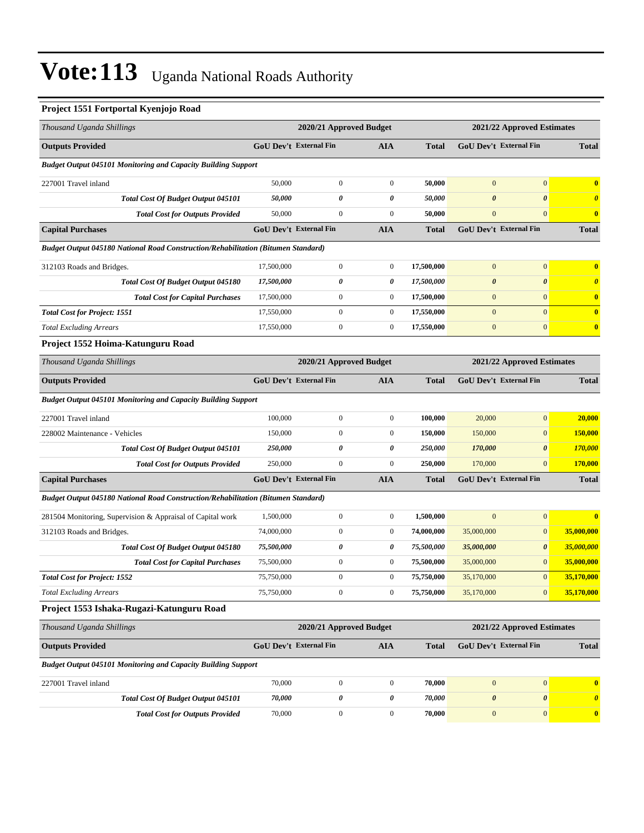### **Project 1551 Fortportal Kyenjojo Road**

| Thousand Uganda Shillings                                                         | 2020/21 Approved Budget |                               |                  | 2021/22 Approved Estimates |                               |                            |                       |
|-----------------------------------------------------------------------------------|-------------------------|-------------------------------|------------------|----------------------------|-------------------------------|----------------------------|-----------------------|
| <b>Outputs Provided</b>                                                           |                         | <b>GoU Dev't External Fin</b> | AIA              | <b>Total</b>               | <b>GoU Dev't External Fin</b> |                            | <b>Total</b>          |
| <b>Budget Output 045101 Monitoring and Capacity Building Support</b>              |                         |                               |                  |                            |                               |                            |                       |
| 227001 Travel inland                                                              | 50,000                  | $\mathbf{0}$                  | $\mathbf{0}$     | 50,000                     | $\mathbf{0}$                  | $\overline{0}$             | $\bf{0}$              |
| <b>Total Cost Of Budget Output 045101</b>                                         | 50,000                  | 0                             | 0                | 50,000                     | $\boldsymbol{\theta}$         | $\boldsymbol{\theta}$      | $\boldsymbol{\theta}$ |
| <b>Total Cost for Outputs Provided</b>                                            | 50,000                  | $\boldsymbol{0}$              | $\mathbf{0}$     | 50,000                     | $\boldsymbol{0}$              | $\overline{0}$             | $\bf{0}$              |
| <b>Capital Purchases</b>                                                          |                         | <b>GoU Dev't External Fin</b> | AIA              | <b>Total</b>               | <b>GoU Dev't External Fin</b> |                            | <b>Total</b>          |
| Budget Output 045180 National Road Construction/Rehabilitation (Bitumen Standard) |                         |                               |                  |                            |                               |                            |                       |
| 312103 Roads and Bridges.                                                         | 17,500,000              | $\mathbf{0}$                  | $\mathbf{0}$     | 17,500,000                 | $\boldsymbol{0}$              | $\boldsymbol{0}$           | $\bf{0}$              |
| Total Cost Of Budget Output 045180                                                | 17,500,000              | 0                             | 0                | 17,500,000                 | $\boldsymbol{\theta}$         | $\boldsymbol{\theta}$      | $\boldsymbol{\theta}$ |
| <b>Total Cost for Capital Purchases</b>                                           | 17,500,000              | $\mathbf{0}$                  | $\mathbf{0}$     | 17,500,000                 | $\mathbf{0}$                  | $\overline{0}$             | $\bf{0}$              |
| <b>Total Cost for Project: 1551</b>                                               | 17,550,000              | $\boldsymbol{0}$              | $\mathbf{0}$     | 17,550,000                 | $\mathbf{0}$                  | $\overline{0}$             | $\bf{0}$              |
| <b>Total Excluding Arrears</b>                                                    | 17,550,000              | $\boldsymbol{0}$              | $\mathbf{0}$     | 17,550,000                 | $\boldsymbol{0}$              | $\overline{0}$             | $\bf{0}$              |
| Project 1552 Hoima-Katunguru Road                                                 |                         |                               |                  |                            |                               |                            |                       |
| Thousand Uganda Shillings                                                         |                         | 2020/21 Approved Budget       |                  |                            | 2021/22 Approved Estimates    |                            |                       |
| <b>Outputs Provided</b>                                                           |                         | <b>GoU Dev't External Fin</b> | <b>AIA</b>       | <b>Total</b>               | GoU Dev't External Fin        |                            | <b>Total</b>          |
| <b>Budget Output 045101 Monitoring and Capacity Building Support</b>              |                         |                               |                  |                            |                               |                            |                       |
| 227001 Travel inland                                                              | 100,000                 | $\boldsymbol{0}$              | $\mathbf{0}$     | 100,000                    | 20,000                        | $\boldsymbol{0}$           | 20,000                |
| 228002 Maintenance - Vehicles                                                     | 150,000                 | $\boldsymbol{0}$              | $\boldsymbol{0}$ | 150,000                    | 150,000                       | $\mathbf{0}$               | 150,000               |
| <b>Total Cost Of Budget Output 045101</b>                                         | 250,000                 | 0                             | 0                | 250,000                    | 170,000                       | $\boldsymbol{\theta}$      | <b>170,000</b>        |
| <b>Total Cost for Outputs Provided</b>                                            | 250,000                 | $\mathbf{0}$                  | $\mathbf{0}$     | 250,000                    | 170,000                       | $\overline{0}$             | 170,000               |
| <b>Capital Purchases</b>                                                          |                         | GoU Dev't External Fin        | <b>AIA</b>       | <b>Total</b>               | GoU Dev't External Fin        |                            | <b>Total</b>          |
| Budget Output 045180 National Road Construction/Rehabilitation (Bitumen Standard) |                         |                               |                  |                            |                               |                            |                       |
| 281504 Monitoring, Supervision & Appraisal of Capital work                        | 1,500,000               | $\mathbf{0}$                  | $\mathbf{0}$     | 1,500,000                  | $\mathbf{0}$                  | $\mathbf{0}$               | $\bf{0}$              |
| 312103 Roads and Bridges.                                                         | 74,000,000              | $\boldsymbol{0}$              | $\mathbf{0}$     | 74,000,000                 | 35,000,000                    | $\boldsymbol{0}$           | 35,000,000            |
| Total Cost Of Budget Output 045180                                                | 75,500,000              | 0                             | 0                | 75,500,000                 | 35,000,000                    | $\boldsymbol{\theta}$      | 35,000,000            |
| <b>Total Cost for Capital Purchases</b>                                           | 75,500,000              | $\boldsymbol{0}$              | $\mathbf{0}$     | 75,500,000                 | 35,000,000                    | $\mathbf{0}$               | 35,000,000            |
| <b>Total Cost for Project: 1552</b>                                               | 75,750,000              | $\mathbf{0}$                  | $\boldsymbol{0}$ | 75,750,000                 | 35,170,000                    | $\overline{0}$             | 35,170,000            |
| <b>Total Excluding Arrears</b>                                                    | 75,750,000              | $\boldsymbol{0}$              | $\boldsymbol{0}$ | 75,750,000                 | 35,170,000                    | $\boldsymbol{0}$           | 35,170,000            |
| Project 1553 Ishaka-Rugazi-Katunguru Road                                         |                         |                               |                  |                            |                               |                            |                       |
| Thousand Uganda Shillings                                                         |                         | 2020/21 Approved Budget       |                  |                            |                               | 2021/22 Approved Estimates |                       |
| <b>Outputs Provided</b>                                                           |                         | <b>GoU Dev't External Fin</b> | AIA              | <b>Total</b>               | GoU Dev't External Fin        |                            | <b>Total</b>          |
| <b>Budget Output 045101 Monitoring and Capacity Building Support</b>              |                         |                               |                  |                            |                               |                            |                       |
| 227001 Travel inland                                                              | 70,000                  | $\boldsymbol{0}$              | $\mathbf{0}$     | 70,000                     | $\mathbf{0}$                  | $\boldsymbol{0}$           | $\bf{0}$              |
| Total Cost Of Budget Output 045101                                                | 70,000                  | 0                             | 0                | 70,000                     | $\boldsymbol{\theta}$         | 0                          | $\boldsymbol{\theta}$ |
| <b>Total Cost for Outputs Provided</b>                                            | 70,000                  | $\boldsymbol{0}$              | $\boldsymbol{0}$ | 70,000                     | $\boldsymbol{0}$              | $\boldsymbol{0}$           | $\bf{0}$              |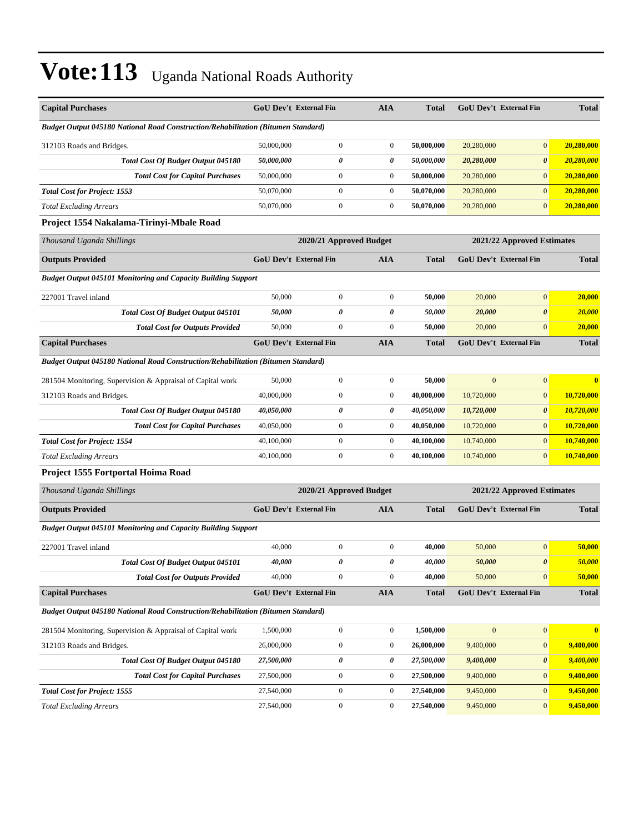| <b>Capital Purchases</b>                                                                 |            | <b>GoU Dev't External Fin</b> | <b>AIA</b>       | <b>Total</b> |                            | GoU Dev't External Fin        | <b>Total</b>   |
|------------------------------------------------------------------------------------------|------------|-------------------------------|------------------|--------------|----------------------------|-------------------------------|----------------|
| <b>Budget Output 045180 National Road Construction/Rehabilitation (Bitumen Standard)</b> |            |                               |                  |              |                            |                               |                |
| 312103 Roads and Bridges.                                                                | 50,000,000 | $\overline{0}$                | $\boldsymbol{0}$ | 50,000,000   | 20,280,000                 | $\mathbf{0}$                  | 20,280,000     |
| Total Cost Of Budget Output 045180                                                       | 50,000,000 | 0                             | 0                | 50,000,000   | 20,280,000                 | $\boldsymbol{\theta}$         | 20,280,000     |
| <b>Total Cost for Capital Purchases</b>                                                  | 50,000,000 | $\boldsymbol{0}$              | $\boldsymbol{0}$ | 50,000,000   | 20,280,000                 | $\mathbf{0}$                  | 20,280,000     |
| <b>Total Cost for Project: 1553</b>                                                      | 50,070,000 | $\overline{0}$                | $\boldsymbol{0}$ | 50,070,000   | 20,280,000                 | $\mathbf{0}$                  | 20,280,000     |
| <b>Total Excluding Arrears</b>                                                           | 50,070,000 | $\boldsymbol{0}$              | $\boldsymbol{0}$ | 50,070,000   | 20,280,000                 | $\mathbf{0}$                  | 20,280,000     |
| Project 1554 Nakalama-Tirinyi-Mbale Road                                                 |            |                               |                  |              |                            |                               |                |
| Thousand Uganda Shillings                                                                |            | 2020/21 Approved Budget       |                  |              |                            | 2021/22 Approved Estimates    |                |
| <b>Outputs Provided</b>                                                                  |            | GoU Dev't External Fin        | <b>AIA</b>       | <b>Total</b> |                            | GoU Dev't External Fin        | <b>Total</b>   |
| <b>Budget Output 045101 Monitoring and Capacity Building Support</b>                     |            |                               |                  |              |                            |                               |                |
| 227001 Travel inland                                                                     | 50,000     | $\overline{0}$                | $\boldsymbol{0}$ | 50,000       | 20,000                     | $\mathbf{0}$                  | 20,000         |
| Total Cost Of Budget Output 045101                                                       | 50,000     | 0                             | 0                | 50,000       | 20,000                     | $\boldsymbol{\theta}$         | 20,000         |
| <b>Total Cost for Outputs Provided</b>                                                   | 50,000     | $\mathbf{0}$                  | $\boldsymbol{0}$ | 50,000       | 20,000                     | $\mathbf{0}$                  | 20,000         |
| <b>Capital Purchases</b>                                                                 |            | <b>GoU Dev't External Fin</b> | <b>AIA</b>       | Total        |                            | <b>GoU Dev't External Fin</b> | <b>Total</b>   |
| <b>Budget Output 045180 National Road Construction/Rehabilitation (Bitumen Standard)</b> |            |                               |                  |              |                            |                               |                |
| 281504 Monitoring, Supervision & Appraisal of Capital work                               | 50,000     | $\overline{0}$                | $\boldsymbol{0}$ | 50,000       | $\mathbf{0}$               | $\mathbf{0}$                  | $\overline{0}$ |
| 312103 Roads and Bridges.                                                                | 40,000,000 | $\mathbf{0}$                  | $\boldsymbol{0}$ | 40,000,000   | 10,720,000                 | $\mathbf{0}$                  | 10,720,000     |
| Total Cost Of Budget Output 045180                                                       | 40,050,000 | 0                             | 0                | 40,050,000   | 10,720,000                 | $\boldsymbol{\theta}$         | 10,720,000     |
| <b>Total Cost for Capital Purchases</b>                                                  | 40,050,000 | $\boldsymbol{0}$              | $\boldsymbol{0}$ | 40,050,000   | 10,720,000                 | $\mathbf{0}$                  | 10,720,000     |
| <b>Total Cost for Project: 1554</b>                                                      | 40,100,000 | $\boldsymbol{0}$              | $\boldsymbol{0}$ | 40,100,000   | 10,740,000                 | $\mathbf{0}$                  | 10,740,000     |
| <b>Total Excluding Arrears</b>                                                           | 40,100,000 | $\overline{0}$                | $\mathbf{0}$     | 40,100,000   | 10,740,000                 | $\mathbf{0}$                  | 10,740,000     |
| Project 1555 Fortportal Hoima Road                                                       |            |                               |                  |              |                            |                               |                |
| Thousand Uganda Shillings                                                                |            | 2020/21 Approved Budget       |                  |              | 2021/22 Approved Estimates |                               |                |
| <b>Outputs Provided</b>                                                                  |            | <b>GoU Dev't External Fin</b> | AIA              | <b>Total</b> |                            | <b>GoU Dev't External Fin</b> | <b>Total</b>   |
| <b>Budget Output 045101 Monitoring and Capacity Building Support</b>                     |            |                               |                  |              |                            |                               |                |
| 227001 Travel inland                                                                     | 40,000     | $\boldsymbol{0}$              | $\boldsymbol{0}$ | 40,000       | 50,000                     | $\mathbf{0}$                  | 50,000         |
| Total Cost Of Budget Output 045101                                                       | 40,000     | 0                             | 0                | 40,000       | 50,000                     | $\boldsymbol{\theta}$         | 50,000         |
| <b>Total Cost for Outputs Provided</b>                                                   | 40,000     | $\boldsymbol{0}$              | $\boldsymbol{0}$ | 40,000       | 50,000                     | $\mathbf{0}$                  | 50,000         |
| <b>Capital Purchases</b>                                                                 |            | <b>GoU Dev't External Fin</b> | AIA              | <b>Total</b> |                            | GoU Dev't External Fin        | <b>Total</b>   |
| <b>Budget Output 045180 National Road Construction/Rehabilitation (Bitumen Standard)</b> |            |                               |                  |              |                            |                               |                |
| 281504 Monitoring, Supervision & Appraisal of Capital work                               | 1,500,000  | $\boldsymbol{0}$              | $\mathbf{0}$     | 1,500,000    | $\mathbf{0}$               | $\mathbf{0}$                  | $\bf{0}$       |
| 312103 Roads and Bridges.                                                                | 26,000,000 | $\boldsymbol{0}$              | $\boldsymbol{0}$ | 26,000,000   | 9,400,000                  | $\mathbf{0}$                  | 9,400,000      |
| Total Cost Of Budget Output 045180                                                       | 27,500,000 | 0                             | 0                | 27,500,000   | 9,400,000                  | $\boldsymbol{\theta}$         | 9,400,000      |
| <b>Total Cost for Capital Purchases</b>                                                  | 27,500,000 | $\boldsymbol{0}$              | $\boldsymbol{0}$ | 27,500,000   | 9,400,000                  | $\mathbf{0}$                  | 9,400,000      |
| <b>Total Cost for Project: 1555</b>                                                      | 27,540,000 | $\boldsymbol{0}$              | $\boldsymbol{0}$ | 27,540,000   | 9,450,000                  | $\mathbf{0}$                  | 9,450,000      |
| <b>Total Excluding Arrears</b>                                                           | 27,540,000 | $\boldsymbol{0}$              | $\boldsymbol{0}$ | 27,540,000   | 9,450,000                  | $\mathbf{0}$                  | 9,450,000      |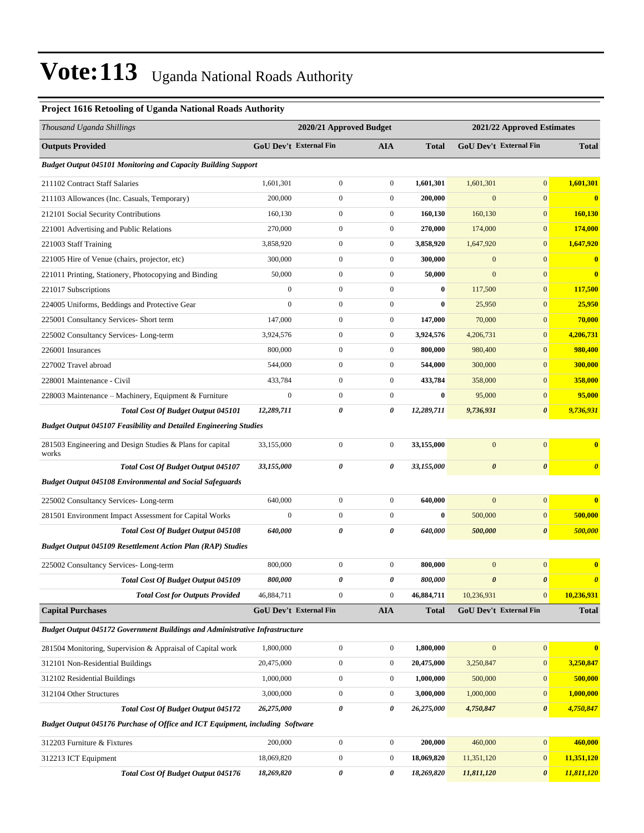#### **Project 1616 Retooling of Uganda National Roads Authority**

| Thousand Uganda Shillings                                                          |                  | 2020/21 Approved Budget       |                  | 2021/22 Approved Estimates |                       |                               |                       |
|------------------------------------------------------------------------------------|------------------|-------------------------------|------------------|----------------------------|-----------------------|-------------------------------|-----------------------|
| <b>Outputs Provided</b>                                                            |                  | <b>GoU Dev't External Fin</b> | AIA              | <b>Total</b>               |                       | <b>GoU Dev't External Fin</b> | <b>Total</b>          |
| <b>Budget Output 045101 Monitoring and Capacity Building Support</b>               |                  |                               |                  |                            |                       |                               |                       |
| 211102 Contract Staff Salaries                                                     | 1,601,301        | $\boldsymbol{0}$              | $\boldsymbol{0}$ | 1,601,301                  | 1,601,301             | $\mathbf{0}$                  | 1,601,301             |
| 211103 Allowances (Inc. Casuals, Temporary)                                        | 200,000          | $\boldsymbol{0}$              | $\boldsymbol{0}$ | 200,000                    | $\mathbf{0}$          | $\mathbf{0}$                  | $\bf{0}$              |
| 212101 Social Security Contributions                                               | 160,130          | $\boldsymbol{0}$              | $\boldsymbol{0}$ | 160,130                    | 160,130               | $\mathbf{0}$                  | 160,130               |
| 221001 Advertising and Public Relations                                            | 270,000          | $\boldsymbol{0}$              | $\boldsymbol{0}$ | 270,000                    | 174,000               | $\boldsymbol{0}$              | 174,000               |
| 221003 Staff Training                                                              | 3,858,920        | $\boldsymbol{0}$              | $\boldsymbol{0}$ | 3,858,920                  | 1,647,920             | $\mathbf{0}$                  | 1,647,920             |
| 221005 Hire of Venue (chairs, projector, etc)                                      | 300,000          | $\boldsymbol{0}$              | $\boldsymbol{0}$ | 300,000                    | $\mathbf{0}$          | $\mathbf{0}$                  | $\bf{0}$              |
| 221011 Printing, Stationery, Photocopying and Binding                              | 50,000           | $\boldsymbol{0}$              | $\boldsymbol{0}$ | 50,000                     | $\mathbf{0}$          | $\mathbf{0}$                  | $\bf{0}$              |
| 221017 Subscriptions                                                               | $\overline{0}$   | $\boldsymbol{0}$              | $\boldsymbol{0}$ | $\bf{0}$                   | 117,500               | $\mathbf{0}$                  | 117,500               |
| 224005 Uniforms, Beddings and Protective Gear                                      | $\mathbf{0}$     | $\boldsymbol{0}$              | $\boldsymbol{0}$ | $\bf{0}$                   | 25,950                | $\mathbf{0}$                  | 25,950                |
| 225001 Consultancy Services- Short term                                            | 147,000          | $\boldsymbol{0}$              | $\boldsymbol{0}$ | 147,000                    | 70,000                | $\mathbf{0}$                  | 70,000                |
| 225002 Consultancy Services-Long-term                                              | 3,924,576        | $\boldsymbol{0}$              | $\boldsymbol{0}$ | 3,924,576                  | 4,206,731             | $\mathbf{0}$                  | 4,206,731             |
| 226001 Insurances                                                                  | 800,000          | $\boldsymbol{0}$              | $\boldsymbol{0}$ | 800,000                    | 980,400               | $\mathbf{0}$                  | 980,400               |
| 227002 Travel abroad                                                               | 544,000          | $\boldsymbol{0}$              | $\boldsymbol{0}$ | 544,000                    | 300,000               | $\mathbf{0}$                  | 300,000               |
| 228001 Maintenance - Civil                                                         | 433,784          | $\boldsymbol{0}$              | $\boldsymbol{0}$ | 433,784                    | 358,000               | $\mathbf{0}$                  | 358,000               |
| 228003 Maintenance – Machinery, Equipment & Furniture                              | $\boldsymbol{0}$ | $\boldsymbol{0}$              | $\boldsymbol{0}$ | $\bf{0}$                   | 95,000                | $\mathbf{0}$                  | 95,000                |
| Total Cost Of Budget Output 045101                                                 | 12,289,711       | 0                             | 0                | 12,289,711                 | 9,736,931             | $\boldsymbol{\theta}$         | 9,736,931             |
| <b>Budget Output 045107 Feasibility and Detailed Engineering Studies</b>           |                  |                               |                  |                            |                       |                               |                       |
| 281503 Engineering and Design Studies & Plans for capital<br>works                 | 33,155,000       | $\boldsymbol{0}$              | $\boldsymbol{0}$ | 33,155,000                 | $\mathbf{0}$          | $\mathbf{0}$                  | $\bf{0}$              |
| <b>Total Cost Of Budget Output 045107</b>                                          | 33,155,000       | 0                             | 0                | 33,155,000                 | $\boldsymbol{\theta}$ | $\boldsymbol{\theta}$         | $\boldsymbol{\theta}$ |
| <b>Budget Output 045108 Environmental and Social Safeguards</b>                    |                  |                               |                  |                            |                       |                               |                       |
| 225002 Consultancy Services-Long-term                                              | 640,000          | $\boldsymbol{0}$              | $\boldsymbol{0}$ | 640,000                    | $\mathbf{0}$          | $\mathbf{0}$                  | $\bf{0}$              |
| 281501 Environment Impact Assessment for Capital Works                             | $\boldsymbol{0}$ | $\boldsymbol{0}$              | $\boldsymbol{0}$ | $\bf{0}$                   | 500,000               | $\boldsymbol{0}$              | 500,000               |
| <b>Total Cost Of Budget Output 045108</b>                                          | 640,000          | 0                             | 0                | 640,000                    | 500,000               | $\boldsymbol{\theta}$         | 500,000               |
| <b>Budget Output 045109 Resettlement Action Plan (RAP) Studies</b>                 |                  |                               |                  |                            |                       |                               |                       |
| 225002 Consultancy Services-Long-term                                              | 800,000          | $\boldsymbol{0}$              | $\boldsymbol{0}$ | 800,000                    | $\mathbf{0}$          | $\mathbf{0}$                  | $\bf{0}$              |
| <b>Total Cost Of Budget Output 045109</b>                                          | 800,000          | 0                             | 0                | 800,000                    | $\boldsymbol{\theta}$ | $\boldsymbol{\theta}$         | $\boldsymbol{\theta}$ |
| <b>Total Cost for Outputs Provided</b>                                             | 46,884,711       | $\boldsymbol{0}$              | $\boldsymbol{0}$ | 46,884,711                 | 10,236,931            | $\mathbf{0}$                  | 10,236,931            |
| <b>Capital Purchases</b>                                                           |                  | GoU Dev't External Fin        | <b>AIA</b>       | <b>Total</b>               |                       | GoU Dev't External Fin        | <b>Total</b>          |
| <b>Budget Output 045172 Government Buildings and Administrative Infrastructure</b> |                  |                               |                  |                            |                       |                               |                       |
| 281504 Monitoring, Supervision & Appraisal of Capital work                         | 1,800,000        | $\boldsymbol{0}$              | $\boldsymbol{0}$ | 1,800,000                  | $\mathbf{0}$          | $\boldsymbol{0}$              | $\bf{0}$              |
| 312101 Non-Residential Buildings                                                   | 20,475,000       | $\boldsymbol{0}$              | $\boldsymbol{0}$ | 20,475,000                 | 3,250,847             | $\boldsymbol{0}$              | 3,250,847             |
| 312102 Residential Buildings                                                       | 1,000,000        | $\boldsymbol{0}$              | $\boldsymbol{0}$ | 1,000,000                  | 500,000               | $\boldsymbol{0}$              | 500,000               |
| 312104 Other Structures                                                            | 3,000,000        | $\boldsymbol{0}$              | $\boldsymbol{0}$ | 3,000,000                  | 1,000,000             | $\boldsymbol{0}$              | 1,000,000             |
| Total Cost Of Budget Output 045172                                                 | 26,275,000       | 0                             | 0                | 26,275,000                 | 4,750,847             | 0                             | 4,750,847             |
| Budget Output 045176 Purchase of Office and ICT Equipment, including Software      |                  |                               |                  |                            |                       |                               |                       |
| 312203 Furniture & Fixtures                                                        | 200,000          | $\boldsymbol{0}$              | $\boldsymbol{0}$ | 200,000                    | 460,000               | $\mathbf{0}$                  | 460,000               |
| 312213 ICT Equipment                                                               | 18,069,820       | $\boldsymbol{0}$              | $\boldsymbol{0}$ | 18,069,820                 | 11,351,120            | $\boldsymbol{0}$              | 11,351,120            |
| Total Cost Of Budget Output 045176                                                 | 18,269,820       | 0                             | 0                | 18,269,820                 | 11,811,120            | $\pmb{\theta}$                | 11,811,120            |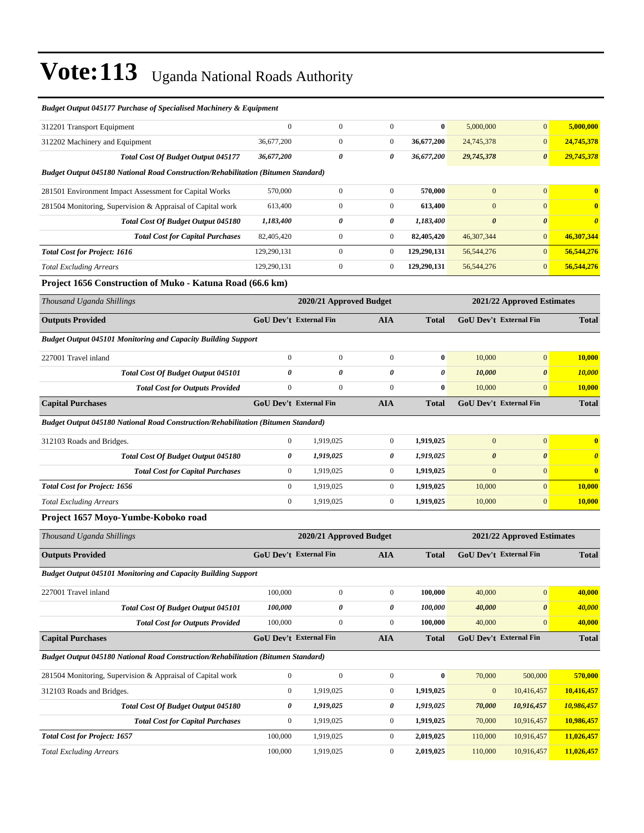| Budget Output 045177 Purchase of Specialised Machinery & Equipment                |                  |                               |                       |              |                            |                               |                       |
|-----------------------------------------------------------------------------------|------------------|-------------------------------|-----------------------|--------------|----------------------------|-------------------------------|-----------------------|
| 312201 Transport Equipment                                                        | $\mathbf{0}$     | $\boldsymbol{0}$              | $\boldsymbol{0}$      | $\bf{0}$     | 5,000,000                  | $\mathbf{0}$                  | 5,000,000             |
| 312202 Machinery and Equipment                                                    | 36,677,200       | $\boldsymbol{0}$              | $\mathbf{0}$          | 36,677,200   | 24,745,378                 | $\mathbf{0}$                  | 24,745,378            |
| <b>Total Cost Of Budget Output 045177</b>                                         | 36,677,200       | 0                             | 0                     | 36,677,200   | 29,745,378                 | $\boldsymbol{\theta}$         | 29,745,378            |
| Budget Output 045180 National Road Construction/Rehabilitation (Bitumen Standard) |                  |                               |                       |              |                            |                               |                       |
| 281501 Environment Impact Assessment for Capital Works                            | 570,000          | $\boldsymbol{0}$              | $\boldsymbol{0}$      | 570,000      | $\overline{0}$             | $\mathbf{0}$                  | $\bf{0}$              |
| 281504 Monitoring, Supervision & Appraisal of Capital work                        | 613,400          | $\boldsymbol{0}$              | $\boldsymbol{0}$      | 613,400      | $\mathbf{0}$               | $\mathbf{0}$                  | $\bf{0}$              |
| <b>Total Cost Of Budget Output 045180</b>                                         | 1,183,400        | 0                             | 0                     | 1,183,400    | $\boldsymbol{\theta}$      | $\boldsymbol{\theta}$         | $\boldsymbol{\theta}$ |
| <b>Total Cost for Capital Purchases</b>                                           | 82,405,420       | $\boldsymbol{0}$              | $\boldsymbol{0}$      | 82,405,420   | 46,307,344                 | $\mathbf{0}$                  | 46,307,344            |
| <b>Total Cost for Project: 1616</b>                                               | 129,290,131      | $\boldsymbol{0}$              | $\boldsymbol{0}$      | 129,290,131  | 56, 544, 276               | $\mathbf{0}$                  | 56,544,276            |
| <b>Total Excluding Arrears</b>                                                    | 129,290,131      | $\boldsymbol{0}$              | $\boldsymbol{0}$      | 129,290,131  | 56,544,276                 | $\overline{0}$                | 56,544,276            |
| Project 1656 Construction of Muko - Katuna Road (66.6 km)                         |                  |                               |                       |              |                            |                               |                       |
| Thousand Uganda Shillings                                                         |                  | 2020/21 Approved Budget       |                       |              |                            | 2021/22 Approved Estimates    |                       |
| <b>Outputs Provided</b>                                                           |                  | <b>GoU Dev't External Fin</b> | <b>AIA</b>            | <b>Total</b> |                            | <b>GoU Dev't External Fin</b> | <b>Total</b>          |
| <b>Budget Output 045101 Monitoring and Capacity Building Support</b>              |                  |                               |                       |              |                            |                               |                       |
| 227001 Travel inland                                                              | $\boldsymbol{0}$ | $\boldsymbol{0}$              | $\boldsymbol{0}$      | $\bf{0}$     | 10,000                     | $\mathbf{0}$                  | 10,000                |
| <b>Total Cost Of Budget Output 045101</b>                                         | 0                | $\pmb{\theta}$                | $\boldsymbol{\theta}$ | 0            | 10,000                     | $\boldsymbol{\theta}$         | 10,000                |
| <b>Total Cost for Outputs Provided</b>                                            | $\boldsymbol{0}$ | $\mathbf{0}$                  | $\overline{0}$        | $\bf{0}$     | 10,000                     | $\mathbf{0}$                  | 10,000                |
| <b>Capital Purchases</b>                                                          |                  | <b>GoU Dev't External Fin</b> | <b>AIA</b>            | <b>Total</b> |                            | GoU Dev't External Fin        | <b>Total</b>          |
| Budget Output 045180 National Road Construction/Rehabilitation (Bitumen Standard) |                  |                               |                       |              |                            |                               |                       |
| 312103 Roads and Bridges.                                                         | $\mathbf{0}$     | 1,919,025                     | $\boldsymbol{0}$      | 1,919,025    | $\overline{0}$             | $\mathbf{0}$                  | $\bf{0}$              |
| Total Cost Of Budget Output 045180                                                | 0                | 1,919,025                     | 0                     | 1,919,025    | $\boldsymbol{\theta}$      | $\boldsymbol{\theta}$         | $\boldsymbol{\theta}$ |
| <b>Total Cost for Capital Purchases</b>                                           | $\boldsymbol{0}$ | 1,919,025                     | $\boldsymbol{0}$      | 1,919,025    | $\boldsymbol{0}$           | $\mathbf{0}$                  | $\bf{0}$              |
| <b>Total Cost for Project: 1656</b>                                               | $\mathbf{0}$     | 1,919,025                     | $\boldsymbol{0}$      | 1,919,025    | 10,000                     | $\mathbf{0}$                  | 10,000                |
| <b>Total Excluding Arrears</b>                                                    | $\boldsymbol{0}$ | 1,919,025                     | $\boldsymbol{0}$      | 1,919,025    | 10,000                     | $\mathbf{0}$                  | 10,000                |
| Project 1657 Moyo-Yumbe-Koboko road                                               |                  |                               |                       |              |                            |                               |                       |
| Thousand Uganda Shillings                                                         |                  | 2020/21 Approved Budget       |                       |              | 2021/22 Approved Estimates |                               |                       |
| <b>Outputs Provided</b>                                                           |                  | GoU Dev't External Fin        | <b>AIA</b>            | <b>Total</b> |                            | GoU Dev't External Fin        | <b>Total</b>          |
| <b>Budget Output 045101 Monitoring and Capacity Building Support</b>              |                  |                               |                       |              |                            |                               |                       |
| 227001 Travel inland                                                              | 100,000          | $\boldsymbol{0}$              | $\boldsymbol{0}$      | 100,000      | 40,000                     | $\overline{0}$                | 40,000                |
| <b>Total Cost Of Budget Output 045101</b>                                         | 100,000          | $\pmb{\theta}$                | $\boldsymbol{\theta}$ | 100,000      | 40,000                     | $\pmb{\theta}$                | 40,000                |
| <b>Total Cost for Outputs Provided</b>                                            | 100,000          | $\boldsymbol{0}$              | $\boldsymbol{0}$      | 100,000      | 40,000                     | $\mathbf{0}$                  | 40,000                |
| <b>Capital Purchases</b>                                                          |                  | GoU Dev't External Fin        | <b>AIA</b>            | <b>Total</b> |                            | GoU Dev't External Fin        | <b>Total</b>          |
| Budget Output 045180 National Road Construction/Rehabilitation (Bitumen Standard) |                  |                               |                       |              |                            |                               |                       |
| 281504 Monitoring, Supervision & Appraisal of Capital work                        | $\boldsymbol{0}$ | $\boldsymbol{0}$              | $\boldsymbol{0}$      | $\bf{0}$     | 70,000                     | 500,000                       | 570,000               |
| 312103 Roads and Bridges.                                                         | $\boldsymbol{0}$ | 1,919,025                     | $\boldsymbol{0}$      | 1,919,025    | $\boldsymbol{0}$           | 10,416,457                    | 10,416,457            |
| Total Cost Of Budget Output 045180                                                | 0                | 1,919,025                     | 0                     | 1,919,025    | 70,000                     | 10,916,457                    | 10,986,457            |
| <b>Total Cost for Capital Purchases</b>                                           | $\boldsymbol{0}$ | 1,919,025                     | $\boldsymbol{0}$      | 1,919,025    | 70,000                     | 10,916,457                    | 10,986,457            |
| <b>Total Cost for Project: 1657</b>                                               | 100,000          | 1,919,025                     | $\boldsymbol{0}$      | 2,019,025    | 110,000                    | 10,916,457                    | 11,026,457            |
| <b>Total Excluding Arrears</b>                                                    | 100,000          | 1,919,025                     | $\boldsymbol{0}$      | 2,019,025    | 110,000                    | 10,916,457                    | 11,026,457            |

#### *Budget Output 045177 Purchase of Specialised Machinery & Equipment*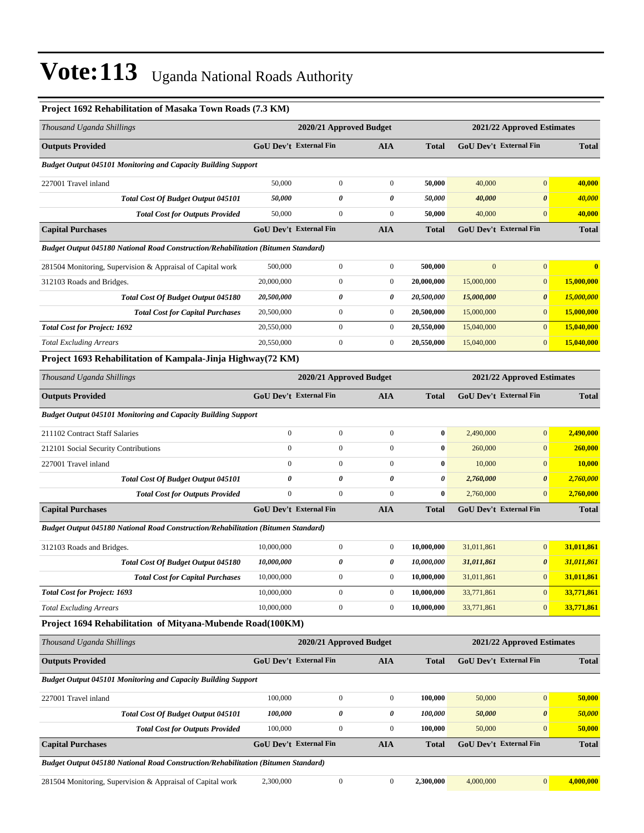| Project 1692 Rehabilitation of Masaka Town Roads (7.3 KM)                         |                         |                         |                       |              |                            |                               |                         |
|-----------------------------------------------------------------------------------|-------------------------|-------------------------|-----------------------|--------------|----------------------------|-------------------------------|-------------------------|
| Thousand Uganda Shillings                                                         | 2020/21 Approved Budget |                         |                       |              |                            | 2021/22 Approved Estimates    |                         |
| <b>Outputs Provided</b>                                                           |                         | GoU Dev't External Fin  | <b>AIA</b>            | <b>Total</b> |                            | <b>GoU Dev't External Fin</b> | <b>Total</b>            |
| <b>Budget Output 045101 Monitoring and Capacity Building Support</b>              |                         |                         |                       |              |                            |                               |                         |
| 227001 Travel inland                                                              | 50,000                  | $\mathbf{0}$            | $\mathbf{0}$          | 50,000       | 40,000                     | $\overline{0}$                | 40,000                  |
| <b>Total Cost Of Budget Output 045101</b>                                         | 50,000                  | 0                       | $\boldsymbol{\theta}$ | 50,000       | 40,000                     | $\boldsymbol{\theta}$         | 40,000                  |
| <b>Total Cost for Outputs Provided</b>                                            | 50,000                  | $\mathbf{0}$            | $\mathbf{0}$          | 50,000       | 40,000                     | $\mathbf{0}$                  | 40,000                  |
| <b>Capital Purchases</b>                                                          |                         | GoU Dev't External Fin  | AIA                   | <b>Total</b> |                            | GoU Dev't External Fin        | <b>Total</b>            |
| Budget Output 045180 National Road Construction/Rehabilitation (Bitumen Standard) |                         |                         |                       |              |                            |                               |                         |
| 281504 Monitoring, Supervision & Appraisal of Capital work                        | 500,000                 | $\boldsymbol{0}$        | $\mathbf{0}$          | 500,000      | $\mathbf{0}$               | $\overline{0}$                | $\overline{\mathbf{0}}$ |
| 312103 Roads and Bridges.                                                         | 20,000,000              | $\mathbf{0}$            | $\boldsymbol{0}$      | 20,000,000   | 15,000,000                 | $\mathbf{0}$                  | 15,000,000              |
| <b>Total Cost Of Budget Output 045180</b>                                         | 20,500,000              | 0                       | 0                     | 20,500,000   | 15,000,000                 | $\boldsymbol{\theta}$         | 15,000,000              |
| <b>Total Cost for Capital Purchases</b>                                           | 20,500,000              | $\mathbf{0}$            | $\mathbf{0}$          | 20,500,000   | 15,000,000                 | $\mathbf{0}$                  | 15,000,000              |
| <b>Total Cost for Project: 1692</b>                                               | 20,550,000              | $\mathbf{0}$            | $\boldsymbol{0}$      | 20,550,000   | 15,040,000                 | $\mathbf{0}$                  | 15,040,000              |
| <b>Total Excluding Arrears</b>                                                    | 20,550,000              | $\boldsymbol{0}$        | $\mathbf{0}$          | 20,550,000   | 15,040,000                 | $\mathbf{0}$                  | 15,040,000              |
| Project 1693 Rehabilitation of Kampala-Jinja Highway(72 KM)                       |                         |                         |                       |              |                            |                               |                         |
| Thousand Uganda Shillings                                                         | 2020/21 Approved Budget |                         |                       |              | 2021/22 Approved Estimates |                               |                         |
| <b>Outputs Provided</b>                                                           |                         | GoU Dev't External Fin  | AIA                   | <b>Total</b> |                            | GoU Dev't External Fin        | <b>Total</b>            |
| <b>Budget Output 045101 Monitoring and Capacity Building Support</b>              |                         |                         |                       |              |                            |                               |                         |
| 211102 Contract Staff Salaries                                                    | $\boldsymbol{0}$        | $\mathbf{0}$            | $\mathbf{0}$          | $\bf{0}$     | 2,490,000                  | $\mathbf{0}$                  | 2,490,000               |
| 212101 Social Security Contributions                                              | $\overline{0}$          | $\mathbf{0}$            | $\mathbf{0}$          | $\bf{0}$     | 260,000                    | $\mathbf{0}$                  | 260,000                 |
| 227001 Travel inland                                                              | $\overline{0}$          | $\mathbf{0}$            | $\mathbf{0}$          | $\bf{0}$     | 10,000                     | $\mathbf{0}$                  | <b>10,000</b>           |
| Total Cost Of Budget Output 045101                                                | 0                       | 0                       | 0                     | 0            | 2,760,000                  | $\boldsymbol{\theta}$         | 2,760,000               |
| <b>Total Cost for Outputs Provided</b>                                            | $\boldsymbol{0}$        | $\mathbf{0}$            | $\mathbf{0}$          | $\bf{0}$     | 2,760,000                  | $\mathbf{0}$                  | 2,760,000               |
| <b>Capital Purchases</b>                                                          |                         | GoU Dev't External Fin  | <b>AIA</b>            | <b>Total</b> |                            | GoU Dev't External Fin        | <b>Total</b>            |
| Budget Output 045180 National Road Construction/Rehabilitation (Bitumen Standard) |                         |                         |                       |              |                            |                               |                         |
| 312103 Roads and Bridges.                                                         | 10,000,000              | $\boldsymbol{0}$        | $\mathbf{0}$          | 10,000,000   | 31,011,861                 | $\mathbf{0}$                  | 31,011,861              |
| <b>Total Cost Of Budget Output 045180</b>                                         | 10,000,000              | 0                       | 0                     | 10,000,000   | 31,011,861                 | $\boldsymbol{\theta}$         | 31,011,861              |
| <b>Total Cost for Capital Purchases</b>                                           | 10,000,000              | $\boldsymbol{0}$        | $\boldsymbol{0}$      | 10,000,000   | 31,011,861                 | $\mathbf{0}$                  | 31,011,861              |
| <b>Total Cost for Project: 1693</b>                                               | 10,000,000              | $\boldsymbol{0}$        | $\boldsymbol{0}$      | 10,000,000   | 33,771,861                 | $\mathbf{0}$                  | 33,771,861              |
| <b>Total Excluding Arrears</b>                                                    | 10,000,000              | $\boldsymbol{0}$        | $\boldsymbol{0}$      | 10,000,000   | 33,771,861                 | $\mathbf{0}$                  | 33,771,861              |
| Project 1694 Rehabilitation of Mityana-Mubende Road(100KM)                        |                         |                         |                       |              |                            |                               |                         |
| Thousand Uganda Shillings                                                         |                         | 2020/21 Approved Budget |                       |              | 2021/22 Approved Estimates |                               |                         |
| <b>Outputs Provided</b>                                                           | GoU Dev't External Fin  |                         | <b>AIA</b>            | <b>Total</b> |                            | GoU Dev't External Fin        | <b>Total</b>            |
| <b>Budget Output 045101 Monitoring and Capacity Building Support</b>              |                         |                         |                       |              |                            |                               |                         |
| 227001 Travel inland                                                              | 100,000                 | $\boldsymbol{0}$        | $\mathbf{0}$          | 100,000      | 50,000                     | $\boldsymbol{0}$              | 50,000                  |
| Total Cost Of Budget Output 045101                                                | 100,000                 | 0                       | 0                     | 100,000      | 50,000                     | $\pmb{\theta}$                | 50,000                  |
| <b>Total Cost for Outputs Provided</b>                                            | 100,000                 | $\boldsymbol{0}$        | $\mathbf{0}$          | 100,000      | 50,000                     | $\mathbf{0}$                  | 50,000                  |
| <b>Capital Purchases</b>                                                          |                         | GoU Dev't External Fin  | <b>AIA</b>            | <b>Total</b> |                            | GoU Dev't External Fin        | <b>Total</b>            |

*Budget Output 045180 National Road Construction/Rehabilitation (Bitumen Standard)*

| 0.01<br>. work<br>Appraisal<br>∶apıtal<br>⊶ of<br>Supervision $\alpha$<br>torin<br>vioni<br>28150 | ነስ ስስር |  | 300.000 | $\Omega$ |  |
|---------------------------------------------------------------------------------------------------|--------|--|---------|----------|--|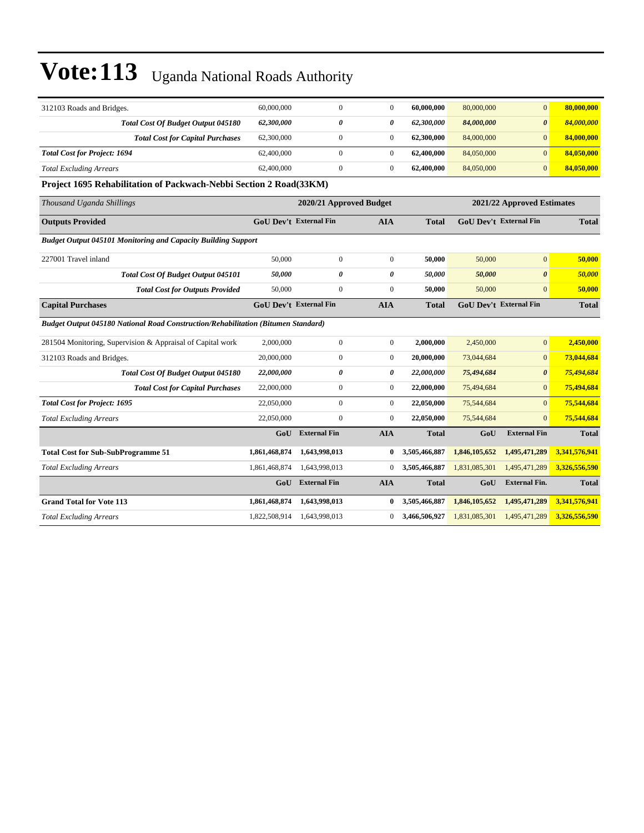| 312103 Roads and Bridges.                                                                | 60,000,000                    | $\Omega$                | $\mathbf{0}$     | 60,000,000    | 80,000,000    | $\overline{0}$                | 80,000,000    |
|------------------------------------------------------------------------------------------|-------------------------------|-------------------------|------------------|---------------|---------------|-------------------------------|---------------|
| Total Cost Of Budget Output 045180                                                       | 62,300,000                    | $\theta$                | 0                | 62,300,000    | 84,000,000    | $\boldsymbol{\theta}$         | 84,000,000    |
| <b>Total Cost for Capital Purchases</b>                                                  | 62,300,000                    | $\overline{0}$          | $\mathbf{0}$     | 62,300,000    | 84,000,000    | $\mathbf{0}$                  | 84,000,000    |
| <b>Total Cost for Project: 1694</b>                                                      | 62,400,000                    | $\overline{0}$          | $\mathbf{0}$     | 62,400,000    | 84,050,000    | $\mathbf{0}$                  | 84,050,000    |
| <b>Total Excluding Arrears</b>                                                           | 62,400,000                    | $\overline{0}$          | $\mathbf{0}$     | 62,400,000    | 84,050,000    | $\mathbf{0}$                  | 84,050,000    |
| Project 1695 Rehabilitation of Packwach-Nebbi Section 2 Road(33KM)                       |                               |                         |                  |               |               |                               |               |
| Thousand Uganda Shillings                                                                |                               | 2020/21 Approved Budget |                  |               |               | 2021/22 Approved Estimates    |               |
| <b>Outputs Provided</b>                                                                  | <b>GoU Dev't External Fin</b> |                         | AIA              | <b>Total</b>  |               | <b>GoU Dev't External Fin</b> | <b>Total</b>  |
| <b>Budget Output 045101 Monitoring and Capacity Building Support</b>                     |                               |                         |                  |               |               |                               |               |
| 227001 Travel inland                                                                     | 50,000                        | $\overline{0}$          | $\mathbf{0}$     | 50,000        | 50,000        | $\mathbf{0}$                  | 50,000        |
| Total Cost Of Budget Output 045101                                                       | 50,000                        | 0                       | $\theta$         | 50,000        | 50,000        | $\boldsymbol{\theta}$         | 50,000        |
| <b>Total Cost for Outputs Provided</b>                                                   | 50,000                        | $\overline{0}$          | $\Omega$         | 50,000        | 50,000        | $\Omega$                      | 50,000        |
| <b>Capital Purchases</b>                                                                 | <b>GoU Dev't External Fin</b> |                         | <b>AIA</b>       | Total         |               | <b>GoU Dev't External Fin</b> | <b>Total</b>  |
| <b>Budget Output 045180 National Road Construction/Rehabilitation (Bitumen Standard)</b> |                               |                         |                  |               |               |                               |               |
| 281504 Monitoring, Supervision & Appraisal of Capital work                               | 2,000,000                     | $\overline{0}$          | $\mathbf{0}$     | 2,000,000     | 2,450,000     | $\mathbf{0}$                  | 2,450,000     |
| 312103 Roads and Bridges.                                                                | 20,000,000                    | $\overline{0}$          | $\mathbf{0}$     | 20,000,000    | 73,044,684    | $\mathbf{0}$                  | 73,044,684    |
| Total Cost Of Budget Output 045180                                                       | 22,000,000                    | 0                       | 0                | 22,000,000    | 75,494,684    | $\boldsymbol{\theta}$         | 75,494,684    |
| <b>Total Cost for Capital Purchases</b>                                                  | 22,000,000                    | $\overline{0}$          | $\boldsymbol{0}$ | 22,000,000    | 75,494,684    | $\mathbf{0}$                  | 75,494,684    |
| <b>Total Cost for Project: 1695</b>                                                      | 22,050,000                    | $\overline{0}$          | $\overline{0}$   | 22,050,000    | 75,544,684    | $\mathbf{0}$                  | 75,544,684    |
| <b>Total Excluding Arrears</b>                                                           | 22,050,000                    | $\overline{0}$          | $\mathbf{0}$     | 22,050,000    | 75,544,684    | $\mathbf{0}$                  | 75,544,684    |
|                                                                                          | GoU                           | <b>External Fin</b>     | <b>AIA</b>       | <b>Total</b>  | GoU           | <b>External Fin</b>           | <b>Total</b>  |
| <b>Total Cost for Sub-SubProgramme 51</b>                                                | 1,861,468,874                 | 1,643,998,013           | $\bf{0}$         | 3,505,466,887 | 1,846,105,652 | 1,495,471,289                 | 3,341,576,941 |
| <b>Total Excluding Arrears</b>                                                           | 1,861,468,874                 | 1,643,998,013           | $\overline{0}$   | 3,505,466,887 | 1,831,085,301 | 1,495,471,289                 | 3,326,556,590 |
|                                                                                          | GoU                           | <b>External Fin</b>     | <b>AIA</b>       | <b>Total</b>  | GoU           | <b>External Fin.</b>          | <b>Total</b>  |
| <b>Grand Total for Vote 113</b>                                                          | 1,861,468,874                 | 1,643,998,013           | $\bf{0}$         | 3,505,466,887 | 1,846,105,652 | 1,495,471,289                 | 3,341,576,941 |
| <b>Total Excluding Arrears</b>                                                           | 1,822,508,914                 | 1,643,998,013           | $\overline{0}$   | 3.466.506.927 | 1,831,085,301 | 1,495,471,289                 | 3,326,556,590 |
|                                                                                          |                               |                         |                  |               |               |                               |               |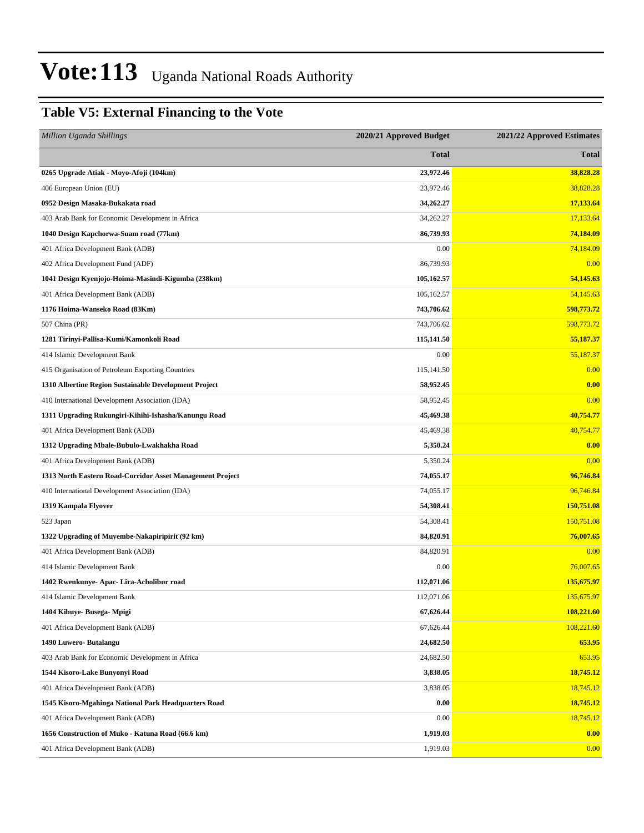### **Table V5: External Financing to the Vote**

| <b>Million Uganda Shillings</b>                           | 2020/21 Approved Budget | 2021/22 Approved Estimates |
|-----------------------------------------------------------|-------------------------|----------------------------|
|                                                           | <b>Total</b>            | <b>Total</b>               |
| 0265 Upgrade Atiak - Moyo-Afoji (104km)                   | 23,972.46               | 38,828.28                  |
| 406 European Union (EU)                                   | 23,972.46               | 38,828.28                  |
| 0952 Design Masaka-Bukakata road                          | 34,262.27               | 17,133.64                  |
| 403 Arab Bank for Economic Development in Africa          | 34,262.27               | 17,133.64                  |
| 1040 Design Kapchorwa-Suam road (77km)                    | 86,739.93               | 74,184.09                  |
| 401 Africa Development Bank (ADB)                         | 0.00                    | 74,184.09                  |
| 402 Africa Development Fund (ADF)                         | 86,739.93               | 0.00                       |
| 1041 Design Kyenjojo-Hoima-Masindi-Kigumba (238km)        | 105,162.57              | 54,145.63                  |
| 401 Africa Development Bank (ADB)                         | 105,162.57              | 54,145.63                  |
| 1176 Hoima-Wanseko Road (83Km)                            | 743,706.62              | 598,773.72                 |
| 507 China (PR)                                            | 743,706.62              | 598,773.72                 |
| 1281 Tirinyi-Pallisa-Kumi/Kamonkoli Road                  | 115,141.50              | 55,187.37                  |
| 414 Islamic Development Bank                              | 0.00                    | 55,187.37                  |
| 415 Organisation of Petroleum Exporting Countries         | 115,141.50              | 0.00                       |
| 1310 Albertine Region Sustainable Development Project     | 58,952.45               | 0.00                       |
| 410 International Development Association (IDA)           | 58,952.45               | 0.00                       |
| 1311 Upgrading Rukungiri-Kihihi-Ishasha/Kanungu Road      | 45,469.38               | 40,754.77                  |
| 401 Africa Development Bank (ADB)                         | 45,469.38               | 40,754.77                  |
| 1312 Upgrading Mbale-Bubulo-Lwakhakha Road                | 5,350.24                | 0.00                       |
| 401 Africa Development Bank (ADB)                         | 5,350.24                | 0.00                       |
| 1313 North Eastern Road-Corridor Asset Management Project | 74,055.17               | 96,746.84                  |
| 410 International Development Association (IDA)           | 74,055.17               | 96,746.84                  |
| 1319 Kampala Flyover                                      | 54,308.41               | 150,751.08                 |
| 523 Japan                                                 | 54,308.41               | 150,751.08                 |
| 1322 Upgrading of Muyembe-Nakapiripirit (92 km)           | 84,820.91               | 76,007.65                  |
| 401 Africa Development Bank (ADB)                         | 84,820.91               | 0.00                       |
| 414 Islamic Development Bank                              | 0.00                    | 76,007.65                  |
| 1402 Rwenkunye- Apac- Lira-Acholibur road                 | 112,071.06              | 135,675.97                 |
| 414 Islamic Development Bank                              | 112,071.06              | 135,675.97                 |
| 1404 Kibuye- Busega- Mpigi                                | 67,626.44               | 108,221.60                 |
| 401 Africa Development Bank (ADB)                         | 67,626.44               | 108,221.60                 |
| 1490 Luwero- Butalangu                                    | 24,682.50               | 653.95                     |
| 403 Arab Bank for Economic Development in Africa          | 24,682.50               | 653.95                     |
| 1544 Kisoro-Lake Bunyonyi Road                            | 3,838.05                | 18,745.12                  |
| 401 Africa Development Bank (ADB)                         | 3,838.05                | 18,745.12                  |
| 1545 Kisoro-Mgahinga National Park Headquarters Road      | 0.00                    | 18,745.12                  |
| 401 Africa Development Bank (ADB)                         | 0.00                    | 18,745.12                  |
| 1656 Construction of Muko - Katuna Road (66.6 km)         | 1,919.03                | 0.00                       |
| 401 Africa Development Bank (ADB)                         | 1,919.03                | 0.00                       |